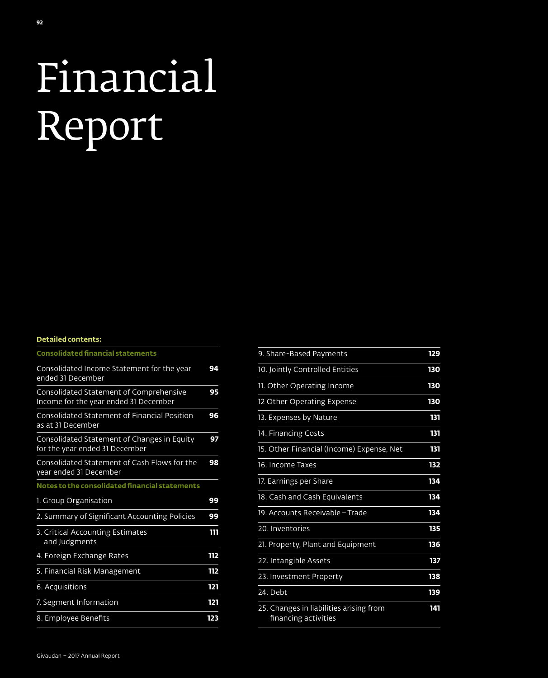# Financial Report

#### **Detailed contents:**

| <b>Consolidated financial statements</b>                                         |     |
|----------------------------------------------------------------------------------|-----|
| Consolidated Income Statement for the year<br>ended 31 December                  | 94  |
| Consolidated Statement of Comprehensive<br>Income for the year ended 31 December | 95  |
| <b>Consolidated Statement of Financial Position</b><br>as at 31 December         | 96  |
| Consolidated Statement of Changes in Equity<br>for the year ended 31 December    | 97  |
| Consolidated Statement of Cash Flows for the<br>year ended 31 December           | 98  |
| Notes to the consolidated financial statements                                   |     |
| 1. Group Organisation                                                            | 99  |
| 2. Summary of Significant Accounting Policies                                    | 99  |
| 3. Critical Accounting Estimates<br>and Judgments                                | ווו |
| 4. Foreign Exchange Rates                                                        | 112 |
| 5. Financial Risk Management                                                     | 112 |
| 6. Acquisitions                                                                  | 121 |
| 7. Segment Information                                                           | 121 |
| 8. Employee Benefits                                                             | 123 |

| 9. Share-Based Payments                                         | 129 |
|-----------------------------------------------------------------|-----|
| 10. Jointly Controlled Entities                                 | 130 |
| 11. Other Operating Income                                      | 130 |
| 12 Other Operating Expense                                      | 130 |
| 13. Expenses by Nature                                          | 131 |
| 14. Financing Costs                                             | 131 |
| 15. Other Financial (Income) Expense, Net                       | 131 |
| 16. Income Taxes                                                | 132 |
| 17. Earnings per Share                                          | 134 |
| 18. Cash and Cash Equivalents                                   | 134 |
| 19. Accounts Receivable - Trade                                 | 134 |
| 20. Inventories                                                 | 135 |
| 21. Property, Plant and Equipment                               | 136 |
| 22. Intangible Assets                                           | 137 |
| 23. Investment Property                                         | 138 |
| 24. Debt                                                        | 139 |
| 25. Changes in liabilities arising from<br>financing activities | 141 |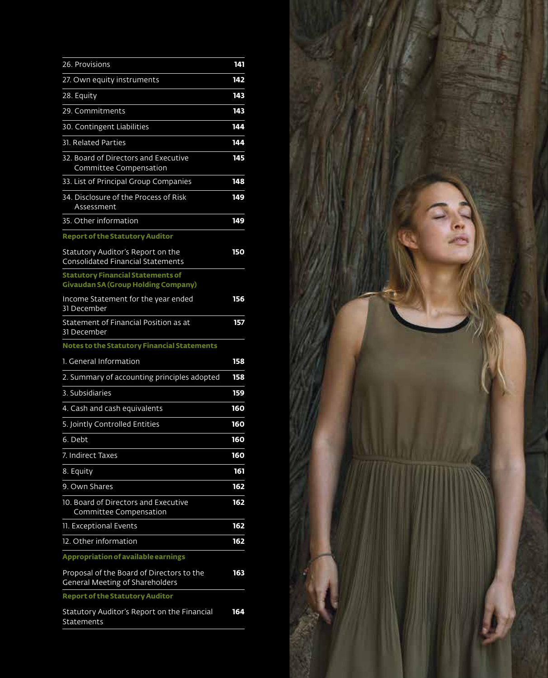| 26. Provisions                                                                         | 141 |
|----------------------------------------------------------------------------------------|-----|
| 27. Own equity instruments                                                             | 142 |
| 28. Equity                                                                             | 143 |
| 29. Commitments                                                                        | 143 |
| 30. Contingent Liabilities                                                             | 144 |
| <b>31. Related Parties</b>                                                             | 144 |
| 32. Board of Directors and Executive<br>Committee Compensation                         | 145 |
| 33. List of Principal Group Companies                                                  | 148 |
| 34. Disclosure of the Process of Risk<br>Assessment                                    | 149 |
| 35. Other information                                                                  | 149 |
| <b>Report of the Statutory Auditor</b>                                                 |     |
| Statutory Auditor's Report on the<br><b>Consolidated Financial Statements</b>          | 150 |
| <b>Statutory Financial Statements of</b><br><b>Givaudan SA (Group Holding Company)</b> |     |
| Income Statement for the year ended<br>31 December                                     | 156 |
| Statement of Financial Position as at<br>31 December                                   | 157 |
| Notes to the Statutory Financial Statements                                            |     |
| 1. General Information                                                                 | 158 |
| 2. Summary of accounting principles adopted                                            | 158 |
| 3. Subsidiaries                                                                        | 159 |
| 4. Cash and cash equivalents                                                           | 160 |
| 5. Jointly Controlled Entities                                                         | 160 |
| 6. Debt                                                                                | 160 |
| 7. Indirect Taxes                                                                      | 160 |
| 8. Equity                                                                              | 161 |
| 9. Own Shares                                                                          | 162 |
| 10. Board of Directors and Executive<br>Committee Compensation                         | 162 |
| 11. Exceptional Events                                                                 | 162 |
| 12. Other information                                                                  | 162 |
| <b>Appropriation of available earnings</b>                                             |     |
| Proposal of the Board of Directors to the<br><b>General Meeting of Shareholders</b>    | 163 |
| <b>Report of the Statutory Auditor</b>                                                 |     |
| Statutory Auditor's Report on the Financial<br>Statements                              | 164 |

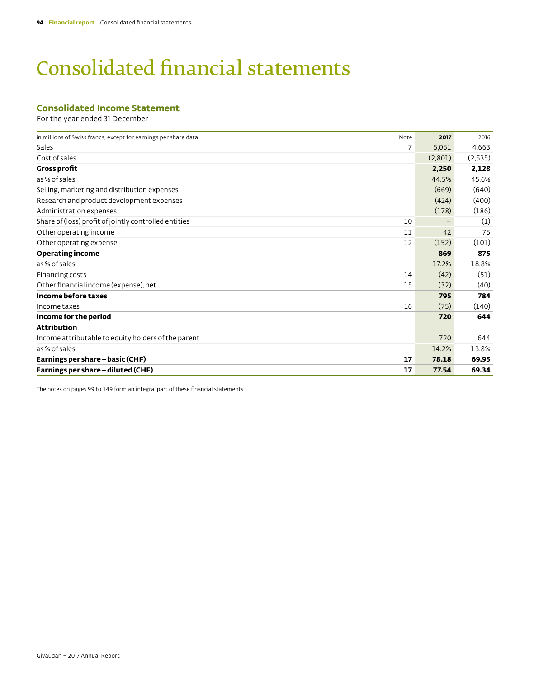# Consolidated financial statements

# **Consolidated Income Statement**

For the year ended 31 December

| in millions of Swiss francs, except for earnings per share data | Note | 2017    | 2016    |
|-----------------------------------------------------------------|------|---------|---------|
| Sales                                                           | 7    | 5,051   | 4,663   |
| Cost of sales                                                   |      | (2,801) | (2,535) |
| <b>Gross profit</b>                                             |      | 2,250   | 2,128   |
| as % of sales                                                   |      | 44.5%   | 45.6%   |
| Selling, marketing and distribution expenses                    |      | (669)   | (640)   |
| Research and product development expenses                       |      | (424)   | (400)   |
| Administration expenses                                         |      | (178)   | (186)   |
| Share of (loss) profit of jointly controlled entities           | 10   |         | (1)     |
| Other operating income                                          | 11   | 42      | 75      |
| Other operating expense                                         | 12   | (152)   | (101)   |
| <b>Operating income</b>                                         |      | 869     | 875     |
| as % of sales                                                   |      | 17.2%   | 18.8%   |
| Financing costs                                                 | 14   | (42)    | (51)    |
| Other financial income (expense), net                           | 15   | (32)    | (40)    |
| Income before taxes                                             |      | 795     | 784     |
| Income taxes                                                    | 16   | (75)    | (140)   |
| Income for the period                                           |      | 720     | 644     |
| <b>Attribution</b>                                              |      |         |         |
| Income attributable to equity holders of the parent             |      | 720     | 644     |
| as % of sales                                                   |      | 14.2%   | 13.8%   |
| Earnings per share - basic (CHF)                                | 17   | 78.18   | 69.95   |
| Earnings per share - diluted (CHF)                              | 17   | 77.54   | 69.34   |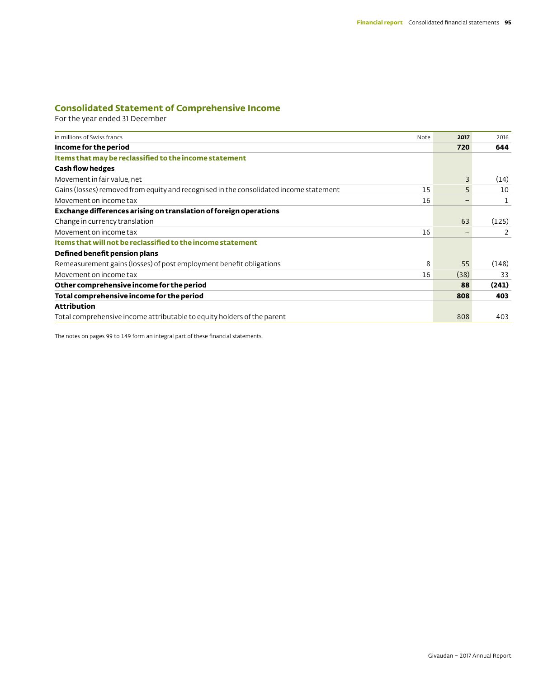# **Consolidated Statement of Comprehensive Income**

For the year ended 31 December

| in millions of Swiss francs                                                            | Note | 2017 | 2016  |
|----------------------------------------------------------------------------------------|------|------|-------|
| Income for the period                                                                  |      | 720  | 644   |
| Items that may be reclassified to the income statement                                 |      |      |       |
| <b>Cash flow hedges</b>                                                                |      |      |       |
| Movement in fair value, net                                                            |      | 3    | (14)  |
| Gains (losses) removed from equity and recognised in the consolidated income statement | 15   | 5    | 10    |
| Movement on income tax                                                                 | 16   | -    |       |
| Exchange differences arising on translation of foreign operations                      |      |      |       |
| Change in currency translation                                                         |      | 63   | (125) |
| Movement on income tax                                                                 | 16   |      | 2     |
| Items that will not be reclassified to the income statement                            |      |      |       |
| Defined benefit pension plans                                                          |      |      |       |
| Remeasurement gains (losses) of post employment benefit obligations                    | 8    | 55   | (148) |
| Movement on income tax                                                                 | 16   | (38) | 33    |
| Other comprehensive income for the period                                              |      | 88   | (241) |
| Total comprehensive income for the period                                              |      | 808  | 403   |
| <b>Attribution</b>                                                                     |      |      |       |
| Total comprehensive income attributable to equity holders of the parent                |      | 808  | 403   |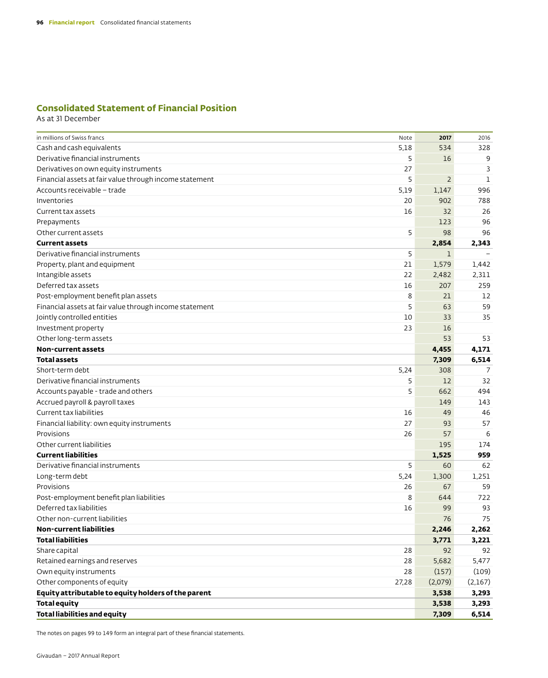# **Consolidated Statement of Financial Position**

As at 31 December

| in millions of Swiss francs<br>Note                          | 2017           | 2016        |
|--------------------------------------------------------------|----------------|-------------|
| Cash and cash equivalents<br>5,18                            | 534            | 328         |
| Derivative financial instruments<br>5                        | 16             | 9           |
| 27<br>Derivatives on own equity instruments                  |                | 3           |
| 5<br>Financial assets at fair value through income statement | $\overline{2}$ | $\mathbf 1$ |
| Accounts receivable - trade<br>5,19                          | 1,147          | 996         |
| 20<br>Inventories                                            | 902            | 788         |
| Current tax assets<br>16                                     | 32             | 26          |
| Prepayments                                                  | 123            | 96          |
| 5<br>Other current assets                                    | 98             | 96          |
| <b>Current assets</b>                                        | 2,854          | 2,343       |
| 5<br>Derivative financial instruments                        | $\mathbf 1$    |             |
| 21<br>Property, plant and equipment                          | 1,579          | 1,442       |
| Intangible assets<br>22                                      | 2,482          | 2,311       |
| Deferred tax assets<br>16                                    | 207            | 259         |
| Post-employment benefit plan assets<br>8                     | 21             | 12          |
| Financial assets at fair value through income statement<br>5 | 63             | 59          |
| Jointly controlled entities<br>10                            | 33             | 35          |
| 23<br>Investment property                                    | 16             |             |
| Other long-term assets                                       | 53             | 53          |
| Non-current assets                                           | 4,455          | 4,171       |
| <b>Total assets</b>                                          | 7,309          | 6,514       |
| Short-term debt<br>5,24                                      | 308            | 7           |
| Derivative financial instruments<br>5                        | 12             | 32          |
| Accounts payable - trade and others<br>5                     | 662            | 494         |
| Accrued payroll & payroll taxes                              | 149            | 143         |
| Current tax liabilities<br>16                                | 49             | 46          |
| Financial liability: own equity instruments<br>27            | 93             | 57          |
| Provisions<br>26                                             | 57             | 6           |
| Other current liabilities                                    | 195            | 174         |
| <b>Current liabilities</b>                                   | 1,525          | 959         |
| 5<br>Derivative financial instruments                        | 60             | 62          |
| 5,24<br>Long-term debt                                       | 1,300          | 1,251       |
| Provisions<br>26                                             | 67             | 59          |
| 8<br>Post-employment benefit plan liabilities                | 644            | 722         |
| Deferred tax liabilities<br>16                               | 99             | 93          |
| Other non-current liabilities                                | 76             | 75          |
| <b>Non-current liabilities</b>                               | 2,246          | 2,262       |
| <b>Total liabilities</b>                                     | 3,771          | 3,221       |
| Share capital<br>28                                          | 92             | 92          |
| Retained earnings and reserves<br>28                         | 5,682          | 5,477       |
| Own equity instruments<br>28                                 | (157)          | (109)       |
| Other components of equity<br>27,28                          | (2,079)        | (2,167)     |
| Equity attributable to equity holders of the parent          | 3,538          | 3,293       |
| <b>Total equity</b>                                          | 3,538          | 3,293       |
| <b>Total liabilities and equity</b>                          | 7,309          | 6,514       |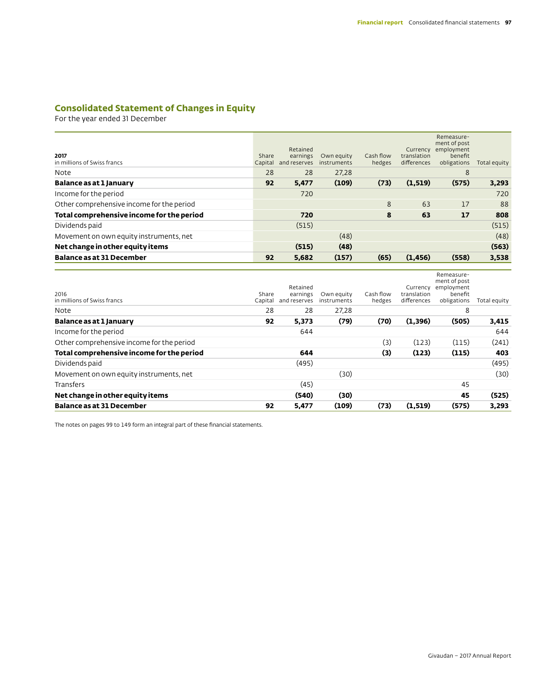# **Consolidated Statement of Changes in Equity**

For the year ended 31 December

| 2017<br>in millions of Swiss francs       | Share<br>Capital | Retained<br>earnings<br>and reserves | Own equity<br>instruments | Cash flow<br>hedges | Currency<br>translation<br>differences | Remeasure-<br>ment of post<br>employment<br>benefit<br>obligations | Total equity |
|-------------------------------------------|------------------|--------------------------------------|---------------------------|---------------------|----------------------------------------|--------------------------------------------------------------------|--------------|
| Note                                      | 28               | 28                                   | 27.28                     |                     |                                        | 8                                                                  |              |
| Balance as at 1 January                   | 92               | 5,477                                | (109)                     | (73)                | (1,519)                                | (575)                                                              | 3,293        |
| Income for the period                     |                  | 720                                  |                           |                     |                                        |                                                                    | 720          |
| Other comprehensive income for the period |                  |                                      |                           | 8                   | 63                                     | 17                                                                 | 88           |
| Total comprehensive income for the period |                  | 720                                  |                           | 8                   | 63                                     | 17                                                                 | 808          |
| Dividends paid                            |                  | (515)                                |                           |                     |                                        |                                                                    | (515)        |
| Movement on own equity instruments, net   |                  |                                      | (48)                      |                     |                                        |                                                                    | (48)         |
| Net change in other equity items          |                  | (515)                                | (48)                      |                     |                                        |                                                                    | (563)        |
| <b>Balance as at 31 December</b>          | 92               | 5,682                                | (157)                     | (65)                | (1, 456)                               | (558)                                                              | 3,538        |

| 2016<br>in millions of Swiss francs       | Share<br>Capital | Retained<br>earnings<br>and reserves | Own equity<br>instruments | Cash flow<br>hedges | Currency<br>translation<br>differences | Remeasure-<br>ment of post<br>employment<br>benefit<br>obligations | Total equity |
|-------------------------------------------|------------------|--------------------------------------|---------------------------|---------------------|----------------------------------------|--------------------------------------------------------------------|--------------|
| Note                                      | 28               | 28                                   | 27,28                     |                     |                                        | 8                                                                  |              |
| Balance as at 1 January                   | 92               | 5,373                                | (79)                      | (70)                | (1,396)                                | (505)                                                              | 3,415        |
| Income for the period                     |                  | 644                                  |                           |                     |                                        |                                                                    | 644          |
| Other comprehensive income for the period |                  |                                      |                           | (3)                 | (123)                                  | (115)                                                              | (241)        |
| Total comprehensive income for the period |                  | 644                                  |                           | (3)                 | (123)                                  | (115)                                                              | 403          |
| Dividends paid                            |                  | (495)                                |                           |                     |                                        |                                                                    | (495)        |
| Movement on own equity instruments, net   |                  |                                      | (30)                      |                     |                                        |                                                                    | (30)         |
| Transfers                                 |                  | (45)                                 |                           |                     |                                        | 45                                                                 |              |
| Net change in other equity items          |                  | (540)                                | (30)                      |                     |                                        | 45                                                                 | (525)        |
| <b>Balance as at 31 December</b>          | 92               | 5,477                                | (109)                     | (73)                | (1,519)                                | (575)                                                              | 3,293        |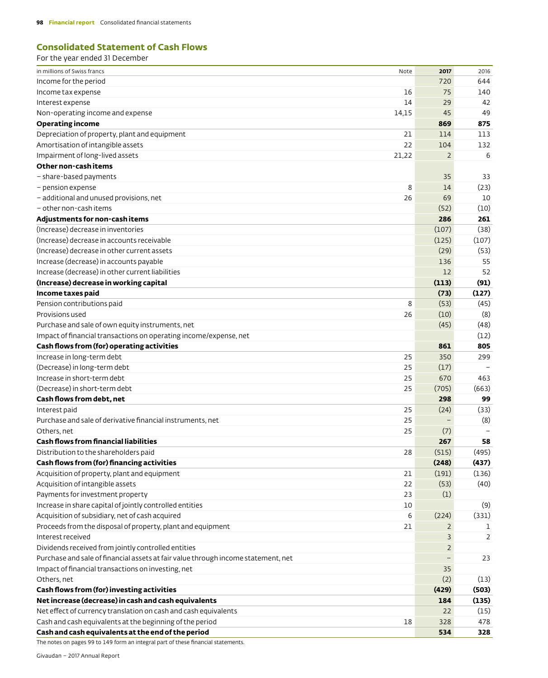#### **Consolidated Statement of Cash Flows** For the year ended 31 December

| in millions of Swiss francs                                                       | Note  | 2017           | 2016  |
|-----------------------------------------------------------------------------------|-------|----------------|-------|
| Income for the period                                                             |       | 720            | 644   |
| Income tax expense                                                                | 16    | 75             | 140   |
| Interest expense                                                                  | 14    | 29             | 42    |
| Non-operating income and expense                                                  | 14,15 | 45             | 49    |
| <b>Operating income</b>                                                           |       | 869            | 875   |
| Depreciation of property, plant and equipment                                     | 21    | 114            | 113   |
| Amortisation of intangible assets                                                 | 22    | 104            | 132   |
| Impairment of long-lived assets                                                   | 21,22 | $\overline{2}$ | 6     |
| Other non-cashitems                                                               |       |                |       |
| - share-based payments                                                            |       | 35             | 33    |
| - pension expense                                                                 | 8     | 14             | (23)  |
| - additional and unused provisions, net                                           | 26    | 69             | 10    |
| - other non-cash items                                                            |       | (52)           | (10)  |
| Adjustments for non-cash items                                                    |       | 286            | 261   |
| (Increase) decrease in inventories                                                |       | (107)          | (38)  |
| (Increase) decrease in accounts receivable                                        |       | (125)          | (107) |
| (Increase) decrease in other current assets                                       |       | (29)           | (53)  |
| Increase (decrease) in accounts payable                                           |       | 136            | 55    |
| Increase (decrease) in other current liabilities                                  |       | 12             | 52    |
| (Increase) decrease in working capital                                            |       | (113)          | (91)  |
| Income taxes paid                                                                 |       | (73)           | (127) |
| Pension contributions paid                                                        | 8     | (53)           | (45)  |
| Provisions used                                                                   | 26    | (10)           | (8)   |
| Purchase and sale of own equity instruments, net                                  |       | (45)           | (48)  |
| Impact of financial transactions on operating income/expense, net                 |       |                | (12)  |
| Cash flows from (for) operating activities                                        |       | 861            | 805   |
| Increase in long-term debt                                                        | 25    | 350            | 299   |
| (Decrease) in long-term debt                                                      | 25    | (17)           |       |
| Increase in short-term debt                                                       | 25    | 670            | 463   |
| (Decrease) in short-term debt                                                     | 25    | (705)          | (663) |
| Cash flows from debt, net                                                         |       | 298            | 99    |
| Interest paid                                                                     | 25    | (24)           | (33)  |
| Purchase and sale of derivative financial instruments, net                        | 25    |                | (8)   |
| Others, net                                                                       | 25    | (7)            |       |
| <b>Cash flows from financial liabilities</b>                                      |       | 267            | 58    |
| Distribution to the shareholders paid                                             | 28    | (515)          | (495) |
| Cash flows from (for) financing activities                                        |       | (248)          | (437) |
| Acquisition of property, plant and equipment                                      | 21    | (191)          | (136) |
| Acquisition of intangible assets                                                  | 22    | (53)           | (40)  |
| Payments for investment property                                                  | 23    | (1)            |       |
| Increase in share capital of jointly controlled entities                          | 10    |                | (9)   |
| Acquisition of subsidiary, net of cash acquired                                   | 6     | (224)          | (331) |
| Proceeds from the disposal of property, plant and equipment                       | 21    | $\mathbf{2}$   | 1     |
| Interest received                                                                 |       | 3              | 2     |
| Dividends received from jointly controlled entities                               |       | $\overline{2}$ |       |
| Purchase and sale of financial assets at fair value through income statement, net |       |                | 23    |
| Impact of financial transactions on investing, net                                |       | 35             |       |
| Others, net                                                                       |       | (2)            | (13)  |
| Cash flows from (for) investing activities                                        |       | (429)          | (503) |
| Net increase (decrease) in cash and cash equivalents                              |       | 184            | (135) |
| Net effect of currency translation on cash and cash equivalents                   |       | 22             | (15)  |
| Cash and cash equivalents at the beginning of the period                          | 18    | 328            | 478   |
| Cash and cash equivalents at the end of the period                                |       | 534            | 328   |
|                                                                                   |       |                |       |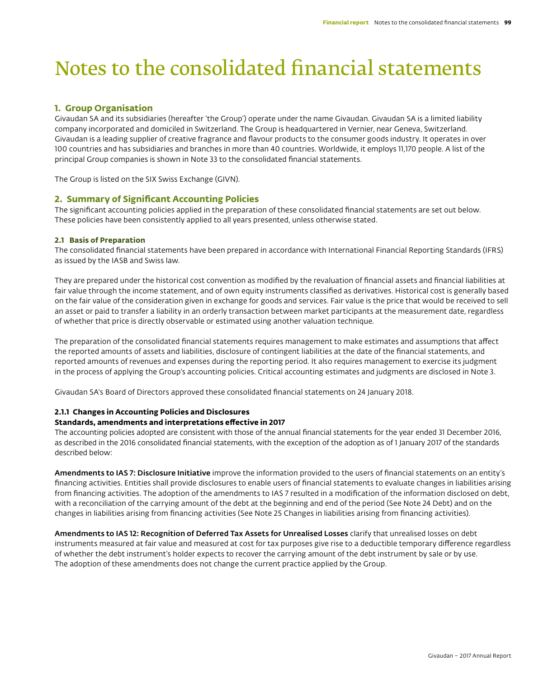# Notes to the consolidated financial statements

# **1. Group Organisation**

Givaudan SA and its subsidiaries (hereafter 'the Group') operate under the name Givaudan. Givaudan SA is a limited liability company incorporated and domiciled in Switzerland. The Group is headquartered in Vernier, near Geneva, Switzerland. Givaudan is a leading supplier of creative fragrance and flavour products to the consumer goods industry. It operates in over 100 countries and has subsidiaries and branches in more than 40 countries. Worldwide, it employs 11,170 people. A list of the principal Group companies is shown in Note 33 to the consolidated financial statements.

The Group is listed on the SIX Swiss Exchange (GIVN).

## **2. Summary of Significant Accounting Policies**

The significant accounting policies applied in the preparation of these consolidated financial statements are set out below. These policies have been consistently applied to all years presented, unless otherwise stated.

#### **2.1 Basis of Preparation**

The consolidated financial statements have been prepared in accordance with International Financial Reporting Standards (IFRS) as issued by the IASB and Swiss law.

They are prepared under the historical cost convention as modified by the revaluation of financial assets and financial liabilities at fair value through the income statement, and of own equity instruments classified as derivatives. Historical cost is generally based on the fair value of the consideration given in exchange for goods and services. Fair value is the price that would be received to sell an asset or paid to transfer a liability in an orderly transaction between market participants at the measurement date, regardless of whether that price is directly observable or estimated using another valuation technique.

The preparation of the consolidated financial statements requires management to make estimates and assumptions that affect the reported amounts of assets and liabilities, disclosure of contingent liabilities at the date of the financial statements, and reported amounts of revenues and expenses during the reporting period. It also requires management to exercise its judgment in the process of applying the Group's accounting policies. Critical accounting estimates and judgments are disclosed in Note 3.

Givaudan SA's Board of Directors approved these consolidated financial statements on 24 January 2018.

#### **2.1.1 Changes in Accounting Policies and Disclosures**

#### **Standards, amendments and interpretations effective in 2017**

The accounting policies adopted are consistent with those of the annual financial statements for the year ended 31 December 2016, as described in the 2016 consolidated financial statements, with the exception of the adoption as of 1 January 2017 of the standards described below:

Amendments to IAS 7: Disclosure Initiative improve the information provided to the users of financial statements on an entity's financing activities. Entities shall provide disclosures to enable users of financial statements to evaluate changes in liabilities arising from financing activities. The adoption of the amendments to IAS 7 resulted in a modification of the information disclosed on debt, with a reconciliation of the carrying amount of the debt at the beginning and end of the period (See Note 24 Debt) and on the changes in liabilities arising from financing activities (See Note 25 Changes in liabilities arising from financing activities).

Amendments to IAS 12: Recognition of Deferred Tax Assets for Unrealised Losses clarify that unrealised losses on debt instruments measured at fair value and measured at cost for tax purposes give rise to a deductible temporary difference regardless of whether the debt instrument's holder expects to recover the carrying amount of the debt instrument by sale or by use. The adoption of these amendments does not change the current practice applied by the Group.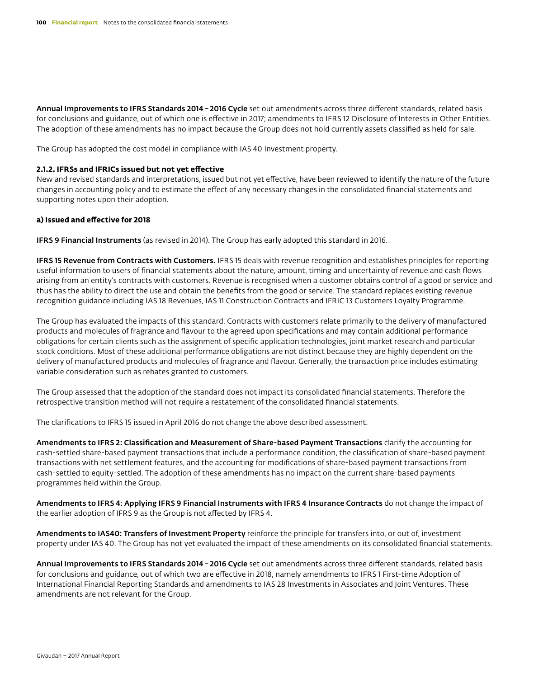Annual Improvements to IFRS Standards 2014 - 2016 Cycle set out amendments across three different standards, related basis for conclusions and guidance, out of which one is effective in 2017; amendments to IFRS 12 Disclosure of Interests in Other Entities. The adoption of these amendments has no impact because the Group does not hold currently assets classified as held for sale.

The Group has adopted the cost model in compliance with IAS 40 Investment property.

#### **2.1.2. IFRSs and IFRICs issued but not yet effective**

New and revised standards and interpretations, issued but not yet effective, have been reviewed to identify the nature of the future changes in accounting policy and to estimate the effect of any necessary changes in the consolidated financial statements and supporting notes upon their adoption.

#### **a) Issued and effective for 2018**

IFRS 9 Financial Instruments (as revised in 2014). The Group has early adopted this standard in 2016.

IFRS 15 Revenue from Contracts with Customers. IFRS 15 deals with revenue recognition and establishes principles for reporting useful information to users of financial statements about the nature, amount, timing and uncertainty of revenue and cash flows arising from an entity's contracts with customers. Revenue is recognised when a customer obtains control of a good or service and thus has the ability to direct the use and obtain the benefits from the good or service. The standard replaces existing revenue recognition guidance including IAS 18 Revenues, IAS 11 Construction Contracts and IFRIC 13 Customers Loyalty Programme.

The Group has evaluated the impacts of this standard. Contracts with customers relate primarily to the delivery of manufactured products and molecules of fragrance and flavour to the agreed upon specifications and may contain additional performance obligations for certain clients such as the assignment of specific application technologies, joint market research and particular stock conditions. Most of these additional performance obligations are not distinct because they are highly dependent on the delivery of manufactured products and molecules of fragrance and flavour. Generally, the transaction price includes estimating variable consideration such as rebates granted to customers.

The Group assessed that the adoption of the standard does not impact its consolidated financial statements. Therefore the retrospective transition method will not require a restatement of the consolidated financial statements.

The clarifications to IFRS 15 issued in April 2016 do not change the above described assessment.

Amendments to IFRS 2: Classification and Measurement of Share-based Payment Transactions clarify the accounting for cash-settled share-based payment transactions that include a performance condition, the classification of share-based payment transactions with net settlement features, and the accounting for modifications of share-based payment transactions from cash-settled to equity-settled. The adoption of these amendments has no impact on the current share-based payments programmes held within the Group.

Amendments to IFRS 4: Applying IFRS 9 Financial Instruments with IFRS 4 Insurance Contracts do not change the impact of the earlier adoption of IFRS 9 as the Group is not affected by IFRS 4.

Amendments to IAS40: Transfers of Investment Property reinforce the principle for transfers into, or out of, investment property under IAS 40. The Group has not yet evaluated the impact of these amendments on its consolidated financial statements.

Annual Improvements to IFRS Standards 2014-2016 Cycle set out amendments across three different standards, related basis for conclusions and guidance, out of which two are effective in 2018, namely amendments to IFRS 1 First-time Adoption of International Financial Reporting Standards and amendments to IAS 28 Investments in Associates and Joint Ventures. These amendments are not relevant for the Group.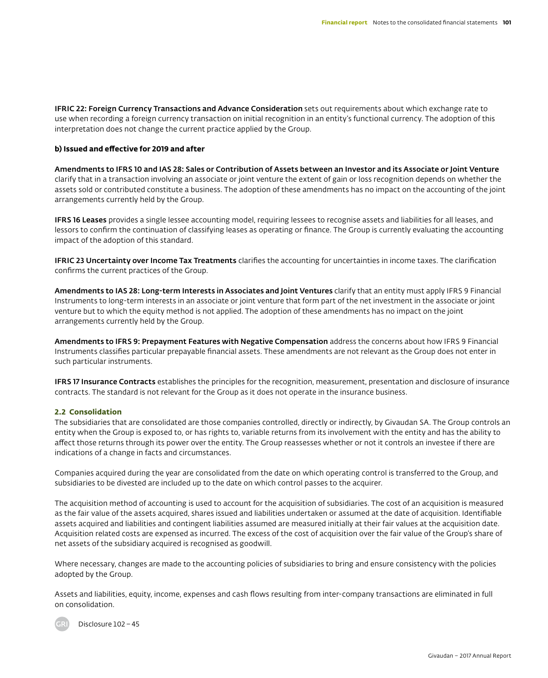IFRIC 22: Foreign Currency Transactions and Advance Consideration sets out requirements about which exchange rate to use when recording a foreign currency transaction on initial recognition in an entity's functional currency. The adoption of this interpretation does not change the current practice applied by the Group.

#### **b) Issued and effective for 2019 and after**

Amendments to IFRS 10 and IAS 28: Sales or Contribution of Assets between an Investor and its Associate or Joint Venture clarify that in a transaction involving an associate or joint venture the extent of gain or loss recognition depends on whether the assets sold or contributed constitute a business. The adoption of these amendments has no impact on the accounting of the joint arrangements currently held by the Group.

IFRS 16 Leases provides a single lessee accounting model, requiring lessees to recognise assets and liabilities for all leases, and lessors to confirm the continuation of classifying leases as operating or finance. The Group is currently evaluating the accounting impact of the adoption of this standard.

IFRIC 23 Uncertainty over Income Tax Treatments clarifies the accounting for uncertainties in income taxes. The clarification confirms the current practices of the Group.

Amendments to IAS 28: Long-term Interests in Associates and Joint Ventures clarify that an entity must apply IFRS 9 Financial Instruments to long-term interests in an associate or joint venture that form part of the net investment in the associate or joint venture but to which the equity method is not applied. The adoption of these amendments has no impact on the joint arrangements currently held by the Group.

Amendments to IFRS 9: Prepayment Features with Negative Compensation address the concerns about how IFRS 9 Financial Instruments classifies particular prepayable financial assets. These amendments are not relevant as the Group does not enter in such particular instruments.

IFRS 17 Insurance Contracts establishes the principles for the recognition, measurement, presentation and disclosure of insurance contracts. The standard is not relevant for the Group as it does not operate in the insurance business.

#### **2.2 Consolidation**

The subsidiaries that are consolidated are those companies controlled, directly or indirectly, by Givaudan SA. The Group controls an entity when the Group is exposed to, or has rights to, variable returns from its involvement with the entity and has the ability to affect those returns through its power over the entity. The Group reassesses whether or not it controls an investee if there are indications of a change in facts and circumstances.

Companies acquired during the year are consolidated from the date on which operating control is transferred to the Group, and subsidiaries to be divested are included up to the date on which control passes to the acquirer.

The acquisition method of accounting is used to account for the acquisition of subsidiaries. The cost of an acquisition is measured as the fair value of the assets acquired, shares issued and liabilities undertaken or assumed at the date of acquisition. Identifiable assets acquired and liabilities and contingent liabilities assumed are measured initially at their fair values at the acquisition date. Acquisition related costs are expensed as incurred. The excess of the cost of acquisition over the fair value of the Group's share of net assets of the subsidiary acquired is recognised as goodwill.

Where necessary, changes are made to the accounting policies of subsidiaries to bring and ensure consistency with the policies adopted by the Group.

Assets and liabilities, equity, income, expenses and cash flows resulting from inter-company transactions are eliminated in full on consolidation.

Disclosure 102–45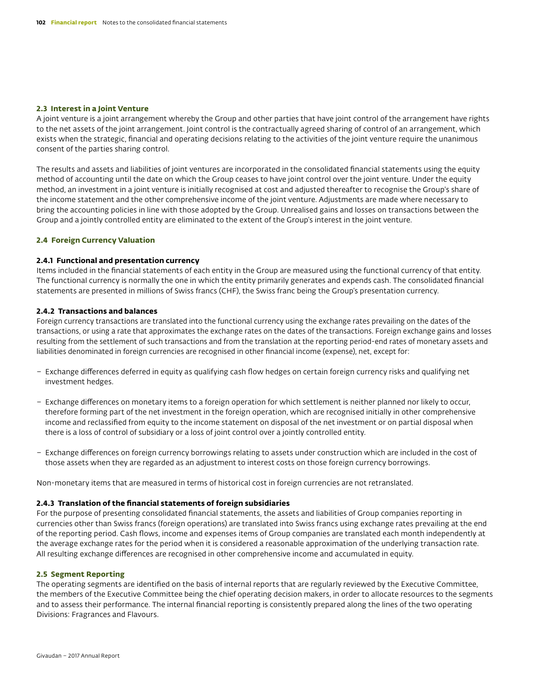#### **2.3 Interest in a Joint Venture**

A joint venture is a joint arrangement whereby the Group and other parties that have joint control of the arrangement have rights to the net assets of the joint arrangement. Joint control is the contractually agreed sharing of control of an arrangement, which exists when the strategic, financial and operating decisions relating to the activities of the joint venture require the unanimous consent of the parties sharing control.

The results and assets and liabilities of joint ventures are incorporated in the consolidated financial statements using the equity method of accounting until the date on which the Group ceases to have joint control over the joint venture. Under the equity method, an investment in a joint venture is initially recognised at cost and adjusted thereafter to recognise the Group's share of the income statement and the other comprehensive income of the joint venture. Adjustments are made where necessary to bring the accounting policies in line with those adopted by the Group. Unrealised gains and losses on transactions between the Group and a jointly controlled entity are eliminated to the extent of the Group's interest in the joint venture.

#### **2.4 Foreign Currency Valuation**

#### **2.4.1 Functional and presentation currency**

Items included in the financial statements of each entity in the Group are measured using the functional currency of that entity. The functional currency is normally the one in which the entity primarily generates and expends cash. The consolidated financial statements are presented in millions of Swiss francs (CHF), the Swiss franc being the Group's presentation currency.

#### **2.4.2 Transactions and balances**

Foreign currency transactions are translated into the functional currency using the exchange rates prevailing on the dates of the transactions, or using a rate that approximates the exchange rates on the dates of the transactions. Foreign exchange gains and losses resulting from the settlement of such transactions and from the translation at the reporting period-end rates of monetary assets and liabilities denominated in foreign currencies are recognised in other financial income (expense), net, except for:

- Exchange differences deferred in equity as qualifying cash flow hedges on certain foreign currency risks and qualifying net investment hedges.
- Exchange differences on monetary items to a foreign operation for which settlement is neither planned nor likely to occur, therefore forming part of the net investment in the foreign operation, which are recognised initially in other comprehensive income and reclassified from equity to the income statement on disposal of the net investment or on partial disposal when there is a loss of control of subsidiary or a loss of joint control over a jointly controlled entity.
- Exchange differences on foreign currency borrowings relating to assets under construction which are included in the cost of those assets when they are regarded as an adjustment to interest costs on those foreign currency borrowings.

Non-monetary items that are measured in terms of historical cost in foreign currencies are not retranslated.

#### **2.4.3 Translation of the financial statements of foreign subsidiaries**

For the purpose of presenting consolidated financial statements, the assets and liabilities of Group companies reporting in currencies other than Swiss francs (foreign operations) are translated into Swiss francs using exchange rates prevailing at the end of the reporting period. Cash flows, income and expenses items of Group companies are translated each month independently at the average exchange rates for the period when it is considered a reasonable approximation of the underlying transaction rate. All resulting exchange differences are recognised in other comprehensive income and accumulated in equity.

#### **2.5 Segment Reporting**

The operating segments are identified on the basis of internal reports that are regularly reviewed by the Executive Committee, the members of the Executive Committee being the chief operating decision makers, in order to allocate resources to the segments and to assess their performance. The internal financial reporting is consistently prepared along the lines of the two operating Divisions: Fragrances and Flavours.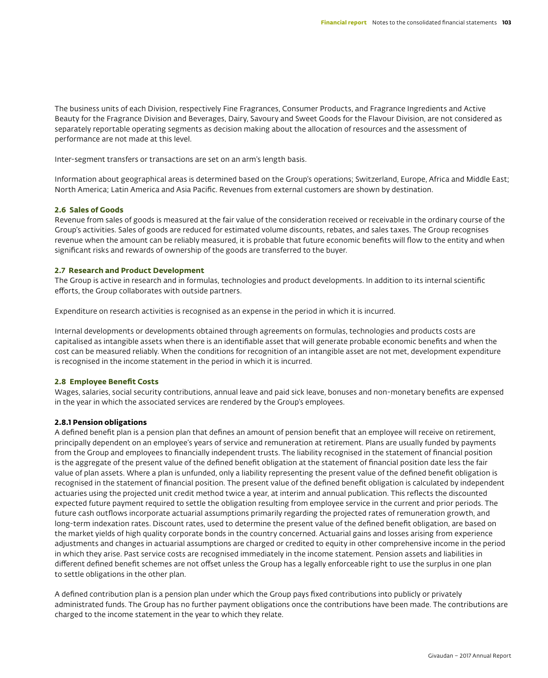The business units of each Division, respectively Fine Fragrances, Consumer Products, and Fragrance Ingredients and Active Beauty for the Fragrance Division and Beverages, Dairy, Savoury and Sweet Goods for the Flavour Division, are not considered as separately reportable operating segments as decision making about the allocation of resources and the assessment of performance are not made at this level.

Inter-segment transfers or transactions are set on an arm's length basis.

Information about geographical areas is determined based on the Group's operations; Switzerland, Europe, Africa and Middle East; North America; Latin America and Asia Pacific. Revenues from external customers are shown by destination.

#### **2.6 Sales of Goods**

Revenue from sales of goods is measured at the fair value of the consideration received or receivable in the ordinary course of the Group's activities. Sales of goods are reduced for estimated volume discounts, rebates, and sales taxes. The Group recognises revenue when the amount can be reliably measured, it is probable that future economic benefits will flow to the entity and when significant risks and rewards of ownership of the goods are transferred to the buyer.

#### **2.7 Research and Product Development**

The Group is active in research and in formulas, technologies and product developments. In addition to its internal scientific efforts, the Group collaborates with outside partners.

Expenditure on research activities is recognised as an expense in the period in which it is incurred.

Internal developments or developments obtained through agreements on formulas, technologies and products costs are capitalised as intangible assets when there is an identifiable asset that will generate probable economic benefits and when the cost can be measured reliably. When the conditions for recognition of an intangible asset are not met, development expenditure is recognised in the income statement in the period in which it is incurred.

#### **2.8 Employee Benefit Costs**

Wages, salaries, social security contributions, annual leave and paid sick leave, bonuses and non-monetary benefits are expensed in the year in which the associated services are rendered by the Group's employees.

#### **2.8.1 Pension obligations**

A defined benefit plan is a pension plan that defines an amount of pension benefit that an employee will receive on retirement, principally dependent on an employee's years of service and remuneration at retirement. Plans are usually funded by payments from the Group and employees to financially independent trusts. The liability recognised in the statement of financial position is the aggregate of the present value of the defined benefit obligation at the statement of financial position date less the fair value of plan assets. Where a plan is unfunded, only a liability representing the present value of the defined benefit obligation is recognised in the statement of financial position. The present value of the defined benefit obligation is calculated by independent actuaries using the projected unit credit method twice a year, at interim and annual publication. This reflects the discounted expected future payment required to settle the obligation resulting from employee service in the current and prior periods. The future cash outflows incorporate actuarial assumptions primarily regarding the projected rates of remuneration growth, and long-term indexation rates. Discount rates, used to determine the present value of the defined benefit obligation, are based on the market yields of high quality corporate bonds in the country concerned. Actuarial gains and losses arising from experience adjustments and changes in actuarial assumptions are charged or credited to equity in other comprehensive income in the period in which they arise. Past service costs are recognised immediately in the income statement. Pension assets and liabilities in different defined benefit schemes are not offset unless the Group has a legally enforceable right to use the surplus in one plan to settle obligations in the other plan.

A defined contribution plan is a pension plan under which the Group pays fixed contributions into publicly or privately administrated funds. The Group has no further payment obligations once the contributions have been made. The contributions are charged to the income statement in the year to which they relate.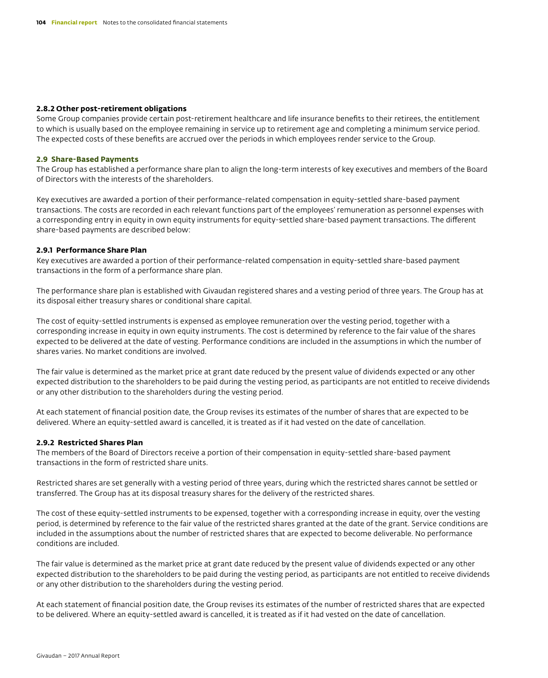#### **2.8.2 Other post-retirement obligations**

Some Group companies provide certain post-retirement healthcare and life insurance benefits to their retirees, the entitlement to which is usually based on the employee remaining in service up to retirement age and completing a minimum service period. The expected costs of these benefits are accrued over the periods in which employees render service to the Group.

#### **2.9 Share-Based Payments**

The Group has established a performance share plan to align the long-term interests of key executives and members of the Board of Directors with the interests of the shareholders.

Key executives are awarded a portion of their performance-related compensation in equity-settled share-based payment transactions. The costs are recorded in each relevant functions part of the employees' remuneration as personnel expenses with a corresponding entry in equity in own equity instruments for equity-settled share-based payment transactions. The different share-based payments are described below:

#### **2.9.1 Performance Share Plan**

Key executives are awarded a portion of their performance-related compensation in equity-settled share-based payment transactions in the form of a performance share plan.

The performance share plan is established with Givaudan registered shares and a vesting period of three years. The Group has at its disposal either treasury shares or conditional share capital.

The cost of equity-settled instruments is expensed as employee remuneration over the vesting period, together with a corresponding increase in equity in own equity instruments. The cost is determined by reference to the fair value of the shares expected to be delivered at the date of vesting. Performance conditions are included in the assumptions in which the number of shares varies. No market conditions are involved.

The fair value is determined as the market price at grant date reduced by the present value of dividends expected or any other expected distribution to the shareholders to be paid during the vesting period, as participants are not entitled to receive dividends or any other distribution to the shareholders during the vesting period.

At each statement of financial position date, the Group revises its estimates of the number of shares that are expected to be delivered. Where an equity-settled award is cancelled, it is treated as if it had vested on the date of cancellation.

#### **2.9.2 Restricted Shares Plan**

The members of the Board of Directors receive a portion of their compensation in equity-settled share-based payment transactions in the form of restricted share units.

Restricted shares are set generally with a vesting period of three years, during which the restricted shares cannot be settled or transferred. The Group has at its disposal treasury shares for the delivery of the restricted shares.

The cost of these equity-settled instruments to be expensed, together with a corresponding increase in equity, over the vesting period, is determined by reference to the fair value of the restricted shares granted at the date of the grant. Service conditions are included in the assumptions about the number of restricted shares that are expected to become deliverable. No performance conditions are included.

The fair value is determined as the market price at grant date reduced by the present value of dividends expected or any other expected distribution to the shareholders to be paid during the vesting period, as participants are not entitled to receive dividends or any other distribution to the shareholders during the vesting period.

At each statement of financial position date, the Group revises its estimates of the number of restricted shares that are expected to be delivered. Where an equity-settled award is cancelled, it is treated as if it had vested on the date of cancellation.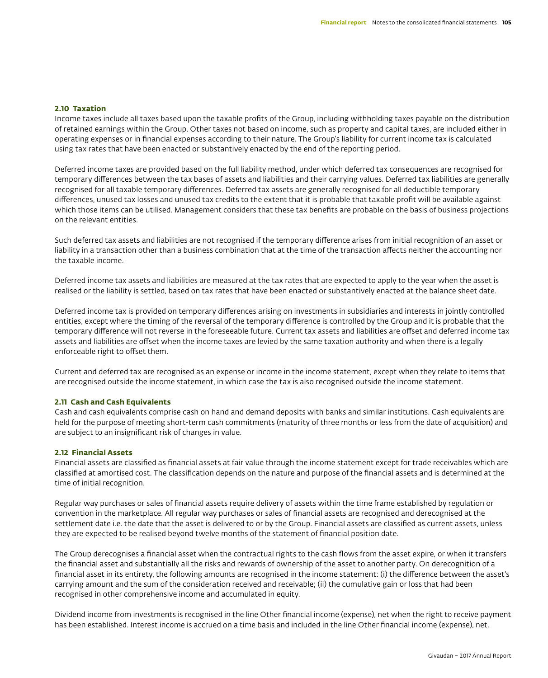#### **2.10 Taxation**

Income taxes include all taxes based upon the taxable profits of the Group, including withholding taxes payable on the distribution of retained earnings within the Group. Other taxes not based on income, such as property and capital taxes, are included either in operating expenses or in financial expenses according to their nature. The Group's liability for current income tax is calculated using tax rates that have been enacted or substantively enacted by the end of the reporting period.

Deferred income taxes are provided based on the full liability method, under which deferred tax consequences are recognised for temporary differences between the tax bases of assets and liabilities and their carrying values. Deferred tax liabilities are generally recognised for all taxable temporary differences. Deferred tax assets are generally recognised for all deductible temporary differences, unused tax losses and unused tax credits to the extent that it is probable that taxable profit will be available against which those items can be utilised. Management considers that these tax benefits are probable on the basis of business projections on the relevant entities.

Such deferred tax assets and liabilities are not recognised if the temporary difference arises from initial recognition of an asset or liability in a transaction other than a business combination that at the time of the transaction affects neither the accounting nor the taxable income.

Deferred income tax assets and liabilities are measured at the tax rates that are expected to apply to the year when the asset is realised or the liability is settled, based on tax rates that have been enacted or substantively enacted at the balance sheet date.

Deferred income tax is provided on temporary differences arising on investments in subsidiaries and interests in jointly controlled entities, except where the timing of the reversal of the temporary difference is controlled by the Group and it is probable that the temporary difference will not reverse in the foreseeable future. Current tax assets and liabilities are offset and deferred income tax assets and liabilities are offset when the income taxes are levied by the same taxation authority and when there is a legally enforceable right to offset them.

Current and deferred tax are recognised as an expense or income in the income statement, except when they relate to items that are recognised outside the income statement, in which case the tax is also recognised outside the income statement.

#### **2.11 Cash and Cash Equivalents**

Cash and cash equivalents comprise cash on hand and demand deposits with banks and similar institutions. Cash equivalents are held for the purpose of meeting short-term cash commitments (maturity of three months or less from the date of acquisition) and are subject to an insignificant risk of changes in value.

#### **2.12 Financial Assets**

Financial assets are classified as financial assets at fair value through the income statement except for trade receivables which are classified at amortised cost. The classification depends on the nature and purpose of the financial assets and is determined at the time of initial recognition.

Regular way purchases or sales of financial assets require delivery of assets within the time frame established by regulation or convention in the marketplace. All regular way purchases or sales of financial assets are recognised and derecognised at the settlement date i.e. the date that the asset is delivered to or by the Group. Financial assets are classified as current assets, unless they are expected to be realised beyond twelve months of the statement of financial position date.

The Group derecognises a financial asset when the contractual rights to the cash flows from the asset expire, or when it transfers the financial asset and substantially all the risks and rewards of ownership of the asset to another party. On derecognition of a financial asset in its entirety, the following amounts are recognised in the income statement: (i) the difference between the asset's carrying amount and the sum of the consideration received and receivable; (ii) the cumulative gain or loss that had been recognised in other comprehensive income and accumulated in equity.

Dividend income from investments is recognised in the line Other financial income (expense), net when the right to receive payment has been established. Interest income is accrued on a time basis and included in the line Other financial income (expense), net.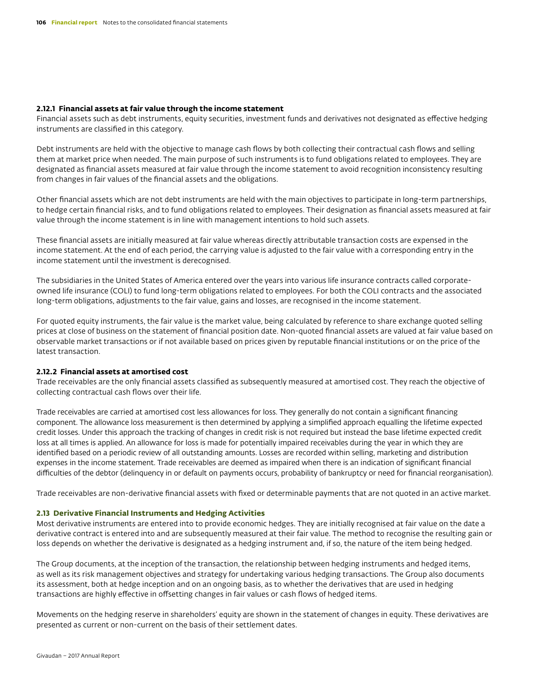#### **2.12.1 Financial assets at fair value through the income statement**

Financial assets such as debt instruments, equity securities, investment funds and derivatives not designated as effective hedging instruments are classified in this category.

Debt instruments are held with the objective to manage cash flows by both collecting their contractual cash flows and selling them at market price when needed. The main purpose of such instruments is to fund obligations related to employees. They are designated as financial assets measured at fair value through the income statement to avoid recognition inconsistency resulting from changes in fair values of the financial assets and the obligations.

Other financial assets which are not debt instruments are held with the main objectives to participate in long-term partnerships, to hedge certain financial risks, and to fund obligations related to employees. Their designation as financial assets measured at fair value through the income statement is in line with management intentions to hold such assets.

These financial assets are initially measured at fair value whereas directly attributable transaction costs are expensed in the income statement. At the end of each period, the carrying value is adjusted to the fair value with a corresponding entry in the income statement until the investment is derecognised.

The subsidiaries in the United States of America entered over the years into various life insurance contracts called corporateowned life insurance (COLI) to fund long-term obligations related to employees. For both the COLI contracts and the associated long-term obligations, adjustments to the fair value, gains and losses, are recognised in the income statement.

For quoted equity instruments, the fair value is the market value, being calculated by reference to share exchange quoted selling prices at close of business on the statement of financial position date. Non-quoted financial assets are valued at fair value based on observable market transactions or if not available based on prices given by reputable financial institutions or on the price of the latest transaction.

#### **2.12.2 Financial assets at amortised cost**

Trade receivables are the only financial assets classified as subsequently measured at amortised cost. They reach the objective of collecting contractual cash flows over their life.

Trade receivables are carried at amortised cost less allowances for loss. They generally do not contain a significant financing component. The allowance loss measurement is then determined by applying a simplified approach equalling the lifetime expected credit losses. Under this approach the tracking of changes in credit risk is not required but instead the base lifetime expected credit loss at all times is applied. An allowance for loss is made for potentially impaired receivables during the year in which they are identified based on a periodic review of all outstanding amounts. Losses are recorded within selling, marketing and distribution expenses in the income statement. Trade receivables are deemed as impaired when there is an indication of significant financial difficulties of the debtor (delinquency in or default on payments occurs, probability of bankruptcy or need for financial reorganisation).

Trade receivables are non-derivative financial assets with fixed or determinable payments that are not quoted in an active market.

#### **2.13 Derivative Financial Instruments and Hedging Activities**

Most derivative instruments are entered into to provide economic hedges. They are initially recognised at fair value on the date a derivative contract is entered into and are subsequently measured at their fair value. The method to recognise the resulting gain or loss depends on whether the derivative is designated as a hedging instrument and, if so, the nature of the item being hedged.

The Group documents, at the inception of the transaction, the relationship between hedging instruments and hedged items, as well as its risk management objectives and strategy for undertaking various hedging transactions. The Group also documents its assessment, both at hedge inception and on an ongoing basis, as to whether the derivatives that are used in hedging transactions are highly effective in offsetting changes in fair values or cash flows of hedged items.

Movements on the hedging reserve in shareholders' equity are shown in the statement of changes in equity. These derivatives are presented as current or non-current on the basis of their settlement dates.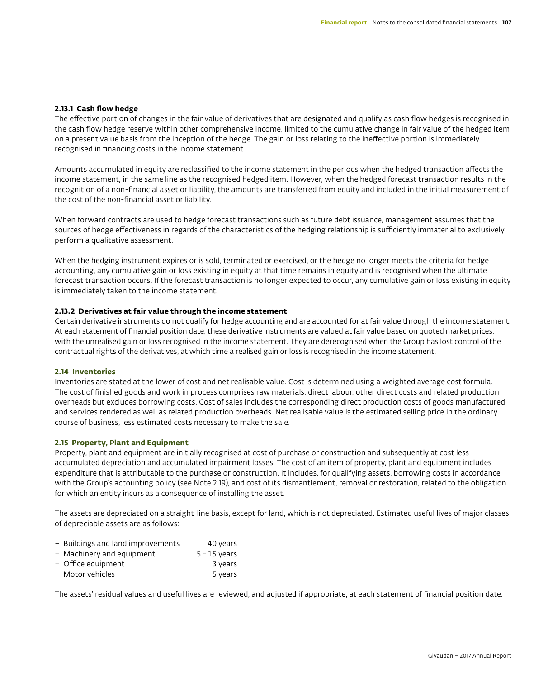#### **2.13.1 Cash flow hedge**

The effective portion of changes in the fair value of derivatives that are designated and qualify as cash flow hedges is recognised in the cash flow hedge reserve within other comprehensive income, limited to the cumulative change in fair value of the hedged item on a present value basis from the inception of the hedge. The gain or loss relating to the ineffective portion is immediately recognised in financing costs in the income statement.

Amounts accumulated in equity are reclassified to the income statement in the periods when the hedged transaction affects the income statement, in the same line as the recognised hedged item. However, when the hedged forecast transaction results in the recognition of a non-financial asset or liability, the amounts are transferred from equity and included in the initial measurement of the cost of the non-financial asset or liability.

When forward contracts are used to hedge forecast transactions such as future debt issuance, management assumes that the sources of hedge effectiveness in regards of the characteristics of the hedging relationship is sufficiently immaterial to exclusively perform a qualitative assessment.

When the hedging instrument expires or is sold, terminated or exercised, or the hedge no longer meets the criteria for hedge accounting, any cumulative gain or loss existing in equity at that time remains in equity and is recognised when the ultimate forecast transaction occurs. If the forecast transaction is no longer expected to occur, any cumulative gain or loss existing in equity is immediately taken to the income statement.

#### **2.13.2 Derivatives at fair value through the income statement**

Certain derivative instruments do not qualify for hedge accounting and are accounted for at fair value through the income statement. At each statement of financial position date, these derivative instruments are valued at fair value based on quoted market prices, with the unrealised gain or loss recognised in the income statement. They are derecognised when the Group has lost control of the contractual rights of the derivatives, at which time a realised gain or loss is recognised in the income statement.

#### **2.14 Inventories**

Inventories are stated at the lower of cost and net realisable value. Cost is determined using a weighted average cost formula. The cost of finished goods and work in process comprises raw materials, direct labour, other direct costs and related production overheads but excludes borrowing costs. Cost of sales includes the corresponding direct production costs of goods manufactured and services rendered as well as related production overheads. Net realisable value is the estimated selling price in the ordinary course of business, less estimated costs necessary to make the sale.

#### **2.15 Property, Plant and Equipment**

Property, plant and equipment are initially recognised at cost of purchase or construction and subsequently at cost less accumulated depreciation and accumulated impairment losses. The cost of an item of property, plant and equipment includes expenditure that is attributable to the purchase or construction. It includes, for qualifying assets, borrowing costs in accordance with the Group's accounting policy (see Note 2.19), and cost of its dismantlement, removal or restoration, related to the obligation for which an entity incurs as a consequence of installing the asset.

The assets are depreciated on a straight-line basis, except for land, which is not depreciated. Estimated useful lives of major classes of depreciable assets are as follows:

- Buildings and land improvements 40 years
- Machinery and equipment 5–15 years
- Office equipment 3 years
- Motor vehicles 5 years

The assets' residual values and useful lives are reviewed, and adjusted if appropriate, at each statement of financial position date.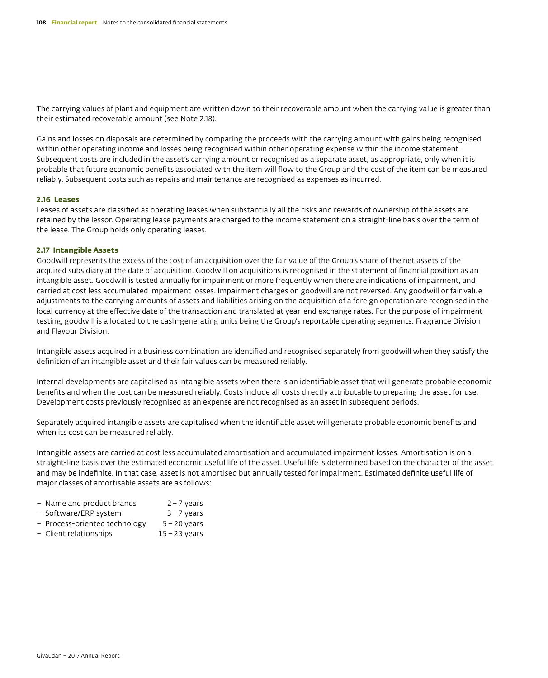The carrying values of plant and equipment are written down to their recoverable amount when the carrying value is greater than their estimated recoverable amount (see Note 2.18).

Gains and losses on disposals are determined by comparing the proceeds with the carrying amount with gains being recognised within other operating income and losses being recognised within other operating expense within the income statement. Subsequent costs are included in the asset's carrying amount or recognised as a separate asset, as appropriate, only when it is probable that future economic benefits associated with the item will flow to the Group and the cost of the item can be measured reliably. Subsequent costs such as repairs and maintenance are recognised as expenses as incurred.

#### **2.16 Leases**

Leases of assets are classified as operating leases when substantially all the risks and rewards of ownership of the assets are retained by the lessor. Operating lease payments are charged to the income statement on a straight-line basis over the term of the lease. The Group holds only operating leases.

#### **2.17 Intangible Assets**

Goodwill represents the excess of the cost of an acquisition over the fair value of the Group's share of the net assets of the acquired subsidiary at the date of acquisition. Goodwill on acquisitions is recognised in the statement of financial position as an intangible asset. Goodwill is tested annually for impairment or more frequently when there are indications of impairment, and carried at cost less accumulated impairment losses. Impairment charges on goodwill are not reversed. Any goodwill or fair value adjustments to the carrying amounts of assets and liabilities arising on the acquisition of a foreign operation are recognised in the local currency at the effective date of the transaction and translated at year-end exchange rates. For the purpose of impairment testing, goodwill is allocated to the cash-generating units being the Group's reportable operating segments: Fragrance Division and Flavour Division.

Intangible assets acquired in a business combination are identified and recognised separately from goodwill when they satisfy the definition of an intangible asset and their fair values can be measured reliably.

Internal developments are capitalised as intangible assets when there is an identifiable asset that will generate probable economic benefits and when the cost can be measured reliably. Costs include all costs directly attributable to preparing the asset for use. Development costs previously recognised as an expense are not recognised as an asset in subsequent periods.

Separately acquired intangible assets are capitalised when the identifiable asset will generate probable economic benefits and when its cost can be measured reliably.

Intangible assets are carried at cost less accumulated amortisation and accumulated impairment losses. Amortisation is on a straight-line basis over the estimated economic useful life of the asset. Useful life is determined based on the character of the asset and may be indefinite. In that case, asset is not amortised but annually tested for impairment. Estimated definite useful life of major classes of amortisable assets are as follows:

- Name and product brands 2–7 years
- Software/ERP system 3–7 years
- Process-oriented technology 5–20 years
- Client relationships 15–23 years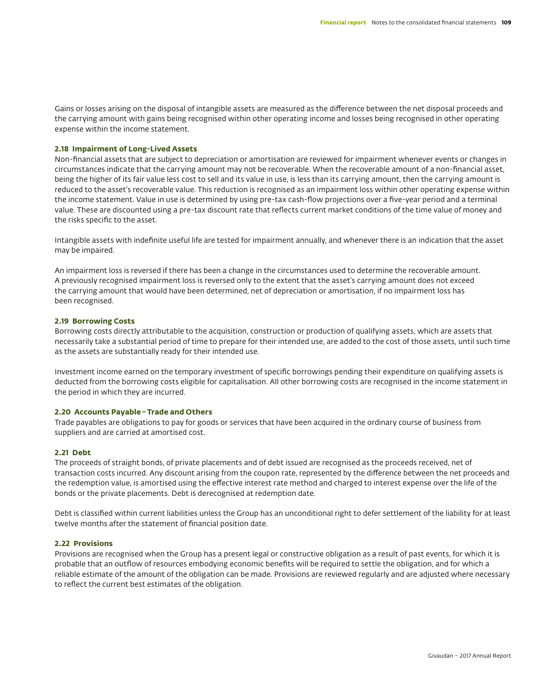Gains or losses arising on the disposal of intangible assets are measured as the difference between the net disposal proceeds and the carrying amount with gains being recognised within other operating income and losses being recognised in other operating expense within the income statement.

#### **2.18 Impairment of Long-Lived Assets**

Non-financial assets that are subject to depreciation or amortisation are reviewed for impairment whenever events or changes in circumstances indicate that the carrying amount may not be recoverable. When the recoverable amount of a non-financial asset, being the higher of its fair value less cost to sell and its value in use, is less than its carrying amount, then the carrying amount is reduced to the asset's recoverable value. This reduction is recognised as an impairment loss within other operating expense within the income statement. Value in use is determined by using pre-tax cash-flow projections over a five-year period and a terminal value. These are discounted using a pre-tax discount rate that reflects current market conditions of the time value of money and the risks specific to the asset.

Intangible assets with indefinite useful life are tested for impairment annually, and whenever there is an indication that the asset may be impaired.

An impairment loss is reversed if there has been a change in the circumstances used to determine the recoverable amount. A previously recognised impairment loss is reversed only to the extent that the asset's carrying amount does not exceed the carrying amount that would have been determined, net of depreciation or amortisation, if no impairment loss has been recognised.

#### **2.19 Borrowing Costs**

Borrowing costs directly attributable to the acquisition, construction or production of qualifying assets, which are assets that necessarily take a substantial period of time to prepare for their intended use, are added to the cost of those assets, until such time as the assets are substantially ready for their intended use.

Investment income earned on the temporary investment of specific borrowings pending their expenditure on qualifying assets is deducted from the borrowing costs eligible for capitalisation. All other borrowing costs are recognised in the income statement in the period in which they are incurred.

#### **2.20 Accounts Payable–Trade and Others**

Trade payables are obligations to pay for goods or services that have been acquired in the ordinary course of business from suppliers and are carried at amortised cost.

#### **2.21 Debt**

The proceeds of straight bonds, of private placements and of debt issued are recognised as the proceeds received, net of transaction costs incurred. Any discount arising from the coupon rate, represented by the difference between the net proceeds and the redemption value, is amortised using the effective interest rate method and charged to interest expense over the life of the bonds or the private placements. Debt is derecognised at redemption date.

Debt is classified within current liabilities unless the Group has an unconditional right to defer settlement of the liability for at least twelve months after the statement of financial position date.

#### **2.22 Provisions**

Provisions are recognised when the Group has a present legal or constructive obligation as a result of past events, for which it is probable that an outflow of resources embodying economic benefits will be required to settle the obligation, and for which a reliable estimate of the amount of the obligation can be made. Provisions are reviewed regularly and are adjusted where necessary to reflect the current best estimates of the obligation.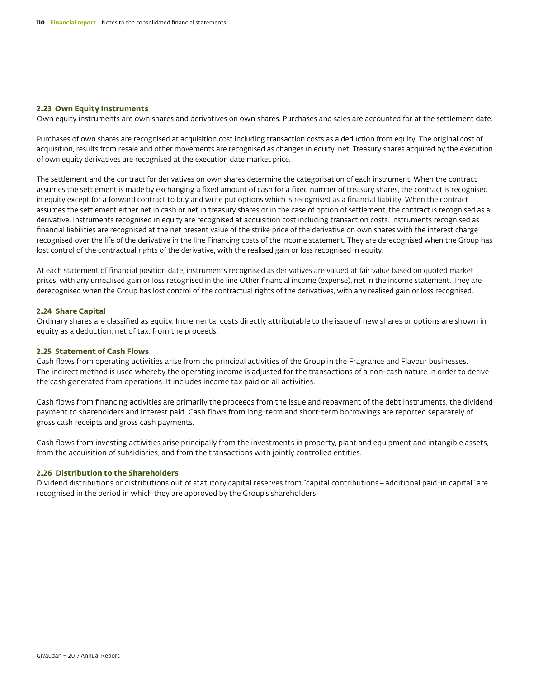#### **2.23 Own Equity Instruments**

Own equity instruments are own shares and derivatives on own shares. Purchases and sales are accounted for at the settlement date.

Purchases of own shares are recognised at acquisition cost including transaction costs as a deduction from equity. The original cost of acquisition, results from resale and other movements are recognised as changes in equity, net. Treasury shares acquired by the execution of own equity derivatives are recognised at the execution date market price.

The settlement and the contract for derivatives on own shares determine the categorisation of each instrument. When the contract assumes the settlement is made by exchanging a fixed amount of cash for a fixed number of treasury shares, the contract is recognised in equity except for a forward contract to buy and write put options which is recognised as a financial liability. When the contract assumes the settlement either net in cash or net in treasury shares or in the case of option of settlement, the contract is recognised as a derivative. Instruments recognised in equity are recognised at acquisition cost including transaction costs. Instruments recognised as financial liabilities are recognised at the net present value of the strike price of the derivative on own shares with the interest charge recognised over the life of the derivative in the line Financing costs of the income statement. They are derecognised when the Group has lost control of the contractual rights of the derivative, with the realised gain or loss recognised in equity.

At each statement of financial position date, instruments recognised as derivatives are valued at fair value based on quoted market prices, with any unrealised gain or loss recognised in the line Other financial income (expense), net in the income statement. They are derecognised when the Group has lost control of the contractual rights of the derivatives, with any realised gain or loss recognised.

#### **2.24 Share Capital**

Ordinary shares are classified as equity. Incremental costs directly attributable to the issue of new shares or options are shown in equity as a deduction, net of tax, from the proceeds.

#### **2.25 Statement of Cash Flows**

Cash flows from operating activities arise from the principal activities of the Group in the Fragrance and Flavour businesses. The indirect method is used whereby the operating income is adjusted for the transactions of a non-cash nature in order to derive the cash generated from operations. It includes income tax paid on all activities.

Cash flows from financing activities are primarily the proceeds from the issue and repayment of the debt instruments, the dividend payment to shareholders and interest paid. Cash flows from long-term and short-term borrowings are reported separately of gross cash receipts and gross cash payments.

Cash flows from investing activities arise principally from the investments in property, plant and equipment and intangible assets, from the acquisition of subsidiaries, and from the transactions with jointly controlled entities.

#### **2.26 Distribution to the Shareholders**

Dividend distributions or distributions out of statutory capital reserves from "capital contributions–additional paid-in capital" are recognised in the period in which they are approved by the Group's shareholders.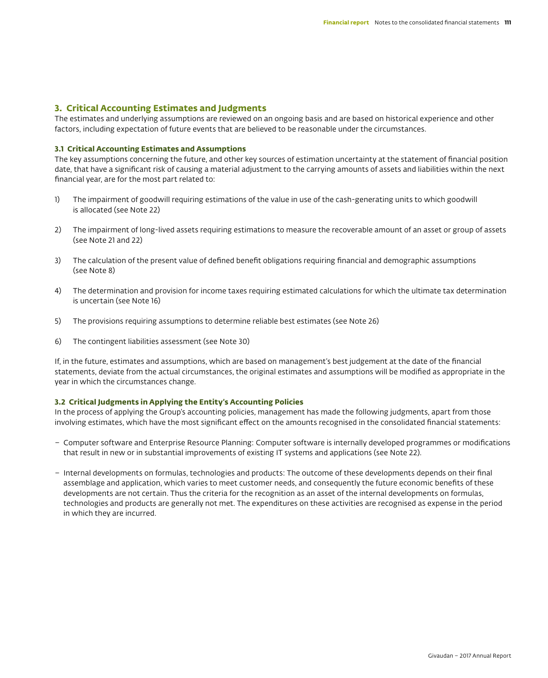# **3. Critical Accounting Estimates and Judgments**

The estimates and underlying assumptions are reviewed on an ongoing basis and are based on historical experience and other factors, including expectation of future events that are believed to be reasonable under the circumstances.

#### **3.1 Critical Accounting Estimates and Assumptions**

The key assumptions concerning the future, and other key sources of estimation uncertainty at the statement of financial position date, that have a significant risk of causing a material adjustment to the carrying amounts of assets and liabilities within the next financial year, are for the most part related to:

- 1) The impairment of goodwill requiring estimations of the value in use of the cash-generating units to which goodwill is allocated (see Note 22)
- 2) The impairment of long-lived assets requiring estimations to measure the recoverable amount of an asset or group of assets (see Note 21 and 22)
- 3) The calculation of the present value of defined benefit obligations requiring financial and demographic assumptions (see Note 8)
- 4) The determination and provision for income taxes requiring estimated calculations for which the ultimate tax determination is uncertain (see Note 16)
- 5) The provisions requiring assumptions to determine reliable best estimates (see Note 26)
- 6) The contingent liabilities assessment (see Note 30)

If, in the future, estimates and assumptions, which are based on management's best judgement at the date of the financial statements, deviate from the actual circumstances, the original estimates and assumptions will be modified as appropriate in the year in which the circumstances change.

#### **3.2 Critical Judgments in Applying the Entity's Accounting Policies**

In the process of applying the Group's accounting policies, management has made the following judgments, apart from those involving estimates, which have the most significant effect on the amounts recognised in the consolidated financial statements:

- Computer software and Enterprise Resource Planning: Computer software is internally developed programmes or modifications that result in new or in substantial improvements of existing IT systems and applications (see Note 22).
- Internal developments on formulas, technologies and products: The outcome of these developments depends on their final assemblage and application, which varies to meet customer needs, and consequently the future economic benefits of these developments are not certain. Thus the criteria for the recognition as an asset of the internal developments on formulas, technologies and products are generally not met. The expenditures on these activities are recognised as expense in the period in which they are incurred.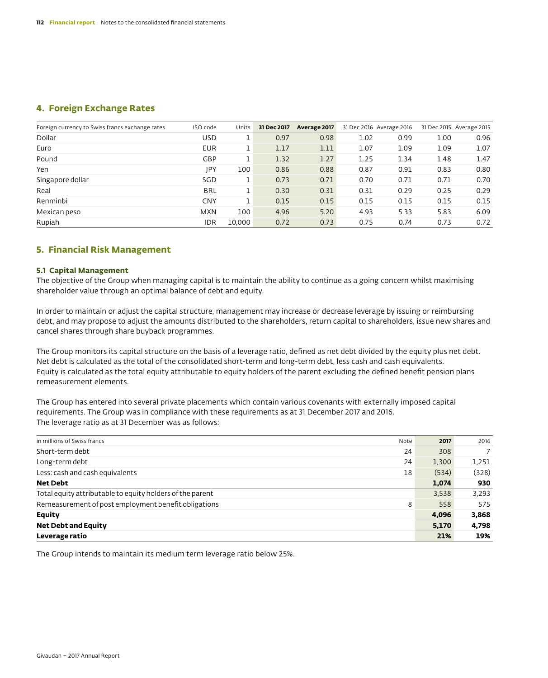# **4. Foreign Exchange Rates**

| Foreign currency to Swiss francs exchange rates | ISO code   | Units  | 31 Dec 2017 | Average 2017 | 31 Dec 2016 Average 2016 |      |      | 31 Dec 2015 Average 2015 |
|-------------------------------------------------|------------|--------|-------------|--------------|--------------------------|------|------|--------------------------|
| Dollar                                          | <b>USD</b> |        | 0.97        | 0.98         | 1.02                     | 0.99 | 1.00 | 0.96                     |
| Euro                                            | <b>EUR</b> |        | 1.17        | 1.11         | 1.07                     | 1.09 | 1.09 | 1.07                     |
| Pound                                           | <b>GBP</b> |        | 1.32        | 1.27         | 1.25                     | 1.34 | 1.48 | 1.47                     |
| Yen                                             | <b>JPY</b> | 100    | 0.86        | 0.88         | 0.87                     | 0.91 | 0.83 | 0.80                     |
| Singapore dollar                                | SGD        |        | 0.73        | 0.71         | 0.70                     | 0.71 | 0.71 | 0.70                     |
| Real                                            | <b>BRL</b> |        | 0.30        | 0.31         | 0.31                     | 0.29 | 0.25 | 0.29                     |
| Renminbi                                        | <b>CNY</b> |        | 0.15        | 0.15         | 0.15                     | 0.15 | 0.15 | 0.15                     |
| Mexican peso                                    | <b>MXN</b> | 100    | 4.96        | 5.20         | 4.93                     | 5.33 | 5.83 | 6.09                     |
| Rupiah                                          | <b>IDR</b> | 10,000 | 0.72        | 0.73         | 0.75                     | 0.74 | 0.73 | 0.72                     |

## **5. Financial Risk Management**

#### **5.1 Capital Management**

The objective of the Group when managing capital is to maintain the ability to continue as a going concern whilst maximising shareholder value through an optimal balance of debt and equity.

In order to maintain or adjust the capital structure, management may increase or decrease leverage by issuing or reimbursing debt, and may propose to adjust the amounts distributed to the shareholders, return capital to shareholders, issue new shares and cancel shares through share buyback programmes.

The Group monitors its capital structure on the basis of a leverage ratio, defined as net debt divided by the equity plus net debt. Net debt is calculated as the total of the consolidated short-term and long-term debt, less cash and cash equivalents. Equity is calculated as the total equity attributable to equity holders of the parent excluding the defined benefit pension plans remeasurement elements.

The Group has entered into several private placements which contain various covenants with externally imposed capital requirements. The Group was in compliance with these requirements as at 31 December 2017 and 2016. The leverage ratio as at 31 December was as follows:

| in millions of Swiss francs                               | Note | 2017  | 2016  |
|-----------------------------------------------------------|------|-------|-------|
| Short-term debt                                           | 24   | 308   |       |
| Long-term debt                                            | 24   | 1,300 | 1,251 |
| Less: cash and cash equivalents                           | 18   | (534) | (328) |
| <b>Net Debt</b>                                           |      | 1,074 | 930   |
| Total equity attributable to equity holders of the parent |      | 3,538 | 3,293 |
| Remeasurement of post employment benefit obligations      | 8    | 558   | 575   |
| <b>Equity</b>                                             |      | 4,096 | 3,868 |
| <b>Net Debt and Equity</b>                                |      | 5,170 | 4,798 |
| Leverage ratio                                            |      | 21%   | 19%   |

The Group intends to maintain its medium term leverage ratio below 25%.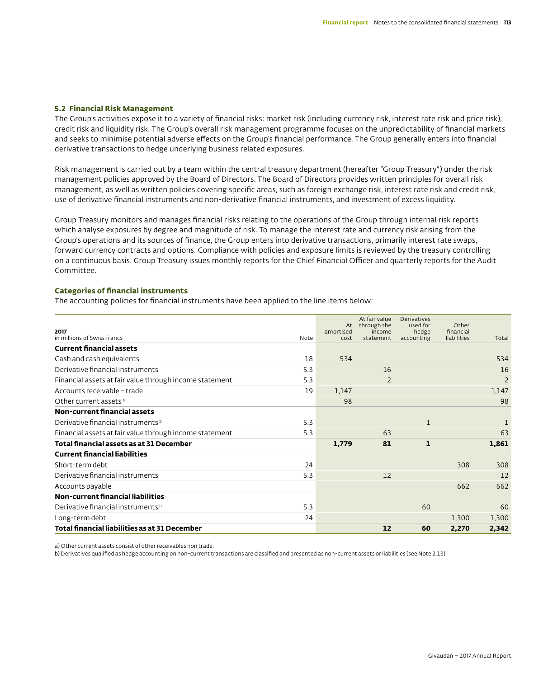#### **5.2 Financial Risk Management**

The Group's activities expose it to a variety of financial risks: market risk (including currency risk, interest rate risk and price risk), credit risk and liquidity risk. The Group's overall risk management programme focuses on the unpredictability of financial markets and seeks to minimise potential adverse effects on the Group's financial performance. The Group generally enters into financial derivative transactions to hedge underlying business related exposures.

Risk management is carried out by a team within the central treasury department (hereafter "Group Treasury") under the risk management policies approved by the Board of Directors. The Board of Directors provides written principles for overall risk management, as well as written policies covering specific areas, such as foreign exchange risk, interest rate risk and credit risk, use of derivative financial instruments and non-derivative financial instruments, and investment of excess liquidity.

Group Treasury monitors and manages financial risks relating to the operations of the Group through internal risk reports which analyse exposures by degree and magnitude of risk. To manage the interest rate and currency risk arising from the Group's operations and its sources of finance, the Group enters into derivative transactions, primarily interest rate swaps, forward currency contracts and options. Compliance with policies and exposure limits is reviewed by the treasury controlling on a continuous basis. Group Treasury issues monthly reports for the Chief Financial Officer and quarterly reports for the Audit Committee.

#### **Categories of financial instruments**

The accounting policies for financial instruments have been applied to the line items below:

|                                                                | At        | At fair value<br>through the | <b>Derivatives</b><br>used for | Other       |                |
|----------------------------------------------------------------|-----------|------------------------------|--------------------------------|-------------|----------------|
| 2017                                                           | amortised | income                       | hedge                          | financial   |                |
| in millions of Swiss francs<br>Note                            | cost      | statement                    | accounting                     | liabilities | Total          |
| <b>Current financial assets</b>                                |           |                              |                                |             |                |
| Cash and cash equivalents<br>18                                | 534       |                              |                                |             | 534            |
| 5.3<br>Derivative financial instruments                        |           | 16                           |                                |             | 16             |
| 5.3<br>Financial assets at fair value through income statement |           | $\overline{2}$               |                                |             | $\overline{2}$ |
| Accounts receivable - trade<br>19                              | 1,147     |                              |                                |             | 1,147          |
| Other current assets <sup>a</sup>                              | 98        |                              |                                |             | 98             |
| <b>Non-current financial assets</b>                            |           |                              |                                |             |                |
| 5.3<br>Derivative financial instruments b                      |           |                              |                                |             |                |
| 5.3<br>Financial assets at fair value through income statement |           | 63                           |                                |             | 63             |
| <b>Total financial assets as at 31 December</b>                | 1,779     | 81                           | $\mathbf{1}$                   |             | 1,861          |
| <b>Current financial liabilities</b>                           |           |                              |                                |             |                |
| 24<br>Short-term debt                                          |           |                              |                                | 308         | 308            |
| 5.3<br>Derivative financial instruments                        |           | 12                           |                                |             | 12             |
| Accounts payable                                               |           |                              |                                | 662         | 662            |
| Non-current financial liabilities                              |           |                              |                                |             |                |
| Derivative financial instruments b<br>5.3                      |           |                              | 60                             |             | 60             |
| 24<br>Long-term debt                                           |           |                              |                                | 1,300       | 1,300          |
| Total financial liabilities as at 31 December                  |           | 12                           | 60                             | 2,270       | 2,342          |

a) Other current assets consist of other receivables non trade.

b) Derivatives qualified as hedge accounting on non-current transactions are classified and presented as non-current assets or liabilities (see Note 2.13).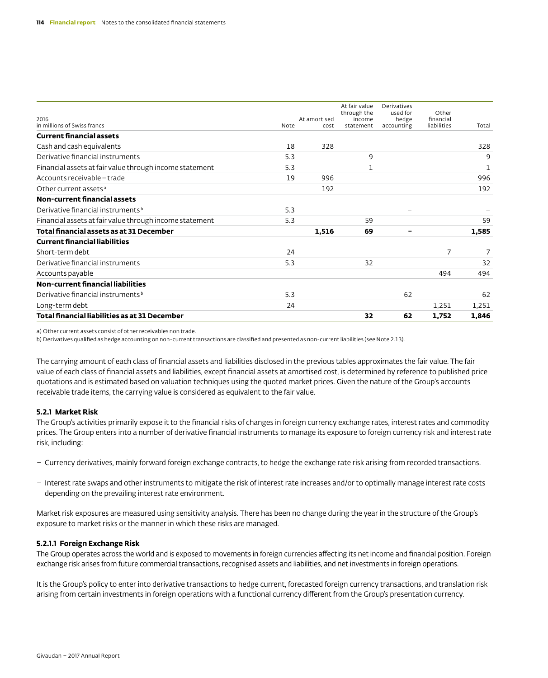| 2016                                                    |      | At amortised | At fair value<br>through the<br>income | Derivatives<br>used for<br>hedge | Other<br>financial |       |
|---------------------------------------------------------|------|--------------|----------------------------------------|----------------------------------|--------------------|-------|
| in millions of Swiss francs                             | Note | cost         | statement                              | accounting                       | liabilities        | Total |
| <b>Current financial assets</b>                         |      |              |                                        |                                  |                    |       |
| Cash and cash equivalents                               | 18   | 328          |                                        |                                  |                    | 328   |
| Derivative financial instruments                        | 5.3  |              | 9                                      |                                  |                    | 9     |
| Financial assets at fair value through income statement | 5.3  |              | 1                                      |                                  |                    | 1     |
| Accounts receivable - trade                             | 19   | 996          |                                        |                                  |                    | 996   |
| Other current assets <sup>a</sup>                       |      | 192          |                                        |                                  |                    | 192   |
| <b>Non-current financial assets</b>                     |      |              |                                        |                                  |                    |       |
| Derivative financial instruments <sup>b</sup>           | 5.3  |              |                                        |                                  |                    |       |
| Financial assets at fair value through income statement | 5.3  |              | 59                                     |                                  |                    | 59    |
| Total financial assets as at 31 December                |      | 1,516        | 69                                     |                                  |                    | 1,585 |
| <b>Current financial liabilities</b>                    |      |              |                                        |                                  |                    |       |
| Short-term debt                                         | 24   |              |                                        |                                  | 7                  |       |
| Derivative financial instruments                        | 5.3  |              | 32                                     |                                  |                    | 32    |
| Accounts payable                                        |      |              |                                        |                                  | 494                | 494   |
| Non-current financial liabilities                       |      |              |                                        |                                  |                    |       |
| Derivative financial instruments <sup>b</sup>           | 5.3  |              |                                        | 62                               |                    | 62    |
| Long-term debt                                          | 24   |              |                                        |                                  | 1,251              | 1,251 |
| Total financial liabilities as at 31 December           |      |              | 32                                     | 62                               | 1,752              | 1,846 |

a) Other current assets consist of other receivables non trade.

b) Derivatives qualified as hedge accounting on non-current transactions are classified and presented as non-current liabilities (see Note 2.13).

The carrying amount of each class of financial assets and liabilities disclosed in the previous tables approximates the fair value. The fair value of each class of financial assets and liabilities, except financial assets at amortised cost, is determined by reference to published price quotations and is estimated based on valuation techniques using the quoted market prices. Given the nature of the Group's accounts receivable trade items, the carrying value is considered as equivalent to the fair value.

#### **5.2.1 Market Risk**

The Group's activities primarily expose it to the financial risks of changes in foreign currency exchange rates, interest rates and commodity prices. The Group enters into a number of derivative financial instruments to manage its exposure to foreign currency risk and interest rate risk, including:

- Currency derivatives, mainly forward foreign exchange contracts, to hedge the exchange rate risk arising from recorded transactions.
- Interest rate swaps and other instruments to mitigate the risk of interest rate increases and/or to optimally manage interest rate costs depending on the prevailing interest rate environment.

Market risk exposures are measured using sensitivity analysis. There has been no change during the year in the structure of the Group's exposure to market risks or the manner in which these risks are managed.

#### **5.2.1.1 Foreign Exchange Risk**

The Group operates across the world and is exposed to movements in foreign currencies affecting its net income and financial position. Foreign exchange risk arises from future commercial transactions, recognised assets and liabilities, and net investments in foreign operations.

It is the Group's policy to enter into derivative transactions to hedge current, forecasted foreign currency transactions, and translation risk arising from certain investments in foreign operations with a functional currency different from the Group's presentation currency.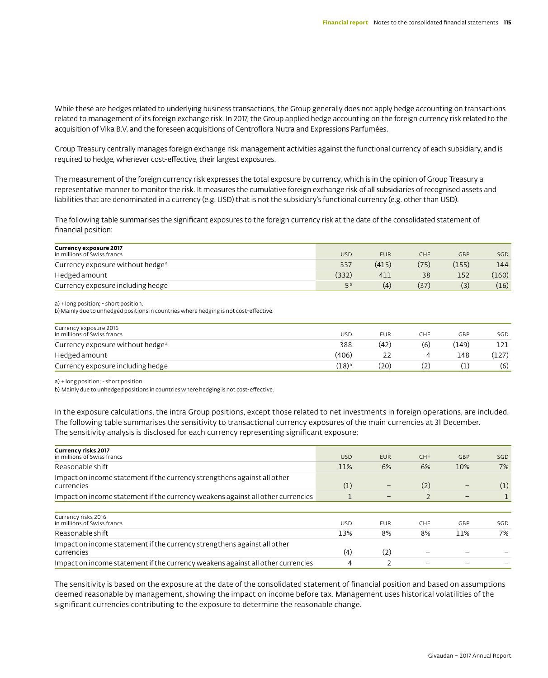While these are hedges related to underlying business transactions, the Group generally does not apply hedge accounting on transactions related to management of its foreign exchange risk. In 2017, the Group applied hedge accounting on the foreign currency risk related to the acquisition of Vika B.V. and the foreseen acquisitions of Centroflora Nutra and Expressions Parfumées.

Group Treasury centrally manages foreign exchange risk management activities against the functional currency of each subsidiary, and is required to hedge, whenever cost-effective, their largest exposures.

The measurement of the foreign currency risk expresses the total exposure by currency, which is in the opinion of Group Treasury a representative manner to monitor the risk. It measures the cumulative foreign exchange risk of all subsidiaries of recognised assets and liabilities that are denominated in a currency (e.g. USD) that is not the subsidiary's functional currency (e.g. other than USD).

The following table summarises the significant exposures to the foreign currency risk at the date of the consolidated statement of financial position:

| Currency exposure 2017<br>in millions of Swiss francs | <b>USD</b> | <b>EUR</b> | CHF  | GBP   | SG <sub>D</sub> |
|-------------------------------------------------------|------------|------------|------|-------|-----------------|
| Currency exposure without hedge <sup>a</sup>          | 337        | (415)      | '75) | (155) | 144             |
| Hedged amount                                         | (332)      | 411        |      | 152   | (160)           |
| Currency exposure including hedge                     | ςb         | (4)        | 37   | (3)   | (16)            |

a) + long position; - short position.

b) Mainly due to unhedged positions in countries where hedging is not cost-effective.

| Currency exposure 2016<br>in millions of Swiss francs | USD   | <b>EUR</b> | CHF | GBP  | SGD.  |
|-------------------------------------------------------|-------|------------|-----|------|-------|
| Currency exposure without hedge <sup>a</sup>          | 388   | (42)       | (6) | 149) |       |
| Hedged amount                                         | (406) |            |     | 148  | (127) |
| Currency exposure including hedge                     | (18)b | '20)       |     |      | (6)   |

a) + long position; - short position.

b) Mainly due to unhedged positions in countries where hedging is not cost-effective.

In the exposure calculations, the intra Group positions, except those related to net investments in foreign operations, are included. The following table summarises the sensitivity to transactional currency exposures of the main currencies at 31 December. The sensitivity analysis is disclosed for each currency representing significant exposure:

| <b>Currency risks 2017</b><br>in millions of Swiss francs                              | <b>USD</b> | <b>EUR</b> | CHF | <b>GBP</b> | SGD  |
|----------------------------------------------------------------------------------------|------------|------------|-----|------------|------|
| Reasonable shift                                                                       | 11%        | 6%         | 6%  | 10%        | 7%   |
| Impact on income statement if the currency strengthens against all other<br>currencies | (1)        |            | (2) |            | (1)  |
| Impact on income statement if the currency weakens against all other currencies        |            | -          |     | -          |      |
| Currency risks 2016<br>in millions of Swiss francs                                     | <b>USD</b> | <b>EUR</b> | CHF | GBP        | SGD. |
| Reasonable shift                                                                       | 13%        | 8%         | 8%  | 11%        | 7%   |
| Impact on income statement if the currency strengthens against all other<br>currencies | (4)        | (2)        |     |            |      |
| Impact on income statement if the currency weakens against all other currencies        | 4          |            |     |            |      |

The sensitivity is based on the exposure at the date of the consolidated statement of financial position and based on assumptions deemed reasonable by management, showing the impact on income before tax. Management uses historical volatilities of the significant currencies contributing to the exposure to determine the reasonable change.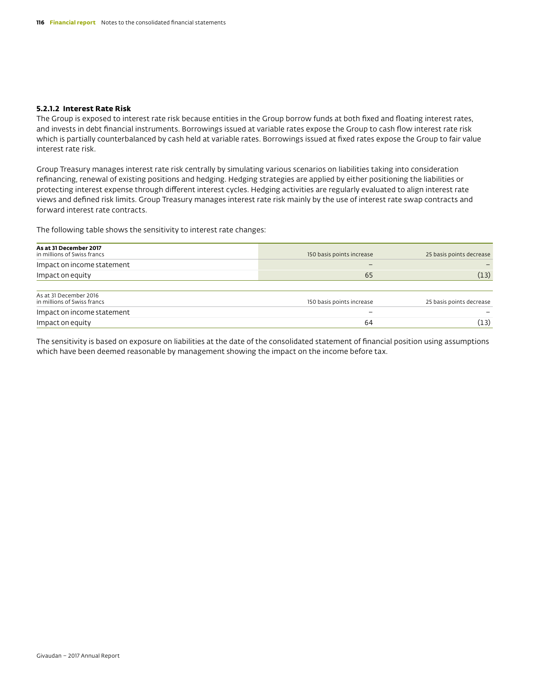#### **5.2.1.2 Interest Rate Risk**

The Group is exposed to interest rate risk because entities in the Group borrow funds at both fixed and floating interest rates, and invests in debt financial instruments. Borrowings issued at variable rates expose the Group to cash flow interest rate risk which is partially counterbalanced by cash held at variable rates. Borrowings issued at fixed rates expose the Group to fair value interest rate risk.

Group Treasury manages interest rate risk centrally by simulating various scenarios on liabilities taking into consideration refinancing, renewal of existing positions and hedging. Hedging strategies are applied by either positioning the liabilities or protecting interest expense through different interest cycles. Hedging activities are regularly evaluated to align interest rate views and defined risk limits. Group Treasury manages interest rate risk mainly by the use of interest rate swap contracts and forward interest rate contracts.

The following table shows the sensitivity to interest rate changes:

| As at 31 December 2017<br>in millions of Swiss francs | 150 basis points increase    | 25 basis points decrease |
|-------------------------------------------------------|------------------------------|--------------------------|
| Impact on income statement                            | $\qquad \qquad \blacksquare$ |                          |
| Impact on equity                                      | 65                           | (13)                     |
|                                                       |                              |                          |
| As at 31 December 2016<br>in millions of Swiss francs | 150 basis points increase    | 25 basis points decrease |
| Impact on income statement                            | $\overline{\phantom{a}}$     |                          |
| Impact on equity                                      | 64                           | (13)                     |

The sensitivity is based on exposure on liabilities at the date of the consolidated statement of financial position using assumptions which have been deemed reasonable by management showing the impact on the income before tax.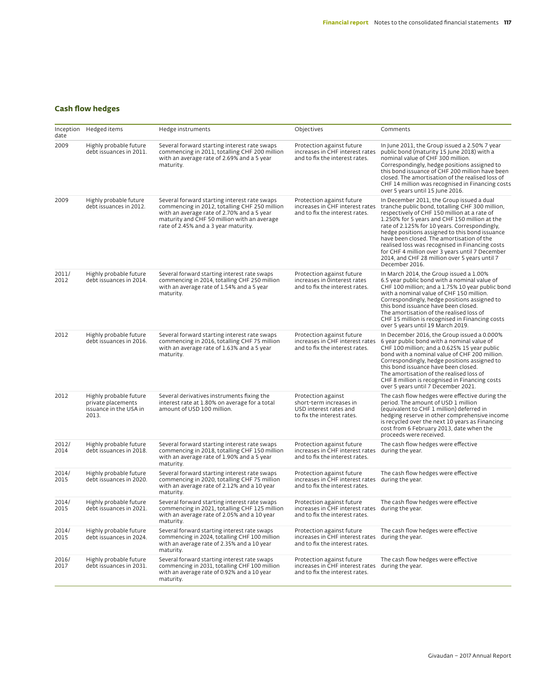# **Cash flow hedges**

| date          | Inception Hedged items                                                          | Hedge instruments                                                                                                                                                                                                                  | Objectives                                                                                                      | Comments                                                                                                                                                                                                                                                                                                                                                                                                                                                                                                               |
|---------------|---------------------------------------------------------------------------------|------------------------------------------------------------------------------------------------------------------------------------------------------------------------------------------------------------------------------------|-----------------------------------------------------------------------------------------------------------------|------------------------------------------------------------------------------------------------------------------------------------------------------------------------------------------------------------------------------------------------------------------------------------------------------------------------------------------------------------------------------------------------------------------------------------------------------------------------------------------------------------------------|
| 2009          | Highly probable future<br>debt issuances in 2011.                               | Several forward starting interest rate swaps<br>commencing in 2011, totalling CHF 200 million<br>with an average rate of 2.69% and a 5 year<br>maturity.                                                                           | Protection against future<br>increases in CHF interest rates<br>and to fix the interest rates.                  | In June 2011, the Group issued a 2.50% 7 year<br>public bond (maturity 15 June 2018) with a<br>nominal value of CHF 300 million.<br>Correspondingly, hedge positions assigned to<br>this bond issuance of CHF 200 million have been<br>closed. The amortisation of the realised loss of<br>CHF 14 million was recognised in Financing costs<br>over 5 years until 15 June 2016.                                                                                                                                        |
| 2009          | Highly probable future<br>debt issuances in 2012.                               | Several forward starting interest rate swaps<br>commencing in 2012, totalling CHF 250 million<br>with an average rate of 2.70% and a 5 year<br>maturity and CHF 50 million with an average<br>rate of 2.45% and a 3 year maturity. | Protection against future<br>increases in CHF interest rates<br>and to fix the interest rates.                  | In December 2011, the Group issued a dual<br>tranche public bond, totalling CHF 300 million,<br>respectively of CHF 150 million at a rate of<br>1.250% for 5 years and CHF 150 million at the<br>rate of 2.125% for 10 years. Correspondingly,<br>hedge positions assigned to this bond issuance<br>have been closed. The amortisation of the<br>realised loss was recognised in Financing costs<br>for CHF 4 million over 3 years until 7 December<br>2014, and CHF 28 million over 5 years until 7<br>December 2016. |
| 2011/<br>2012 | Highly probable future<br>debt issuances in 2014.                               | Several forward starting interest rate swaps<br>commencing in 2014, totalling CHF 250 million<br>with an average rate of 1.54% and a 5 year<br>maturity.                                                                           | Protection against future<br>increases in Ointerest rates<br>and to fix the interest rates.                     | In March 2014, the Group issued a 1.00%<br>6.5 year public bond with a nominal value of<br>CHF 100 million; and a 1.75% 10 year public bond<br>with a nominal value of CHF 150 million.<br>Correspondingly, hedge positions assigned to<br>this bond issuance have been closed.<br>The amortisation of the realised loss of<br>CHF 15 million is recognised in Financing costs<br>over 5 years until 19 March 2019.                                                                                                    |
| 2012          | Highly probable future<br>debt issuances in 2016.                               | Several forward starting interest rate swaps<br>commencing in 2016, totalling CHF 75 million<br>with an average rate of 1.63% and a 5 year<br>maturity.                                                                            | Protection against future<br>and to fix the interest rates.                                                     | In December 2016, the Group issued a 0.000%<br>increases in CHF interest rates 6 year public bond with a nominal value of<br>CHF 100 million; and a 0.625% 15 year public<br>bond with a nominal value of CHF 200 million.<br>Correspondingly, hedge positions assigned to<br>this bond issuance have been closed.<br>The amortisation of the realised loss of<br>CHF 8 million is recognised in Financing costs<br>over 5 years until 7 December 2021.                                                                |
| 2012          | Highly probable future<br>private placements<br>issuance in the USA in<br>2013. | Several derivatives instruments fixing the<br>interest rate at 1.80% on average for a total<br>amount of USD 100 million.                                                                                                          | Protection against<br>short-term increases in<br>USD interest rates and<br>to fix the interest rates.           | The cash flow hedges were effective during the<br>period. The amount of USD 1 million<br>(equivalent to CHF 1 million) deferred in<br>hedging reserve in other comprehensive income<br>is recycled over the next 10 years as Financing<br>cost from 6 February 2013, date when the<br>proceeds were received.                                                                                                                                                                                                          |
| 2012/<br>2014 | Highly probable future<br>debt issuances in 2018.                               | Several forward starting interest rate swaps<br>commencing in 2018, totalling CHF 150 million<br>with an average rate of 1.90% and a 5 year<br>maturity.                                                                           | Protection against future<br>increases in CHF interest rates during the year.<br>and to fix the interest rates. | The cash flow hedges were effective                                                                                                                                                                                                                                                                                                                                                                                                                                                                                    |
| 2014/<br>2015 | Highly probable future<br>debt issuances in 2020.                               | Several forward starting interest rate swaps<br>commencing in 2020, totalling CHF 75 million<br>with an average rate of 2.12% and a 10 year<br>maturity.                                                                           | Protection against future<br>increases in CHF interest rates<br>and to fix the interest rates.                  | The cash flow hedges were effective<br>during the year.                                                                                                                                                                                                                                                                                                                                                                                                                                                                |
| 2014/<br>2015 | Highly probable future<br>debt issuances in 2021.                               | Several forward starting interest rate swaps<br>commencing in 2021, totalling CHF 125 million<br>with an average rate of 2.05% and a 10 year<br>maturity.                                                                          | Protection against future<br>increases in CHF interest rates during the year.<br>and to fix the interest rates. | The cash flow hedges were effective                                                                                                                                                                                                                                                                                                                                                                                                                                                                                    |
| 2014/<br>2015 | Highly probable future<br>debt issuances in 2024.                               | Several forward starting interest rate swaps<br>commencing in 2024, totalling CHF 100 million<br>with an average rate of 2.35% and a 10 year<br>maturity.                                                                          | Protection against future<br>increases in CHF interest rates during the year.<br>and to fix the interest rates. | The cash flow hedges were effective                                                                                                                                                                                                                                                                                                                                                                                                                                                                                    |
| 2016/<br>2017 | Highly probable future<br>debt issuances in 2031.                               | Several forward starting interest rate swaps<br>commencing in 2031, totalling CHF 100 million<br>with an average rate of 0.92% and a 10 year<br>maturity.                                                                          | Protection against future<br>increases in CHF interest rates<br>and to fix the interest rates.                  | The cash flow hedges were effective<br>during the year.                                                                                                                                                                                                                                                                                                                                                                                                                                                                |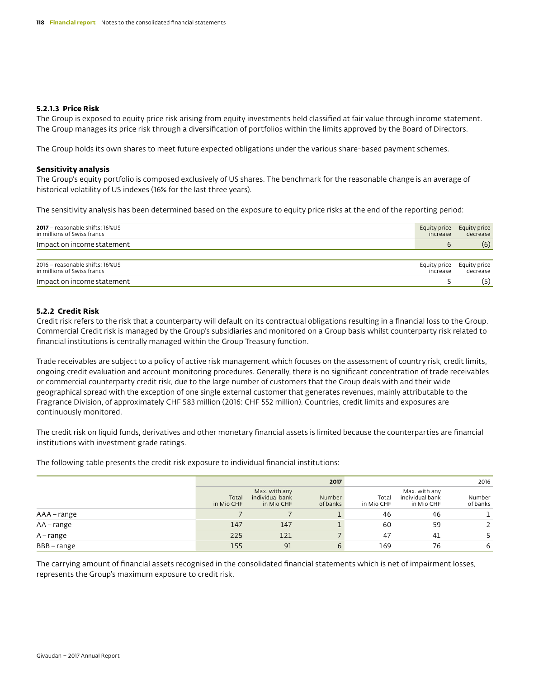#### **5.2.1.3 Price Risk**

The Group is exposed to equity price risk arising from equity investments held classified at fair value through income statement. The Group manages its price risk through a diversification of portfolios within the limits approved by the Board of Directors.

The Group holds its own shares to meet future expected obligations under the various share-based payment schemes.

#### **Sensitivity analysis**

The Group's equity portfolio is composed exclusively of US shares. The benchmark for the reasonable change is an average of historical volatility of US indexes (16% for the last three years).

The sensitivity analysis has been determined based on the exposure to equity price risks at the end of the reporting period:

| 2017 - reasonable shifts: 16%US<br>in millions of Swiss francs | Equity price<br>increase | Equity price<br>decrease |
|----------------------------------------------------------------|--------------------------|--------------------------|
| Impact on income statement                                     | b                        | (6)                      |
|                                                                |                          |                          |
| 2016 - reasonable shifts: 16%US<br>in millions of Swiss francs | Equity price<br>increase | Equity price<br>decrease |
| Impact on income statement                                     |                          | (5)                      |

#### **5.2.2 Credit Risk**

Credit risk refers to the risk that a counterparty will default on its contractual obligations resulting in a financial loss to the Group. Commercial Credit risk is managed by the Group's subsidiaries and monitored on a Group basis whilst counterparty risk related to financial institutions is centrally managed within the Group Treasury function.

Trade receivables are subject to a policy of active risk management which focuses on the assessment of country risk, credit limits, ongoing credit evaluation and account monitoring procedures. Generally, there is no significant concentration of trade receivables or commercial counterparty credit risk, due to the large number of customers that the Group deals with and their wide geographical spread with the exception of one single external customer that generates revenues, mainly attributable to the Fragrance Division, of approximately CHF 583 million (2016: CHF 552 million). Countries, credit limits and exposures are continuously monitored.

The credit risk on liquid funds, derivatives and other monetary financial assets is limited because the counterparties are financial institutions with investment grade ratings.

The following table presents the credit risk exposure to individual financial institutions:

|              |                     |                                                | 2017               |                     |                                                | 2016               |
|--------------|---------------------|------------------------------------------------|--------------------|---------------------|------------------------------------------------|--------------------|
|              | Total<br>in Mio CHF | Max. with any<br>individual bank<br>in Mio CHF | Number<br>of banks | Total<br>in Mio CHF | Max. with any<br>individual bank<br>in Mio CHF | Number<br>of banks |
| AAA – range  |                     |                                                |                    | 46                  | 46                                             |                    |
| $AA$ – range | 147                 | 147                                            |                    | 60                  | 59                                             |                    |
| A – range    | 225                 | 121                                            |                    | 47                  | 41                                             |                    |
| BBB-range    | 155                 | 91                                             | 6                  | 169                 | 76                                             | 6                  |

The carrying amount of financial assets recognised in the consolidated financial statements which is net of impairment losses, represents the Group's maximum exposure to credit risk.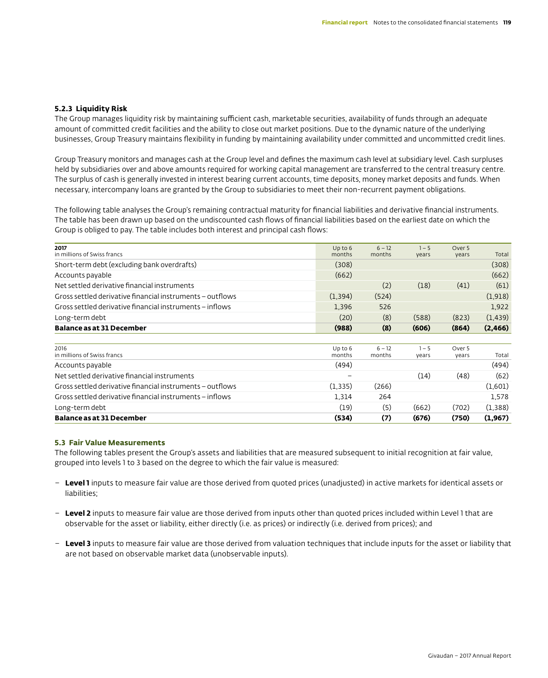#### **5.2.3 Liquidity Risk**

The Group manages liquidity risk by maintaining sufficient cash, marketable securities, availability of funds through an adequate amount of committed credit facilities and the ability to close out market positions. Due to the dynamic nature of the underlying businesses, Group Treasury maintains flexibility in funding by maintaining availability under committed and uncommitted credit lines.

Group Treasury monitors and manages cash at the Group level and defines the maximum cash level at subsidiary level. Cash surpluses held by subsidiaries over and above amounts required for working capital management are transferred to the central treasury centre. The surplus of cash is generally invested in interest bearing current accounts, time deposits, money market deposits and funds. When necessary, intercompany loans are granted by the Group to subsidiaries to meet their non-recurrent payment obligations.

The following table analyses the Group's remaining contractual maturity for financial liabilities and derivative financial instruments. The table has been drawn up based on the undiscounted cash flows of financial liabilities based on the earliest date on which the Group is obliged to pay. The table includes both interest and principal cash flows:

| 2017                                                      | $Up$ to $6$ | $6 - 12$ | $1 - 5$ | Over 5 |          |
|-----------------------------------------------------------|-------------|----------|---------|--------|----------|
| in millions of Swiss francs                               | months      | months   | vears   | vears  | Total    |
| Short-term debt (excluding bank overdrafts)               | (308)       |          |         |        | (308)    |
| Accounts payable                                          | (662)       |          |         |        | (662)    |
| Net settled derivative financial instruments              |             | (2)      | (18)    | (41)   | (61)     |
| Gross settled derivative financial instruments - outflows | (1, 394)    | (524)    |         |        | (1,918)  |
| Gross settled derivative financial instruments – inflows  | 1,396       | 526      |         |        | 1,922    |
| Long-term debt                                            | (20)        | (8)      | (588)   | (823)  | (1, 439) |
| <b>Balance as at 31 December</b>                          | (988)       | (8)      | (606)   | (864)  | (2, 466) |
|                                                           |             |          |         |        |          |
| 2016                                                      | Up to 6     | $6 - 12$ | $1 - 5$ | Over 5 |          |
| in millions of Swiss francs                               | months      | months   | vears   | vears  | Total    |
| Accounts payable                                          | (494)       |          |         |        | (494)    |
| Net settled derivative financial instruments              |             |          | (14)    | (48)   | (62)     |
| Gross settled derivative financial instruments - outflows | (1, 335)    | (266)    |         |        | (1,601)  |
| Gross settled derivative financial instruments - inflows  | 1,314       | 264      |         |        | 1,578    |
| Long-term debt                                            | (19)        | (5)      | (662)   | (702)  | (1,388)  |
| <b>Balance as at 31 December</b>                          | (534)       | (7)      | (676)   | (750)  | (1,967)  |

#### **5.3 Fair Value Measurements**

The following tables present the Group's assets and liabilities that are measured subsequent to initial recognition at fair value, grouped into levels 1 to 3 based on the degree to which the fair value is measured:

- – **Level 1** inputs to measure fair value are those derived from quoted prices (unadjusted) in active markets for identical assets or liabilities;
- – **Level 2** inputs to measure fair value are those derived from inputs other than quoted prices included within Level 1 that are observable for the asset or liability, either directly (i.e. as prices) or indirectly (i.e. derived from prices); and
- **Level 3** inputs to measure fair value are those derived from valuation techniques that include inputs for the asset or liability that are not based on observable market data (unobservable inputs).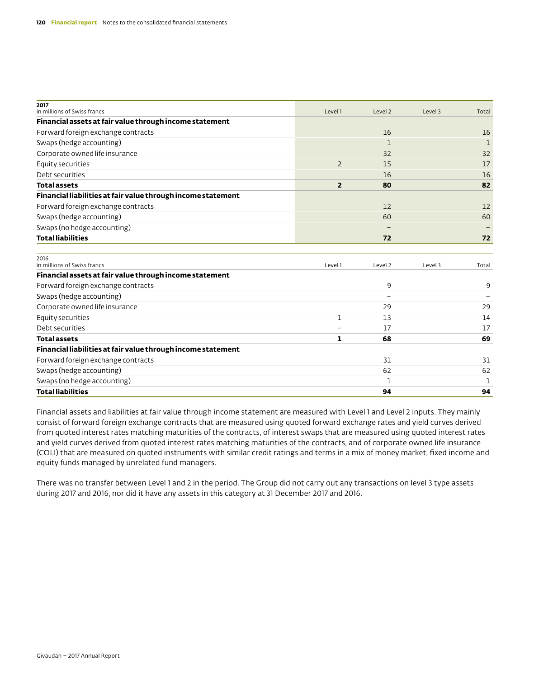| 2017<br>in millions of Swiss francs                          | Level 1        | Level 2                  | Level 3 | Total |
|--------------------------------------------------------------|----------------|--------------------------|---------|-------|
| Financial assets at fair value through income statement      |                |                          |         |       |
| Forward foreign exchange contracts                           |                | 16                       |         | 16    |
| Swaps (hedge accounting)                                     |                | 1                        |         | 1     |
| Corporate owned life insurance                               |                | 32                       |         | 32    |
| Equity securities                                            | $\overline{2}$ | 15                       |         | 17    |
| Debt securities                                              |                | 16                       |         | 16    |
| <b>Total assets</b>                                          | $\overline{2}$ | 80                       |         | 82    |
| Financial liabilities at fair value through income statement |                |                          |         |       |
| Forward foreign exchange contracts                           |                | 12                       |         | 12    |
| Swaps (hedge accounting)                                     |                | 60                       |         | 60    |
| Swaps (no hedge accounting)                                  |                |                          |         |       |
| <b>Total liabilities</b>                                     |                | 72                       |         | 72    |
| 2016<br>in millions of Swiss francs                          | Level 1        | Level 2                  | Level 3 | Total |
| Financial assets at fair value through income statement      |                |                          |         |       |
| Forward foreign exchange contracts                           |                | 9                        |         | 9     |
| Swaps (hedge accounting)                                     |                | $\overline{\phantom{0}}$ |         |       |
| Corporate owned life insurance                               |                | 29                       |         | 29    |
| Equity securities                                            | $\mathbf{1}$   | 13                       |         | 14    |
| Debt securities                                              |                | 17                       |         | 17    |
| <b>Total assets</b>                                          | ı              | 68                       |         | 69    |
| Financial liabilities at fair value through income statement |                |                          |         |       |
| Forward foreign exchange contracts                           |                | 31                       |         | 31    |
| Swaps (hedge accounting)                                     |                | 62                       |         | 62    |
| Swaps (no hedge accounting)                                  |                | 1                        |         | 1     |
| <b>Total liabilities</b>                                     |                | 94                       |         | 94    |

Financial assets and liabilities at fair value through income statement are measured with Level 1 and Level 2 inputs. They mainly consist of forward foreign exchange contracts that are measured using quoted forward exchange rates and yield curves derived from quoted interest rates matching maturities of the contracts, of interest swaps that are measured using quoted interest rates and yield curves derived from quoted interest rates matching maturities of the contracts, and of corporate owned life insurance (COLI) that are measured on quoted instruments with similar credit ratings and terms in a mix of money market, fixed income and equity funds managed by unrelated fund managers.

There was no transfer between Level 1 and 2 in the period. The Group did not carry out any transactions on level 3 type assets during 2017 and 2016, nor did it have any assets in this category at 31 December 2017 and 2016.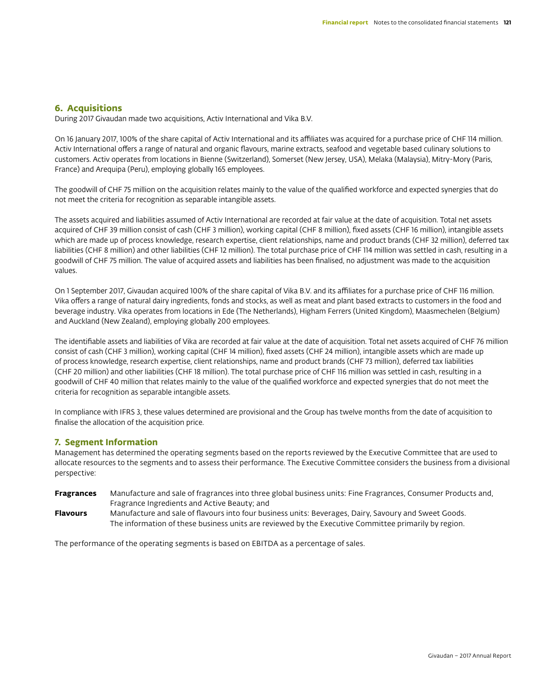# **6. Acquisitions**

During 2017 Givaudan made two acquisitions, Activ International and Vika B.V.

On 16 January 2017, 100% of the share capital of Activ International and its affiliates was acquired for a purchase price of CHF 114 million. Activ International offers a range of natural and organic flavours, marine extracts, seafood and vegetable based culinary solutions to customers. Activ operates from locations in Bienne (Switzerland), Somerset (New Jersey, USA), Melaka (Malaysia), Mitry-Mory (Paris, France) and Arequipa (Peru), employing globally 165 employees.

The goodwill of CHF 75 million on the acquisition relates mainly to the value of the qualified workforce and expected synergies that do not meet the criteria for recognition as separable intangible assets.

The assets acquired and liabilities assumed of Activ International are recorded at fair value at the date of acquisition. Total net assets acquired of CHF 39 million consist of cash (CHF 3 million), working capital (CHF 8 million), fixed assets (CHF 16 million), intangible assets which are made up of process knowledge, research expertise, client relationships, name and product brands (CHF 32 million), deferred tax liabilities (CHF 8 million) and other liabilities (CHF 12 million). The total purchase price of CHF 114 million was settled in cash, resulting in a goodwill of CHF 75 million. The value of acquired assets and liabilities has been finalised, no adjustment was made to the acquisition values.

On 1 September 2017, Givaudan acquired 100% of the share capital of Vika B.V. and its affiliates for a purchase price of CHF 116 million. Vika offers a range of natural dairy ingredients, fonds and stocks, as well as meat and plant based extracts to customers in the food and beverage industry. Vika operates from locations in Ede (The Netherlands), Higham Ferrers (United Kingdom), Maasmechelen (Belgium) and Auckland (New Zealand), employing globally 200 employees.

The identifiable assets and liabilities of Vika are recorded at fair value at the date of acquisition. Total net assets acquired of CHF 76 million consist of cash (CHF 3 million), working capital (CHF 14 million), fixed assets (CHF 24 million), intangible assets which are made up of process knowledge, research expertise, client relationships, name and product brands (CHF 73 million), deferred tax liabilities (CHF 20 million) and other liabilities (CHF 18 million). The total purchase price of CHF 116 million was settled in cash, resulting in a goodwill of CHF 40 million that relates mainly to the value of the qualified workforce and expected synergies that do not meet the criteria for recognition as separable intangible assets.

In compliance with IFRS 3, these values determined are provisional and the Group has twelve months from the date of acquisition to finalise the allocation of the acquisition price.

#### **7. Segment Information**

Management has determined the operating segments based on the reports reviewed by the Executive Committee that are used to allocate resources to the segments and to assess their performance. The Executive Committee considers the business from a divisional perspective:

- **Fragrances** Manufacture and sale of fragrances into three global business units: Fine Fragrances, Consumer Products and, Fragrance Ingredients and Active Beauty; and
- **Flavours** Manufacture and sale of flavours into four business units: Beverages, Dairy, Savoury and Sweet Goods. The information of these business units are reviewed by the Executive Committee primarily by region.

The performance of the operating segments is based on EBITDA as a percentage of sales.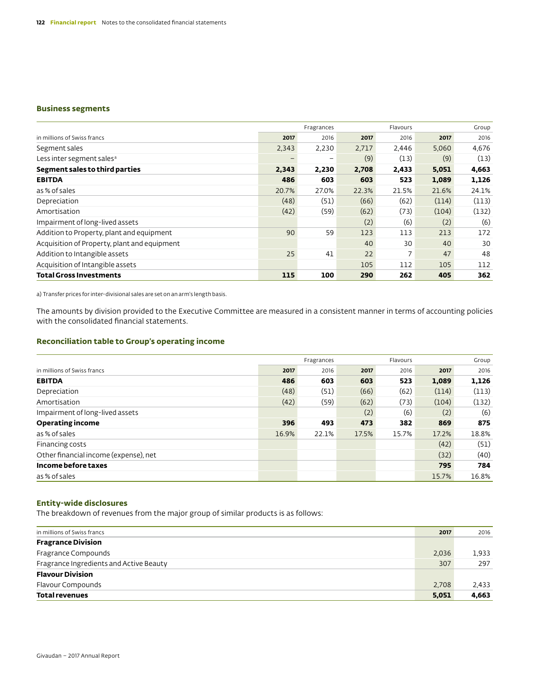#### **Business segments**

|                                              |       | Fragrances |       | Flavours |       | Group |
|----------------------------------------------|-------|------------|-------|----------|-------|-------|
| in millions of Swiss francs                  | 2017  | 2016       | 2017  | 2016     | 2017  | 2016  |
| Segment sales                                | 2,343 | 2,230      | 2.717 | 2,446    | 5,060 | 4,676 |
| Less inter segment sales <sup>a</sup>        |       | -          | (9)   | (13)     | (9)   | (13)  |
| Segment sales to third parties               | 2,343 | 2,230      | 2,708 | 2,433    | 5,051 | 4,663 |
| <b>EBITDA</b>                                | 486   | 603        | 603   | 523      | 1,089 | 1,126 |
| as % of sales                                | 20.7% | 27.0%      | 22.3% | 21.5%    | 21.6% | 24.1% |
| Depreciation                                 | (48)  | (51)       | (66)  | (62)     | (114) | (113) |
| Amortisation                                 | (42)  | (59)       | (62)  | (73)     | (104) | (132) |
| Impairment of long-lived assets              |       |            | (2)   | (6)      | (2)   | (6)   |
| Addition to Property, plant and equipment    | 90    | 59         | 123   | 113      | 213   | 172   |
| Acquisition of Property, plant and equipment |       |            | 40    | 30       | 40    | 30    |
| Addition to Intangible assets                | 25    | 41         | 22    | 7        | 47    | 48    |
| Acquisition of Intangible assets             |       |            | 105   | 112      | 105   | 112   |
| <b>Total Gross Investments</b>               | 115   | 100        | 290   | 262      | 405   | 362   |

a) Transfer prices for inter-divisional sales are set on an arm's length basis.

The amounts by division provided to the Executive Committee are measured in a consistent manner in terms of accounting policies with the consolidated financial statements.

#### **Reconciliation table to Group's operating income**

|                                       |       | Fragrances |       | Flavours |       | Group |
|---------------------------------------|-------|------------|-------|----------|-------|-------|
| in millions of Swiss francs           | 2017  | 2016       | 2017  | 2016     | 2017  | 2016  |
| <b>EBITDA</b>                         | 486   | 603        | 603   | 523      | 1,089 | 1,126 |
| Depreciation                          | (48)  | (51)       | (66)  | (62)     | (114) | (113) |
| Amortisation                          | (42)  | (59)       | (62)  | (73)     | (104) | (132) |
| Impairment of long-lived assets       |       |            | (2)   | (6)      | (2)   | (6)   |
| <b>Operating income</b>               | 396   | 493        | 473   | 382      | 869   | 875   |
| as % of sales                         | 16.9% | 22.1%      | 17.5% | 15.7%    | 17.2% | 18.8% |
| Financing costs                       |       |            |       |          | (42)  | (51)  |
| Other financial income (expense), net |       |            |       |          | (32)  | (40)  |
| Income before taxes                   |       |            |       |          | 795   | 784   |
| as % of sales                         |       |            |       |          | 15.7% | 16.8% |

#### **Entity-wide disclosures**

The breakdown of revenues from the major group of similar products is as follows:

| in millions of Swiss francs             | 2017  | 2016  |
|-----------------------------------------|-------|-------|
| <b>Fragrance Division</b>               |       |       |
| Fragrance Compounds                     | 2,036 | 1.933 |
| Fragrance Ingredients and Active Beauty | 307   | 297   |
| <b>Flavour Division</b>                 |       |       |
| Flavour Compounds                       | 2.708 | 2,433 |
| <b>Total revenues</b>                   | 5,051 | 4,663 |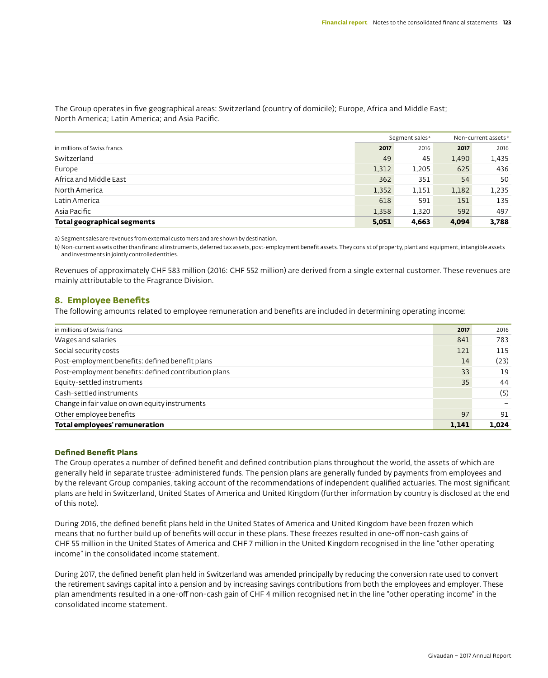The Group operates in five geographical areas: Switzerland (country of domicile); Europe, Africa and Middle East; North America; Latin America; and Asia Pacific.

|                             |       | Segment sales <sup>a</sup> |       | Non-current assets <sup>b</sup> |  |
|-----------------------------|-------|----------------------------|-------|---------------------------------|--|
| in millions of Swiss francs | 2017  | 2016                       | 2017  | 2016                            |  |
| Switzerland                 | 49    | 45                         | 1.490 | 1,435                           |  |
| Europe                      | 1,312 | 1,205                      | 625   | 436                             |  |
| Africa and Middle East      | 362   | 351                        | 54    | 50                              |  |
| North America               | 1,352 | 1,151                      | 1,182 | 1,235                           |  |
| Latin America               | 618   | 591                        | 151   | 135                             |  |
| Asia Pacific                | 1,358 | 1,320                      | 592   | 497                             |  |
| Total geographical segments | 5,051 | 4,663                      | 4,094 | 3,788                           |  |

a) Segment sales are revenues from external customers and are shown by destination.

b) Non-current assets other than financial instruments, deferred tax assets, post-employment benefit assets. They consist of property, plant and equipment, intangible assets and investments in jointly controlled entities.

Revenues of approximately CHF 583 million (2016: CHF 552 million) are derived from a single external customer. These revenues are mainly attributable to the Fragrance Division.

## **8. Employee Benefits**

The following amounts related to employee remuneration and benefits are included in determining operating income:

| in millions of Swiss francs                          | 2017  | 2016  |
|------------------------------------------------------|-------|-------|
| Wages and salaries                                   | 841   | 783   |
| Social security costs                                | 121   | 115   |
| Post-employment benefits: defined benefit plans      | 14    | (23)  |
| Post-employment benefits: defined contribution plans | 33    | 19    |
| Equity-settled instruments                           | 35    | 44    |
| Cash-settled instruments                             |       | (5)   |
| Change in fair value on own equity instruments       |       |       |
| Other employee benefits                              | 97    | 91    |
| <b>Total employees' remuneration</b>                 | 1,141 | 1.024 |

#### **Defined Benefit Plans**

The Group operates a number of defined benefit and defined contribution plans throughout the world, the assets of which are generally held in separate trustee-administered funds. The pension plans are generally funded by payments from employees and by the relevant Group companies, taking account of the recommendations of independent qualified actuaries. The most significant plans are held in Switzerland, United States of America and United Kingdom (further information by country is disclosed at the end of this note).

During 2016, the defined benefit plans held in the United States of America and United Kingdom have been frozen which means that no further build up of benefits will occur in these plans. These freezes resulted in one-off non-cash gains of CHF 55 million in the United States of America and CHF 7 million in the United Kingdom recognised in the line "other operating income" in the consolidated income statement.

During 2017, the defined benefit plan held in Switzerland was amended principally by reducing the conversion rate used to convert the retirement savings capital into a pension and by increasing savings contributions from both the employees and employer. These plan amendments resulted in a one-off non-cash gain of CHF 4 million recognised net in the line "other operating income" in the consolidated income statement.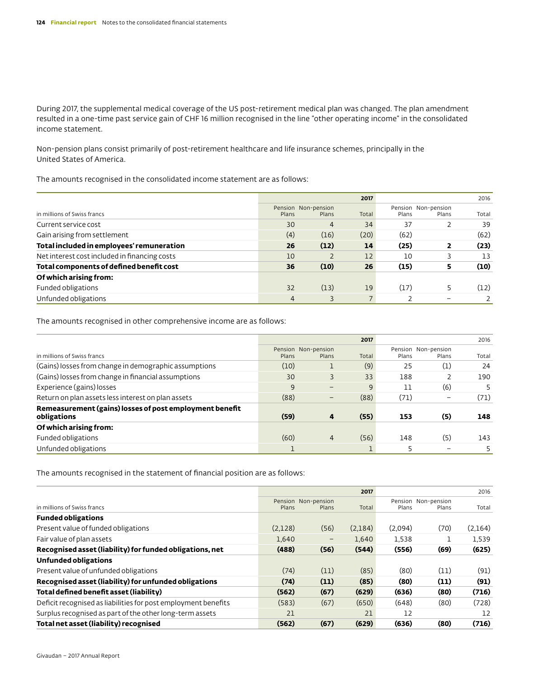During 2017, the supplemental medical coverage of the US post-retirement medical plan was changed. The plan amendment resulted in a one-time past service gain of CHF 16 million recognised in the line "other operating income" in the consolidated income statement.

Non-pension plans consist primarily of post-retirement healthcare and life insurance schemes, principally in the United States of America.

The amounts recognised in the consolidated income statement are as follows:

|                                               |       |                     | 2017  |       |                          | 2016  |
|-----------------------------------------------|-------|---------------------|-------|-------|--------------------------|-------|
|                                               |       | Pension Non-pension |       |       | Pension Non-pension      |       |
| in millions of Swiss francs                   | Plans | Plans               | Total | Plans | Plans                    | Total |
| Current service cost                          | 30    | 4                   | 34    | 37    |                          | 39    |
| Gain arising from settlement                  | (4)   | (16)                | (20)  | (62)  |                          | (62)  |
| Total included in employees' remuneration     | 26    | (12)                | 14    | (25)  | $\overline{\mathbf{2}}$  | (23)  |
| Net interest cost included in financing costs | 10    |                     | 12    | 10    |                          | 13    |
| Total components of defined benefit cost      | 36    | (10)                | 26    | (15)  | 5                        | (10)  |
| Of which arising from:                        |       |                     |       |       |                          |       |
| Funded obligations                            | 32    | (13)                | 19    | (17)  | 5                        | (12)  |
| Unfunded obligations                          | 4     |                     |       |       | $\overline{\phantom{0}}$ |       |

The amounts recognised in other comprehensive income are as follows:

|                                                                        |       |                              | 2017  |       |                              | 2016  |
|------------------------------------------------------------------------|-------|------------------------------|-------|-------|------------------------------|-------|
| in millions of Swiss francs                                            | Plans | Pension Non-pension<br>Plans | Total | Plans | Pension Non-pension<br>Plans | Total |
| (Gains) losses from change in demographic assumptions                  | (10)  |                              | (9)   | 25    | (1)                          | 24    |
| (Gains) losses from change in financial assumptions                    | 30    | 3                            | 33    | 188   |                              | 190   |
| Experience (gains) losses                                              | 9     | $\qquad \qquad -$            | 9     | 11    | (6)                          | 5     |
| Return on plan assets less interest on plan assets                     | (88)  |                              | (88)  | (71)  |                              | (71)  |
| Remeasurement (gains) losses of post employment benefit<br>obligations | (59)  | 4                            | (55)  | 153   | (5)                          | 148   |
| Of which arising from:                                                 |       |                              |       |       |                              |       |
| Funded obligations                                                     | (60)  | $\overline{4}$               | (56)  | 148   | (5)                          | 143   |
| Unfunded obligations                                                   |       |                              |       |       |                              | 5     |

The amounts recognised in the statement of financial position are as follows:

|                                                                |         |                              | 2017    |         |                              | 2016    |
|----------------------------------------------------------------|---------|------------------------------|---------|---------|------------------------------|---------|
| in millions of Swiss francs                                    | Plans   | Pension Non-pension<br>Plans | Total   | Plans   | Pension Non-pension<br>Plans | Total   |
| <b>Funded obligations</b>                                      |         |                              |         |         |                              |         |
| Present value of funded obligations                            | (2,128) | (56)                         | (2,184) | (2,094) | (70)                         | (2,164) |
| Fair value of plan assets                                      | 1.640   | $\qquad \qquad -$            | 1.640   | 1,538   |                              | 1,539   |
| Recognised asset (liability) for funded obligations, net       | (488)   | (56)                         | (544)   | (556)   | (69)                         | (625)   |
| Unfunded obligations                                           |         |                              |         |         |                              |         |
| Present value of unfunded obligations                          | (74)    | (11)                         | (85)    | (80)    | (11)                         | (91)    |
| Recognised asset (liability) for unfunded obligations          | (74)    | (11)                         | (85)    | (80)    | (11)                         | (91)    |
| Total defined benefit asset (liability)                        | (562)   | (67)                         | (629)   | (636)   | (80)                         | (716)   |
| Deficit recognised as liabilities for post employment benefits | (583)   | (67)                         | (650)   | (648)   | (80)                         | (728)   |
| Surplus recognised as part of the other long-term assets       | 21      |                              | 21      | 12      |                              | 12      |
| Total net asset (liability) recognised                         | (562)   | (67)                         | (629)   | (636)   | (80)                         | (716)   |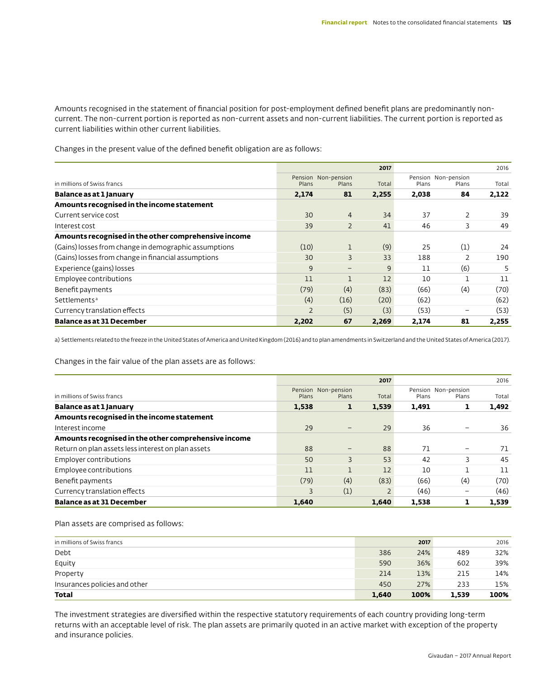Amounts recognised in the statement of financial position for post-employment defined benefit plans are predominantly noncurrent. The non-current portion is reported as non-current assets and non-current liabilities. The current portion is reported as current liabilities within other current liabilities.

Changes in the present value of the defined benefit obligation are as follows:

|                                                       |                |                              | 2017         |       |                              | 2016  |
|-------------------------------------------------------|----------------|------------------------------|--------------|-------|------------------------------|-------|
| in millions of Swiss francs                           | Plans          | Pension Non-pension<br>Plans | Total        | Plans | Pension Non-pension<br>Plans | Total |
| Balance as at 1 January                               | 2,174          | 81                           | 2,255        | 2,038 | 84                           | 2,122 |
| Amounts recognised in the income statement            |                |                              |              |       |                              |       |
| Current service cost                                  | 30             | $\overline{4}$               | 34           | 37    | 2                            | 39    |
| Interest cost                                         | 39             | $\overline{2}$               | 41           | 46    | 3                            | 49    |
| Amounts recognised in the other comprehensive income  |                |                              |              |       |                              |       |
| (Gains) losses from change in demographic assumptions | (10)           | 1                            | (9)          | 25    | (1)                          | 24    |
| (Gains) losses from change in financial assumptions   | 30             | 3                            | 33           | 188   | 2                            | 190   |
| Experience (gains) losses                             | 9              | $\qquad \qquad -$            | $\mathsf{q}$ | 11    | (6)                          | 5     |
| Employee contributions                                | 11             | $\mathbf{1}$                 | 12           | 10    |                              | 11    |
| Benefit payments                                      | (79)           | (4)                          | (83)         | (66)  | (4)                          | (70)  |
| Settlements <sup>a</sup>                              | (4)            | (16)                         | (20)         | (62)  |                              | (62)  |
| Currency translation effects                          | $\overline{2}$ | (5)                          | (3)          | (53)  | $\overline{\phantom{0}}$     | (53)  |
| <b>Balance as at 31 December</b>                      | 2,202          | 67                           | 2,269        | 2,174 | 81                           | 2,255 |

a) Settlements related to the freeze in the United States of America and United Kingdom (2016) and to plan amendments in Switzerland and the United States of America (2017).

Changes in the fair value of the plan assets are as follows:

|                                                      |       |                              | 2017  |       |                              | 2016  |
|------------------------------------------------------|-------|------------------------------|-------|-------|------------------------------|-------|
| in millions of Swiss francs                          | Plans | Pension Non-pension<br>Plans | Total | Plans | Pension Non-pension<br>Plans | Total |
| Balance as at 1 January                              | 1,538 | л.                           | 1,539 | 1,491 | ı                            | 1,492 |
| Amounts recognised in the income statement           |       |                              |       |       |                              |       |
| Interest income                                      | 29    | -                            | 29    | 36    |                              | 36    |
| Amounts recognised in the other comprehensive income |       |                              |       |       |                              |       |
| Return on plan assets less interest on plan assets   | 88    | -                            | 88    | 71    | -                            | 71    |
| Employer contributions                               | 50    | 3                            | 53    | 42    | 3                            | 45    |
| Employee contributions                               | 11    |                              | 12    | 10    |                              | 11    |
| Benefit payments                                     | (79)  | (4)                          | (83)  | (66)  | (4)                          | (70)  |
| Currency translation effects                         | 3     | (1)                          |       | (46)  | -                            | (46)  |
| <b>Balance as at 31 December</b>                     | 1.640 |                              | 1.640 | 1.538 | ı                            | 1.539 |

#### Plan assets are comprised as follows:

| in millions of Swiss francs   |       | 2017 |       | 2016 |
|-------------------------------|-------|------|-------|------|
| Debt                          | 386   | 24%  | 489   | 32%  |
| Equity                        | 590   | 36%  | 602   | 39%  |
| Property                      | 214   | 13%  | 215   | 14%  |
| Insurances policies and other | 450   | 27%  | 233   | 15%  |
| Total                         | 1,640 | 100% | 1.539 | 100% |

The investment strategies are diversified within the respective statutory requirements of each country providing long-term returns with an acceptable level of risk. The plan assets are primarily quoted in an active market with exception of the property and insurance policies.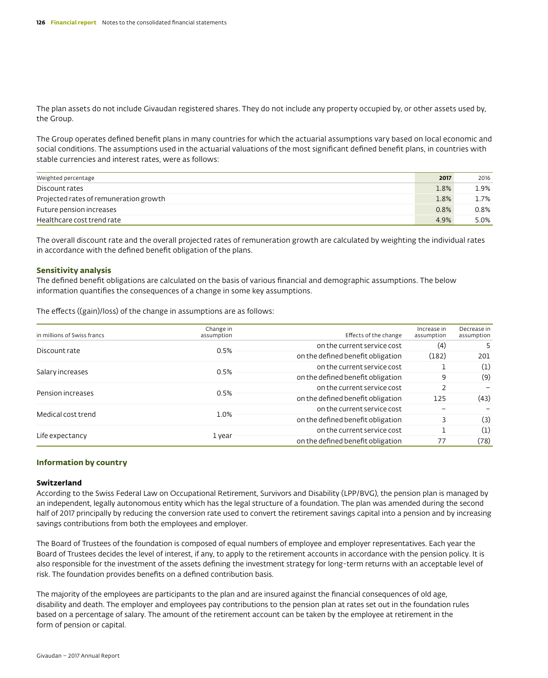The plan assets do not include Givaudan registered shares. They do not include any property occupied by, or other assets used by, the Group.

The Group operates defined benefit plans in many countries for which the actuarial assumptions vary based on local economic and social conditions. The assumptions used in the actuarial valuations of the most significant defined benefit plans, in countries with stable currencies and interest rates, were as follows:

| Weighted percentage                    | 2017 | 2016 |
|----------------------------------------|------|------|
| Discount rates                         | 1.8% | 1.9% |
| Projected rates of remuneration growth | 1.8% | 1.7% |
| Future pension increases               | 0.8% | 0.8% |
| Healthcare cost trend rate             | 4.9% | 5.0% |

The overall discount rate and the overall projected rates of remuneration growth are calculated by weighting the individual rates in accordance with the defined benefit obligation of the plans.

#### **Sensitivity analysis**

The defined benefit obligations are calculated on the basis of various financial and demographic assumptions. The below information quantifies the consequences of a change in some key assumptions.

The effects ((gain)/loss) of the change in assumptions are as follows:

| in millions of Swiss francs | Change in<br>assumption | Effects of the change             | Increase in<br>assumption | Decrease in<br>assumption |  |  |
|-----------------------------|-------------------------|-----------------------------------|---------------------------|---------------------------|--|--|
|                             |                         | on the current service cost       | (4)                       | 5                         |  |  |
| Discount rate               | 0.5%                    | on the defined benefit obligation | (182)                     | 201                       |  |  |
| Salary increases            | 0.5%                    | on the current service cost       |                           |                           |  |  |
|                             |                         | on the defined benefit obligation | 9                         | (9)                       |  |  |
|                             |                         | on the current service cost       | $\overline{2}$            |                           |  |  |
| Pension increases           | 0.5%                    | on the defined benefit obligation | 125                       | (43)                      |  |  |
|                             | 1.0%                    | on the current service cost       |                           |                           |  |  |
| Medical cost trend          |                         | on the defined benefit obligation |                           | (3)                       |  |  |
| Life expectancy             |                         | on the current service cost       |                           | (1)                       |  |  |
|                             | 1 year                  | on the defined benefit obligation | 77                        | (78)                      |  |  |

#### **Information by country**

#### **Switzerland**

According to the Swiss Federal Law on Occupational Retirement, Survivors and Disability (LPP/BVG), the pension plan is managed by an independent, legally autonomous entity which has the legal structure of a foundation. The plan was amended during the second half of 2017 principally by reducing the conversion rate used to convert the retirement savings capital into a pension and by increasing savings contributions from both the employees and employer.

The Board of Trustees of the foundation is composed of equal numbers of employee and employer representatives. Each year the Board of Trustees decides the level of interest, if any, to apply to the retirement accounts in accordance with the pension policy. It is also responsible for the investment of the assets defining the investment strategy for long-term returns with an acceptable level of risk. The foundation provides benefits on a defined contribution basis.

The majority of the employees are participants to the plan and are insured against the financial consequences of old age, disability and death. The employer and employees pay contributions to the pension plan at rates set out in the foundation rules based on a percentage of salary. The amount of the retirement account can be taken by the employee at retirement in the form of pension or capital.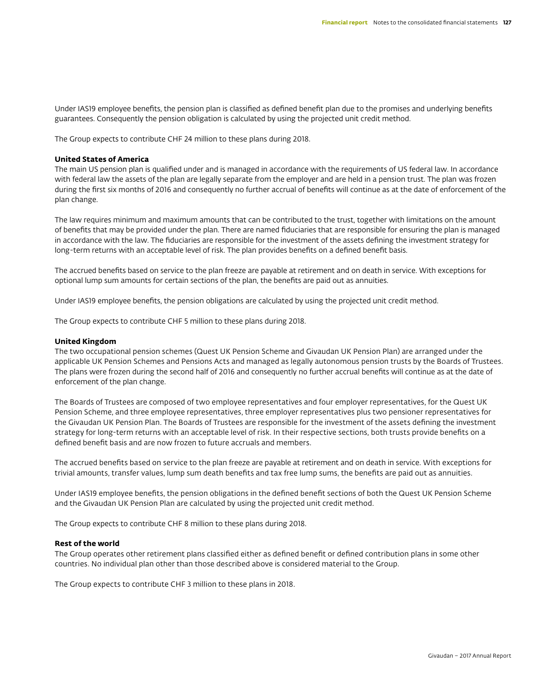Under IAS19 employee benefits, the pension plan is classified as defined benefit plan due to the promises and underlying benefits guarantees. Consequently the pension obligation is calculated by using the projected unit credit method.

The Group expects to contribute CHF 24 million to these plans during 2018.

#### **United States of America**

The main US pension plan is qualified under and is managed in accordance with the requirements of US federal law. In accordance with federal law the assets of the plan are legally separate from the employer and are held in a pension trust. The plan was frozen during the first six months of 2016 and consequently no further accrual of benefits will continue as at the date of enforcement of the plan change.

The law requires minimum and maximum amounts that can be contributed to the trust, together with limitations on the amount of benefits that may be provided under the plan. There are named fiduciaries that are responsible for ensuring the plan is managed in accordance with the law. The fiduciaries are responsible for the investment of the assets defining the investment strategy for long-term returns with an acceptable level of risk. The plan provides benefits on a defined benefit basis.

The accrued benefits based on service to the plan freeze are payable at retirement and on death in service. With exceptions for optional lump sum amounts for certain sections of the plan, the benefits are paid out as annuities.

Under IAS19 employee benefits, the pension obligations are calculated by using the projected unit credit method.

The Group expects to contribute CHF 5 million to these plans during 2018.

#### **United Kingdom**

The two occupational pension schemes (Quest UK Pension Scheme and Givaudan UK Pension Plan) are arranged under the applicable UK Pension Schemes and Pensions Acts and managed as legally autonomous pension trusts by the Boards of Trustees. The plans were frozen during the second half of 2016 and consequently no further accrual benefits will continue as at the date of enforcement of the plan change.

The Boards of Trustees are composed of two employee representatives and four employer representatives, for the Quest UK Pension Scheme, and three employee representatives, three employer representatives plus two pensioner representatives for the Givaudan UK Pension Plan. The Boards of Trustees are responsible for the investment of the assets defining the investment strategy for long-term returns with an acceptable level of risk. In their respective sections, both trusts provide benefits on a defined benefit basis and are now frozen to future accruals and members.

The accrued benefits based on service to the plan freeze are payable at retirement and on death in service. With exceptions for trivial amounts, transfer values, lump sum death benefits and tax free lump sums, the benefits are paid out as annuities.

Under IAS19 employee benefits, the pension obligations in the defined benefit sections of both the Quest UK Pension Scheme and the Givaudan UK Pension Plan are calculated by using the projected unit credit method.

The Group expects to contribute CHF 8 million to these plans during 2018.

#### **Rest of the world**

The Group operates other retirement plans classified either as defined benefit or defined contribution plans in some other countries. No individual plan other than those described above is considered material to the Group.

The Group expects to contribute CHF 3 million to these plans in 2018.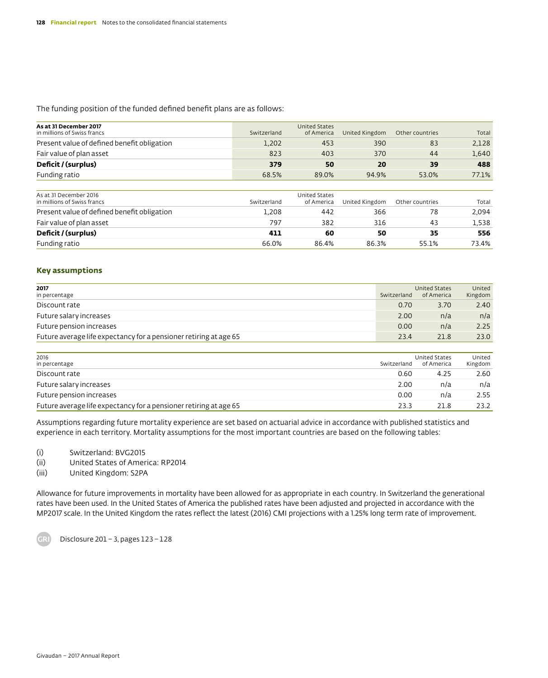The funding position of the funded defined benefit plans are as follows:

| As at 31 December 2017<br>in millions of Swiss francs | Switzerland | <b>United States</b><br>of America | United Kingdom | Other countries | Total |
|-------------------------------------------------------|-------------|------------------------------------|----------------|-----------------|-------|
| Present value of defined benefit obligation           | 1,202       | 453                                | 390            | 83              | 2,128 |
| Fair value of plan asset                              | 823         | 403                                | 370            | 44              | 1,640 |
| Deficit / (surplus)                                   | 379         | 50                                 | 20             | 39              | 488   |
| Funding ratio                                         | 68.5%       | 89.0%                              | 94.9%          | 53.0%           | 77.1% |
|                                                       |             |                                    |                |                 |       |
| As at 31 December 2016<br>in millions of Swiss francs | Switzerland | <b>United States</b><br>of America | United Kingdom | Other countries | Total |
| Present value of defined benefit obligation           | 1.208       | 442                                | 366            | 78              | 2,094 |
| Fair value of plan asset                              | 797         | 382                                | 316            | 43              | 1,538 |
| Deficit / (surplus)                                   | 411         | 60                                 | 50             | 35              | 556   |
| Funding ratio                                         | 66.0%       | 86.4%                              | 86.3%          | 55.1%           | 73.4% |
|                                                       |             |                                    |                |                 |       |

### **Key assumptions**

| 2017<br>in percentage                                             | Switzerland | <b>United States</b><br>of America | United<br>Kingdom |
|-------------------------------------------------------------------|-------------|------------------------------------|-------------------|
| Discount rate                                                     | 0.70        | 3.70                               | 2.40              |
| Future salary increases                                           | 2.00        | n/a                                | n/a               |
| Future pension increases                                          | 0.00        | n/a                                | 2.25              |
| Future average life expectancy for a pensioner retiring at age 65 | 23.4        | 21.8                               | 23.0              |
|                                                                   |             |                                    |                   |
| 2016<br>in percentage                                             | Switzerland | United States<br>of America        | United<br>Kingdom |
| Discount rate                                                     | 0.60        | 4.25                               | 2.60              |
| Future salary increases                                           | 2.00        | n/a                                | n/a               |
| Future pension increases                                          | 0.00        | n/a                                | 2.55              |
| Future average life expectancy for a pensioner retiring at age 65 | 23.3        | 21.8                               | 23.2              |

Assumptions regarding future mortality experience are set based on actuarial advice in accordance with published statistics and experience in each territory. Mortality assumptions for the most important countries are based on the following tables:

(i) Switzerland: BVG2015

(ii) United States of America: RP2014

(iii) United Kingdom: S2PA

Allowance for future improvements in mortality have been allowed for as appropriate in each country. In Switzerland the generational rates have been used. In the United States of America the published rates have been adjusted and projected in accordance with the MP2017 scale. In the United Kingdom the rates reflect the latest (2016) CMI projections with a 1.25% long term rate of improvement.

Disclosure 201–3, pages 123–128

.<br>GB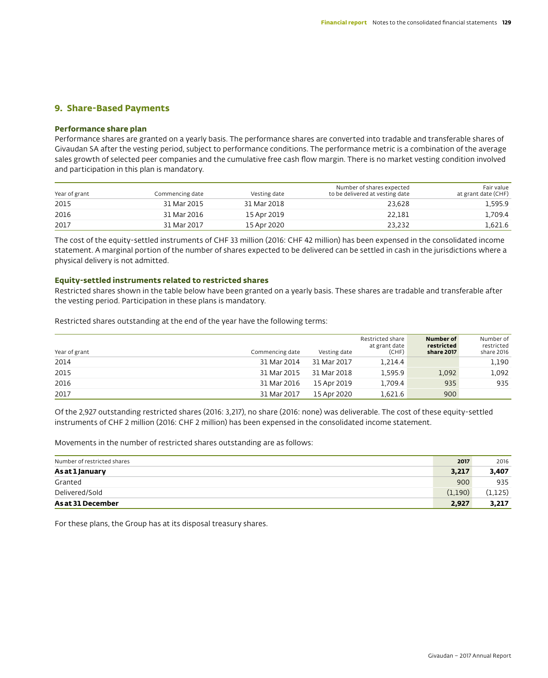# **9. Share-Based Payments**

### **Performance share plan**

Performance shares are granted on a yearly basis. The performance shares are converted into tradable and transferable shares of Givaudan SA after the vesting period, subject to performance conditions. The performance metric is a combination of the average sales growth of selected peer companies and the cumulative free cash flow margin. There is no market vesting condition involved and participation in this plan is mandatory.

| Year of grant | Commencing date | Vesting date | Number of shares expected<br>to be delivered at vesting date | Fair value<br>at grant date (CHF) |
|---------------|-----------------|--------------|--------------------------------------------------------------|-----------------------------------|
| 2015          | 31 Mar 2015     | 31 Mar 2018  | 23.628                                                       | 1,595.9                           |
| 2016          | 31 Mar 2016     | 15 Apr 2019  | 22.181                                                       | 1,709.4                           |
| 2017          | 31 Mar 2017     | 15 Apr 2020  | 23.232                                                       | 1,621.6                           |

The cost of the equity-settled instruments of CHF 33 million (2016: CHF 42 million) has been expensed in the consolidated income statement. A marginal portion of the number of shares expected to be delivered can be settled in cash in the jurisdictions where a physical delivery is not admitted.

### **Equity-settled instruments related to restricted shares**

Restricted shares shown in the table below have been granted on a yearly basis. These shares are tradable and transferable after the vesting period. Participation in these plans is mandatory.

Restricted shares outstanding at the end of the year have the following terms:

| Year of grant | Commencing date | Vesting date | Restricted share<br>at grant date<br>(CHF) | Number of<br>restricted<br>share 2017 | Number of<br>restricted<br>share 2016 |
|---------------|-----------------|--------------|--------------------------------------------|---------------------------------------|---------------------------------------|
| 2014          | 31 Mar 2014     | 31 Mar 2017  | 1.214.4                                    |                                       | 1,190                                 |
| 2015          | 31 Mar 2015     | 31 Mar 2018  | 1.595.9                                    | 1,092                                 | 1,092                                 |
| 2016          | 31 Mar 2016     | 15 Apr 2019  | 1.709.4                                    | 935                                   | 935                                   |
| 2017          | 31 Mar 2017     | 15 Apr 2020  | 1,621.6                                    | 900                                   |                                       |

Of the 2,927 outstanding restricted shares (2016: 3,217), no share (2016: none) was deliverable. The cost of these equity-settled instruments of CHF 2 million (2016: CHF 2 million) has been expensed in the consolidated income statement.

Movements in the number of restricted shares outstanding are as follows:

| Number of restricted shares | 2017    | 2016     |
|-----------------------------|---------|----------|
| As at 1 January             | 3,217   | 3,407    |
| Granted                     | 900     | 935      |
| Delivered/Sold              | (1,190) | (1, 125) |
| As at 31 December           | 2,927   | 3,217    |

For these plans, the Group has at its disposal treasury shares.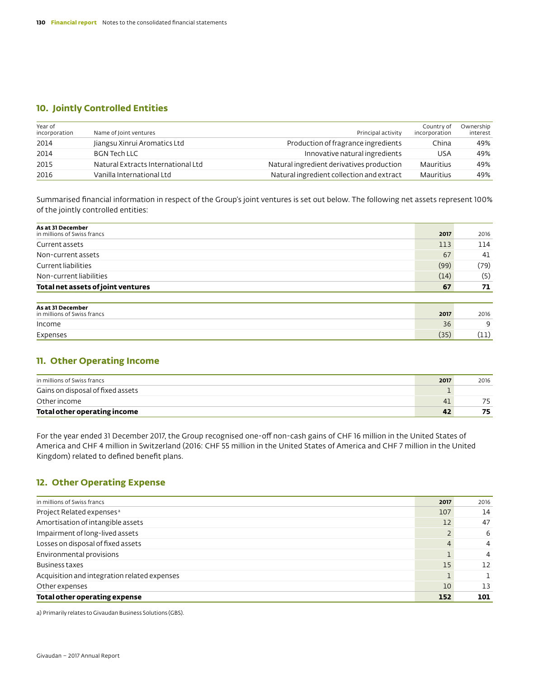# **10. Jointly Controlled Entities**

| Year of<br>incorporation | Name of Joint ventures             | Principal activity                        | Country of<br>incorporation | Ownership<br>interest |
|--------------------------|------------------------------------|-------------------------------------------|-----------------------------|-----------------------|
| 2014                     | Jiangsu Xinrui Aromatics Ltd       | Production of fragrance ingredients       | China                       | 49%                   |
| 2014                     | <b>BGN Tech LLC</b>                | Innovative natural ingredients            | <b>USA</b>                  | 49%                   |
| 2015                     | Natural Extracts International Ltd | Natural ingredient derivatives production | Mauritius                   | 49%                   |
| 2016                     | Vanilla International Ltd          | Natural ingredient collection and extract | Mauritius                   | 49%                   |

Summarised financial information in respect of the Group's joint ventures is set out below. The following net assets represent 100% of the jointly controlled entities:

| As at 31 December                                |      |      |
|--------------------------------------------------|------|------|
| in millions of Swiss francs                      | 2017 | 2016 |
| Current assets                                   | 113  | 114  |
| Non-current assets                               | 67   | 41   |
| Current liabilities                              | (99) | (79) |
| Non-current liabilities                          | (14) | (5)  |
| Total net assets of joint ventures               | 67   | 71   |
|                                                  |      |      |
| As at 31 December<br>in millions of Swiss francs | 2017 | 2016 |
| Income                                           | 36   | 9    |
| Expenses                                         | (35) | (11) |

# **11. Other Operating Income**

| in millions of Swiss francs       | 2017 | 2016 |
|-----------------------------------|------|------|
| Gains on disposal of fixed assets |      |      |
| Other income                      | 41   |      |
| Total other operating income      |      |      |

For the year ended 31 December 2017, the Group recognised one-off non-cash gains of CHF 16 million in the United States of America and CHF 4 million in Switzerland (2016: CHF 55 million in the United States of America and CHF 7 million in the United Kingdom) related to defined benefit plans.

# **12. Other Operating Expense**

| in millions of Swiss francs                  | 2017 | 2016 |
|----------------------------------------------|------|------|
| Project Related expenses <sup>a</sup>        | 107  | 14   |
| Amortisation of intangible assets            | 12   | 47   |
| Impairment of long-lived assets              |      | 6    |
| Losses on disposal of fixed assets           | 4    | 4    |
| Environmental provisions                     |      | 4    |
| Business taxes                               | 15   | 12   |
| Acquisition and integration related expenses |      |      |
| Other expenses                               | 10   | 13   |
| Total other operating expense                | 152  | 101  |

a) Primarily relates to Givaudan Business Solutions (GBS).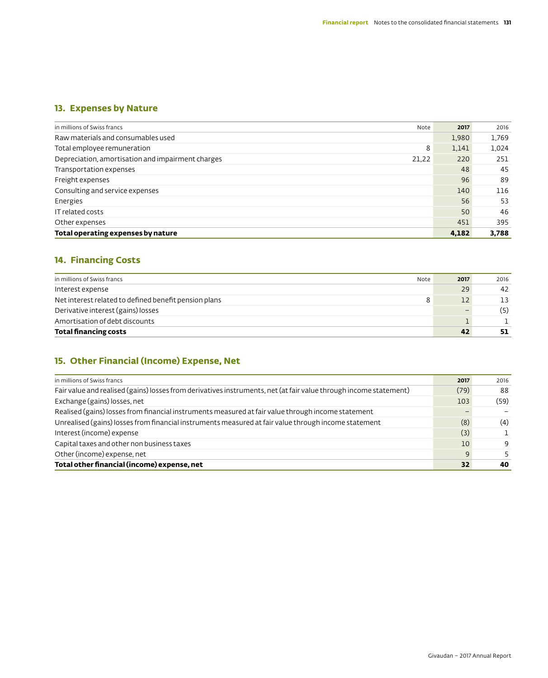# **13. Expenses by Nature**

| in millions of Swiss francs<br>Note                        | 2017  | 2016  |
|------------------------------------------------------------|-------|-------|
| Raw materials and consumables used                         | 1,980 | 1,769 |
| Total employee remuneration<br>8                           | 1,141 | 1,024 |
| Depreciation, amortisation and impairment charges<br>21,22 | 220   | 251   |
| Transportation expenses                                    | 48    | 45    |
| Freight expenses                                           | 96    | 89    |
| Consulting and service expenses                            | 140   | 116   |
| Energies                                                   | 56    | 53    |
| IT related costs                                           | 50    | 46    |
| Other expenses                                             | 451   | 395   |
| Total operating expenses by nature                         | 4,182 | 3,788 |

# **14. Financing Costs**

| in millions of Swiss francs<br>Note                   | 2017              | 2016 |
|-------------------------------------------------------|-------------------|------|
| Interest expense                                      | 29                | 42   |
| Net interest related to defined benefit pension plans | $12 \overline{ }$ | 13   |
| Derivative interest (gains) losses                    | -                 | (5)  |
| Amortisation of debt discounts                        |                   |      |
| <b>Total financing costs</b>                          | 42                | 51   |

# **15. Other Financial (Income) Expense, Net**

| in millions of Swiss francs                                                                                       | 2017 | 2016 |
|-------------------------------------------------------------------------------------------------------------------|------|------|
| Fair value and realised (gains) losses from derivatives instruments, net (at fair value through income statement) | (79) | 88   |
| Exchange (gains) losses, net                                                                                      | 103  | (59) |
| Realised (gains) losses from financial instruments measured at fair value through income statement                |      |      |
| Unrealised (gains) losses from financial instruments measured at fair value through income statement              | (8)  | (4)  |
| Interest (income) expense                                                                                         | (3)  |      |
| Capital taxes and other non business taxes                                                                        | 10   | 9    |
| Other (income) expense, net                                                                                       | 9    | 5.   |
| Total other financial (income) expense, net                                                                       | 32   | 40   |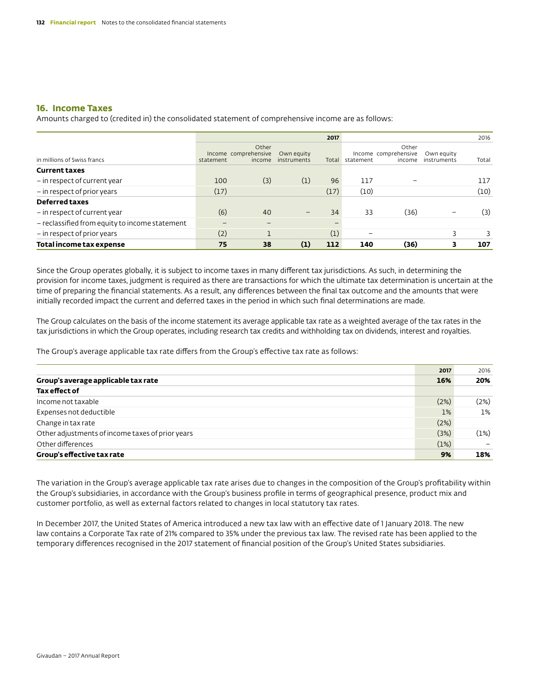# **16. Income Taxes**

Amounts charged to (credited in) the consolidated statement of comprehensive income are as follows:

|                                                |           |                                         |                           | 2017  |           |                                         |                           | 2016  |
|------------------------------------------------|-----------|-----------------------------------------|---------------------------|-------|-----------|-----------------------------------------|---------------------------|-------|
| in millions of Swiss francs                    | statement | Other<br>Income comprehensive<br>income | Own equity<br>instruments | Total | statement | Other<br>Income comprehensive<br>income | Own equity<br>instruments | Total |
| <b>Current taxes</b>                           |           |                                         |                           |       |           |                                         |                           |       |
| - in respect of current year                   | 100       | (3)                                     | (1)                       | 96    | 117       |                                         |                           | 117   |
| - in respect of prior years                    | (17)      |                                         |                           | (17)  | (10)      |                                         |                           | (10)  |
| <b>Deferred taxes</b>                          |           |                                         |                           |       |           |                                         |                           |       |
| - in respect of current year                   | (6)       | 40                                      | $\qquad \qquad -$         | 34    | 33        | (36)                                    |                           | (3)   |
| - reclassified from equity to income statement |           |                                         |                           |       |           |                                         |                           |       |
| - in respect of prior years                    | (2)       |                                         |                           | (1)   |           |                                         | 3                         | 3     |
| Total income tax expense                       | 75        | 38                                      | (1)                       | 112   | 140       | (36)                                    | 3                         | 107   |

Since the Group operates globally, it is subject to income taxes in many different tax jurisdictions. As such, in determining the provision for income taxes, judgment is required as there are transactions for which the ultimate tax determination is uncertain at the time of preparing the financial statements. As a result, any differences between the final tax outcome and the amounts that were initially recorded impact the current and deferred taxes in the period in which such final determinations are made.

The Group calculates on the basis of the income statement its average applicable tax rate as a weighted average of the tax rates in the tax jurisdictions in which the Group operates, including research tax credits and withholding tax on dividends, interest and royalties.

The Group's average applicable tax rate differs from the Group's effective tax rate as follows:

|                                                  | 2017  | 2016  |
|--------------------------------------------------|-------|-------|
| Group's average applicable tax rate              | 16%   | 20%   |
| Tax effect of                                    |       |       |
| Income not taxable                               | (2%)  | (2%)  |
| Expenses not deductible                          | $1\%$ | $1\%$ |
| Change in tax rate                               | (2%)  |       |
| Other adjustments of income taxes of prior years | (3%)  | (1%)  |
| Other differences                                | (1%)  |       |
| Group's effective tax rate                       | 9%    | 18%   |

The variation in the Group's average applicable tax rate arises due to changes in the composition of the Group's profitability within the Group's subsidiaries, in accordance with the Group's business profile in terms of geographical presence, product mix and customer portfolio, as well as external factors related to changes in local statutory tax rates.

In December 2017, the United States of America introduced a new tax law with an effective date of 1 January 2018. The new law contains a Corporate Tax rate of 21% compared to 35% under the previous tax law. The revised rate has been applied to the temporary differences recognised in the 2017 statement of financial position of the Group's United States subsidiaries.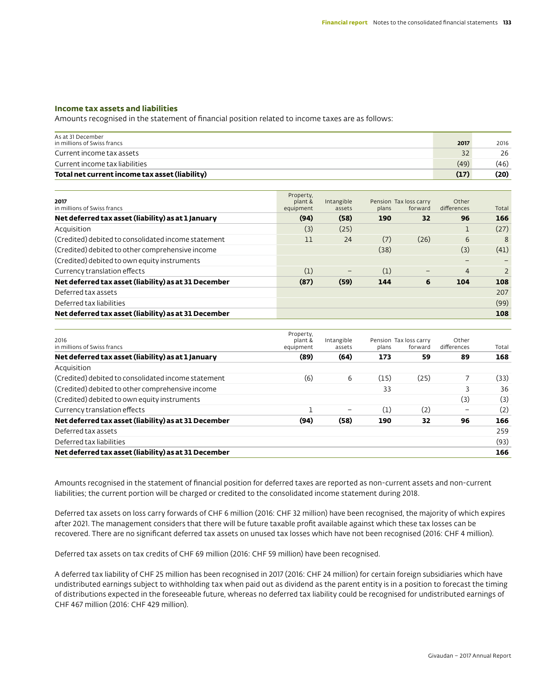### **Income tax assets and liabilities**

Amounts recognised in the statement of financial position related to income taxes are as follows:

| As at 31 December<br>in millions of Swiss francs | 2017 | 2016 |
|--------------------------------------------------|------|------|
| Current income tax assets                        |      | 26   |
| Current income tax liabilities                   | (49) | (46) |
| Total net current income tax asset (liability)   | (17) | (20) |

| 2017<br>in millions of Swiss francs                  | Property,<br>plant &<br>equipment | Intangible<br>assets | plans | Pension Tax loss carry<br>forward | Other<br>differences | Total |
|------------------------------------------------------|-----------------------------------|----------------------|-------|-----------------------------------|----------------------|-------|
| Net deferred tax asset (liability) as at 1 January   | (94)                              | (58)                 | 190   | 32                                | 96                   | 166   |
| Acquisition                                          | (3)                               | (25)                 |       |                                   | щ                    | (27)  |
| (Credited) debited to consolidated income statement  | 11                                | 24                   | (7)   | (26)                              | 6                    | 8     |
| (Credited) debited to other comprehensive income     |                                   |                      | (38)  |                                   | (3)                  | (41)  |
| (Credited) debited to own equity instruments         |                                   |                      |       |                                   | -                    |       |
| Currency translation effects                         | (1)                               | -                    | (1)   | -                                 | $\overline{4}$       | 2     |
| Net deferred tax asset (liability) as at 31 December | (87)                              | (59)                 | 144   | 6                                 | 104                  | 108   |
| Deferred tax assets                                  |                                   |                      |       |                                   |                      | 207   |
| Deferred tax liabilities                             |                                   |                      |       |                                   |                      | (99)  |
| Net deferred tax asset (liability) as at 31 December |                                   |                      |       |                                   |                      | 108   |

| 2016<br>in millions of Swiss francs                  | Property,<br>plant &<br>equipment | Intangible<br>assets | plans | Pension Tax loss carry<br>forward | Other<br>differences | Total |
|------------------------------------------------------|-----------------------------------|----------------------|-------|-----------------------------------|----------------------|-------|
| Net deferred tax asset (liability) as at 1 January   | (89)                              | (64)                 | 173   | 59                                | 89                   | 168   |
| Acquisition                                          |                                   |                      |       |                                   |                      |       |
| (Credited) debited to consolidated income statement  | (6)                               | 6                    | (15)  | (25)                              |                      | (33)  |
| (Credited) debited to other comprehensive income     |                                   |                      | 33    |                                   | 3                    | 36    |
| (Credited) debited to own equity instruments         |                                   |                      |       |                                   | (3)                  | (3)   |
| Currency translation effects                         |                                   | -                    | (1)   | (2)                               |                      | (2)   |
| Net deferred tax asset (liability) as at 31 December | (94)                              | (58)                 | 190   | 32                                | 96                   | 166   |
| Deferred tax assets                                  |                                   |                      |       |                                   |                      | 259   |
| Deferred tax liabilities                             |                                   |                      |       |                                   |                      | (93)  |
| Net deferred tax asset (liability) as at 31 December |                                   |                      |       |                                   |                      | 166   |

Amounts recognised in the statement of financial position for deferred taxes are reported as non-current assets and non-current liabilities; the current portion will be charged or credited to the consolidated income statement during 2018.

Deferred tax assets on loss carry forwards of CHF 6 million (2016: CHF 32 million) have been recognised, the majority of which expires after 2021. The management considers that there will be future taxable profit available against which these tax losses can be recovered. There are no significant deferred tax assets on unused tax losses which have not been recognised (2016: CHF 4 million).

Deferred tax assets on tax credits of CHF 69 million (2016: CHF 59 million) have been recognised.

A deferred tax liability of CHF 25 million has been recognised in 2017 (2016: CHF 24 million) for certain foreign subsidiaries which have undistributed earnings subject to withholding tax when paid out as dividend as the parent entity is in a position to forecast the timing of distributions expected in the foreseeable future, whereas no deferred tax liability could be recognised for undistributed earnings of CHF 467 million (2016: CHF 429 million).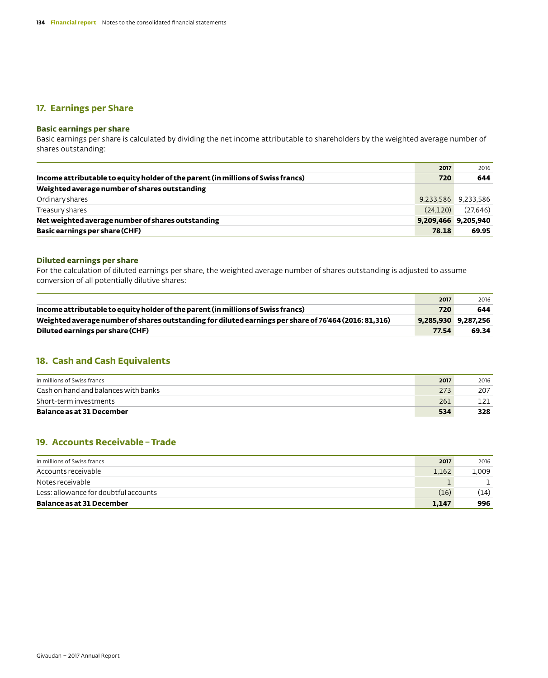# **17. Earnings per Share**

# **Basic earnings per share**

Basic earnings per share is calculated by dividing the net income attributable to shareholders by the weighted average number of shares outstanding:

|                                                                                  | 2017                | 2016                |
|----------------------------------------------------------------------------------|---------------------|---------------------|
| Income attributable to equity holder of the parent (in millions of Swiss francs) | 720                 | 644                 |
| Weighted average number of shares outstanding                                    |                     |                     |
| Ordinary shares                                                                  |                     | 9,233,586 9,233,586 |
| Treasury shares                                                                  | (24.120)            | (27,646)            |
| Net weighted average number of shares outstanding                                | 9,209,466 9,205,940 |                     |
| Basic earnings per share (CHF)                                                   | 78.18               | 69.95               |

## **Diluted earnings per share**

For the calculation of diluted earnings per share, the weighted average number of shares outstanding is adjusted to assume conversion of all potentially dilutive shares:

| Income attributable to equity holder of the parent (in millions of Swiss francs)<br>720<br>Weighted average number of shares outstanding for diluted earnings per share of 76'464 (2016: 81,316)<br>9,285,930 9,287,256<br>Diluted earnings per share (CHF)<br>77.54 | 2017 | 2016  |
|----------------------------------------------------------------------------------------------------------------------------------------------------------------------------------------------------------------------------------------------------------------------|------|-------|
|                                                                                                                                                                                                                                                                      |      | 644   |
|                                                                                                                                                                                                                                                                      |      |       |
|                                                                                                                                                                                                                                                                      |      | 69.34 |

# **18. Cash and Cash Equivalents**

| in millions of Swiss francs          | 2017 | 2016 |
|--------------------------------------|------|------|
| Cash on hand and balances with banks | 273  | 207  |
| Short-term investments               | 261  |      |
| <b>Balance as at 31 December</b>     | 534  | 328  |

# **19. Accounts Receivable–Trade**

| in millions of Swiss francs           | 2017  | 2016  |
|---------------------------------------|-------|-------|
| Accounts receivable                   | 1.162 | L.009 |
| Notes receivable                      |       |       |
| Less: allowance for doubtful accounts | (16)  | (14)  |
| Balance as at 31 December             | 1.147 | 996   |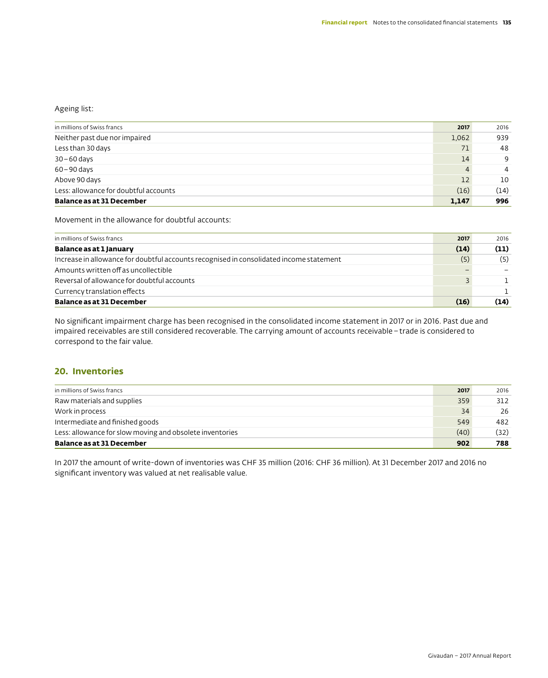### Ageing list:

| in millions of Swiss francs           | 2017  | 2016 |
|---------------------------------------|-------|------|
| Neither past due nor impaired         | 1,062 | 939  |
| Less than 30 days                     | 71    | 48   |
| 30-60 days                            | 14    | 9    |
| $60 - 90$ days                        | 4     | 4    |
| Above 90 days                         | 12    | 10   |
| Less: allowance for doubtful accounts | (16)  | (14) |
| <b>Balance as at 31 December</b>      | 1,147 | 996  |

Movement in the allowance for doubtful accounts:

| in millions of Swiss francs                                                             | 2017 | 2016 |
|-----------------------------------------------------------------------------------------|------|------|
| Balance as at 1 January                                                                 | (14) | (11) |
| Increase in allowance for doubtful accounts recognised in consolidated income statement | (5)  | (5)  |
| Amounts written off as uncollectible                                                    |      |      |
| Reversal of allowance for doubtful accounts                                             |      |      |
| Currency translation effects                                                            |      |      |
| <b>Balance as at 31 December</b>                                                        | (16) | (14) |

No significant impairment charge has been recognised in the consolidated income statement in 2017 or in 2016. Past due and impaired receivables are still considered recoverable. The carrying amount of accounts receivable–trade is considered to correspond to the fair value.

# **20. Inventories**

| in millions of Swiss francs                              | 2017 | 2016 |
|----------------------------------------------------------|------|------|
| Raw materials and supplies                               | 359  | 312  |
| Work in process                                          | 34   | 26   |
| Intermediate and finished goods                          | 549  | 482  |
| Less: allowance for slow moving and obsolete inventories | (40) | (32) |
| <b>Balance as at 31 December</b>                         | 902  | 788  |

In 2017 the amount of write-down of inventories was CHF 35 million (2016: CHF 36 million). At 31 December 2017 and 2016 no significant inventory was valued at net realisable value.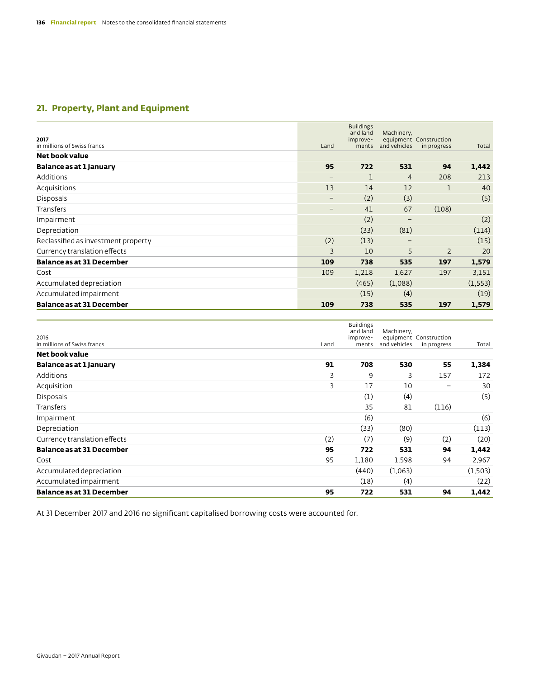# **21. Property, Plant and Equipment**

| 2017<br>in millions of Swiss francs | Land              | <b>Buildings</b><br>and land<br>improve-<br>ments | Machinery,<br>and vehicles | equipment Construction<br>in progress | Total    |
|-------------------------------------|-------------------|---------------------------------------------------|----------------------------|---------------------------------------|----------|
| Net book value                      |                   |                                                   |                            |                                       |          |
| Balance as at 1 January             | 95                | 722                                               | 531                        | 94                                    | 1,442    |
| Additions                           | $\qquad \qquad -$ | $\mathbf 1$                                       | $\overline{4}$             | 208                                   | 213      |
| Acquisitions                        | 13                | 14                                                | 12                         | 1                                     | 40       |
| <b>Disposals</b>                    | $\qquad \qquad -$ | (2)                                               | (3)                        |                                       | (5)      |
| <b>Transfers</b>                    | $\qquad \qquad -$ | 41                                                | 67                         | (108)                                 |          |
| Impairment                          |                   | (2)                                               | $\qquad \qquad -$          |                                       | (2)      |
| Depreciation                        |                   | (33)                                              | (81)                       |                                       | (114)    |
| Reclassified as investment property | (2)               | (13)                                              | -                          |                                       | (15)     |
| Currency translation effects        | 3                 | 10                                                | 5                          | $\overline{2}$                        | 20       |
| <b>Balance as at 31 December</b>    | 109               | 738                                               | 535                        | 197                                   | 1,579    |
| Cost                                | 109               | 1,218                                             | 1,627                      | 197                                   | 3,151    |
| Accumulated depreciation            |                   | (465)                                             | (1,088)                    |                                       | (1, 553) |
| Accumulated impairment              |                   | (15)                                              | (4)                        |                                       | (19)     |
| <b>Balance as at 31 December</b>    | 109               | 738                                               | 535                        | 197                                   | 1,579    |

| 2016<br>in millions of Swiss francs | Land | <b>Buildings</b><br>and land<br>improve-<br>ments | Machinery,<br>and vehicles | equipment Construction<br>in progress | Total   |
|-------------------------------------|------|---------------------------------------------------|----------------------------|---------------------------------------|---------|
| Net book value                      |      |                                                   |                            |                                       |         |
| Balance as at 1 January             | 91   | 708                                               | 530                        | 55                                    | 1,384   |
| Additions                           | 3    | 9                                                 | 3                          | 157                                   | 172     |
| Acquisition                         | 3    | 17                                                | 10                         | -                                     | 30      |
| <b>Disposals</b>                    |      | (1)                                               | (4)                        |                                       | (5)     |
| Transfers                           |      | 35                                                | 81                         | (116)                                 |         |
| Impairment                          |      | (6)                                               |                            |                                       | (6)     |
| Depreciation                        |      | (33)                                              | (80)                       |                                       | (113)   |
| Currency translation effects        | (2)  | (7)                                               | (9)                        | (2)                                   | (20)    |
| <b>Balance as at 31 December</b>    | 95   | 722                                               | 531                        | 94                                    | 1,442   |
| Cost                                | 95   | 1,180                                             | 1,598                      | 94                                    | 2,967   |
| Accumulated depreciation            |      | (440)                                             | (1,063)                    |                                       | (1,503) |
| Accumulated impairment              |      | (18)                                              | (4)                        |                                       | (22)    |
| <b>Balance as at 31 December</b>    | 95   | 722                                               | 531                        | 94                                    | 1,442   |

At 31 December 2017 and 2016 no significant capitalised borrowing costs were accounted for.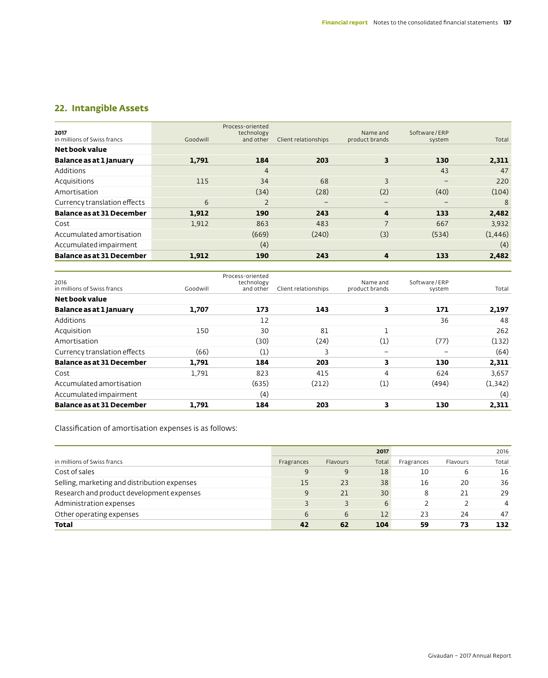# **22. Intangible Assets**

| 2017<br>in millions of Swiss francs | Goodwill | Process-oriented<br>technology<br>and other | Client relationships | Name and<br>product brands | Software/ERP<br>system | Total    |
|-------------------------------------|----------|---------------------------------------------|----------------------|----------------------------|------------------------|----------|
| Net book value                      |          |                                             |                      |                            |                        |          |
| Balance as at 1 January             | 1,791    | 184                                         | 203                  | 3                          | 130                    | 2,311    |
| Additions                           |          | $\overline{4}$                              |                      |                            | 43                     | 47       |
| Acquisitions                        | 115      | 34                                          | 68                   | 3                          | $\qquad \qquad -$      | 220      |
| Amortisation                        |          | (34)                                        | (28)                 | (2)                        | (40)                   | (104)    |
| Currency translation effects        | 6        | $\overline{2}$                              | $\qquad \qquad -$    | $\qquad \qquad -$          | $\qquad \qquad -$      | 8        |
| <b>Balance as at 31 December</b>    | 1,912    | 190                                         | 243                  | 4                          | 133                    | 2,482    |
| Cost                                | 1,912    | 863                                         | 483                  | $\overline{7}$             | 667                    | 3,932    |
| Accumulated amortisation            |          | (669)                                       | (240)                | (3)                        | (534)                  | (1, 446) |
| Accumulated impairment              |          | (4)                                         |                      |                            |                        | (4)      |
| <b>Balance as at 31 December</b>    | 1.912    | 190                                         | 243                  | 4                          | 133                    | 2,482    |

| 2016                             |          | Process-oriented<br>technology |                      | Name and                 | Software/ERP |          |
|----------------------------------|----------|--------------------------------|----------------------|--------------------------|--------------|----------|
| in millions of Swiss francs      | Goodwill | and other                      | Client relationships | product brands           | system       | Total    |
| Net book value                   |          |                                |                      |                          |              |          |
| Balance as at 1 January          | 1.707    | 173                            | 143                  | 3                        | 171          | 2,197    |
| Additions                        |          | 12                             |                      |                          | 36           | 48       |
| Acquisition                      | 150      | 30                             | 81                   | n                        |              | 262      |
| Amortisation                     |          | (30)                           | (24)                 | (1)                      | (77)         | (132)    |
| Currency translation effects     | (66)     | (1)                            | 3                    | $\overline{\phantom{0}}$ |              | (64)     |
| <b>Balance as at 31 December</b> | 1.791    | 184                            | 203                  | 3                        | 130          | 2,311    |
| Cost                             | 1.791    | 823                            | 415                  | 4                        | 624          | 3,657    |
| Accumulated amortisation         |          | (635)                          | (212)                | (1)                      | (494)        | (1, 342) |
| Accumulated impairment           |          | (4)                            |                      |                          |              | (4)      |
| <b>Balance as at 31 December</b> | 1.791    | 184                            | 203                  | 3                        | 130          | 2,311    |

Classification of amortisation expenses is as follows:

|                                              |            |          | 2017              |            |          | 2016  |
|----------------------------------------------|------------|----------|-------------------|------------|----------|-------|
| in millions of Swiss francs                  | Fragrances | Flavours | Total             | Fragrances | Flavours | Total |
| Cost of sales                                | 9          | 9        | 18                | 10         | 6        | 16    |
| Selling, marketing and distribution expenses | 15         | 23       | 38                | 16         | 20       | 36    |
| Research and product development expenses    |            | 21       | 30                |            | 21       | 29    |
| Administration expenses                      |            | 3        | 6                 |            |          | 4     |
| Other operating expenses                     | 6          | 6        | $12 \overline{ }$ | 23         | 24       | 47    |
| Total                                        | 42         | 62       | 104               | 59         | 73       | 132   |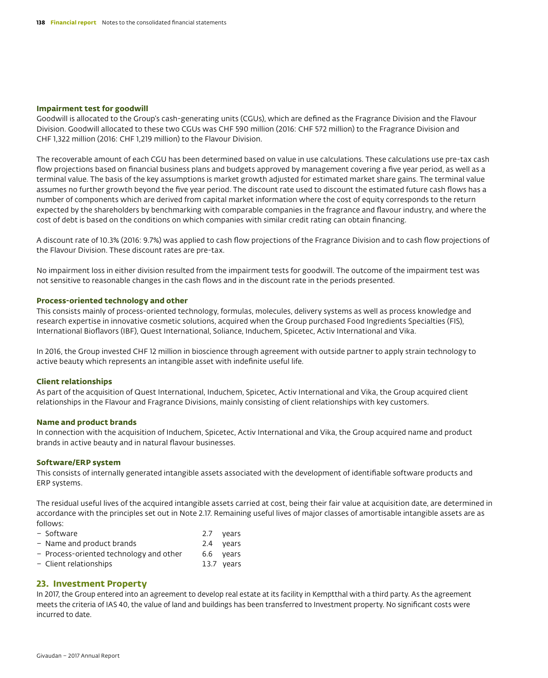### **Impairment test for goodwill**

Goodwill is allocated to the Group's cash-generating units (CGUs), which are defined as the Fragrance Division and the Flavour Division. Goodwill allocated to these two CGUs was CHF 590 million (2016: CHF 572 million) to the Fragrance Division and CHF 1,322 million (2016: CHF 1,219 million) to the Flavour Division.

The recoverable amount of each CGU has been determined based on value in use calculations. These calculations use pre-tax cash flow projections based on financial business plans and budgets approved by management covering a five year period, as well as a terminal value. The basis of the key assumptions is market growth adjusted for estimated market share gains. The terminal value assumes no further growth beyond the five year period. The discount rate used to discount the estimated future cash flows has a number of components which are derived from capital market information where the cost of equity corresponds to the return expected by the shareholders by benchmarking with comparable companies in the fragrance and flavour industry, and where the cost of debt is based on the conditions on which companies with similar credit rating can obtain financing.

A discount rate of 10.3% (2016: 9.7%) was applied to cash flow projections of the Fragrance Division and to cash flow projections of the Flavour Division. These discount rates are pre-tax.

No impairment loss in either division resulted from the impairment tests for goodwill. The outcome of the impairment test was not sensitive to reasonable changes in the cash flows and in the discount rate in the periods presented.

### **Process-oriented technology and other**

This consists mainly of process-oriented technology, formulas, molecules, delivery systems as well as process knowledge and research expertise in innovative cosmetic solutions, acquired when the Group purchased Food Ingredients Specialties (FIS), International Bioflavors (IBF), Quest International, Soliance, Induchem, Spicetec, Activ International and Vika.

In 2016, the Group invested CHF 12 million in bioscience through agreement with outside partner to apply strain technology to active beauty which represents an intangible asset with indefinite useful life.

### **Client relationships**

As part of the acquisition of Quest International, Induchem, Spicetec, Activ International and Vika, the Group acquired client relationships in the Flavour and Fragrance Divisions, mainly consisting of client relationships with key customers.

### **Name and product brands**

In connection with the acquisition of Induchem, Spicetec, Activ International and Vika, the Group acquired name and product brands in active beauty and in natural flavour businesses.

### **Software/ERP system**

This consists of internally generated intangible assets associated with the development of identifiable software products and ERP systems.

The residual useful lives of the acquired intangible assets carried at cost, being their fair value at acquisition date, are determined in accordance with the principles set out in Note 2.17. Remaining useful lives of major classes of amortisable intangible assets are as follows:

| – Software                              | 2.7 years  |
|-----------------------------------------|------------|
| - Name and product brands               | 2.4 years  |
| - Process-oriented technology and other | 6.6 years  |
| - Client relationships                  | 13.7 years |
|                                         |            |

# **23. Investment Property**

In 2017, the Group entered into an agreement to develop real estate at its facility in Kemptthal with a third party. As the agreement meets the criteria of IAS 40, the value of land and buildings has been transferred to Investment property. No significant costs were incurred to date.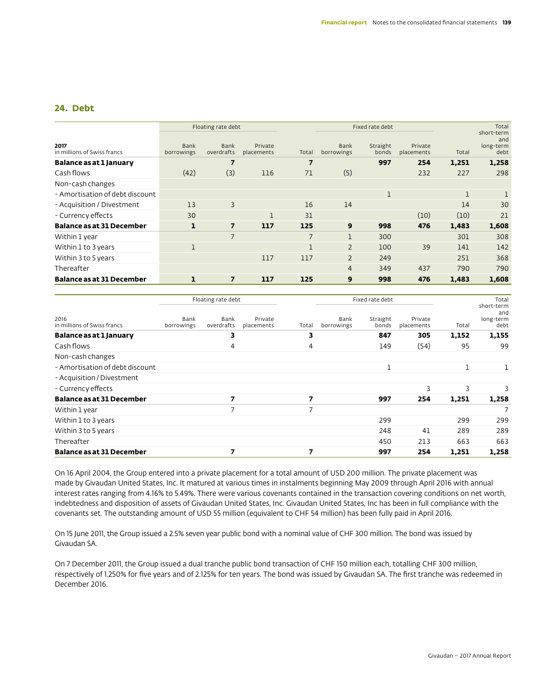# **24. Debt**

|                                     |                           | Floating rate debt |                       |                |                           | Fixed rate debt   |                       |       | Total                                  |
|-------------------------------------|---------------------------|--------------------|-----------------------|----------------|---------------------------|-------------------|-----------------------|-------|----------------------------------------|
| 2017<br>in millions of Swiss francs | <b>Bank</b><br>borrowings | Bank<br>overdrafts | Private<br>placements | Total          | <b>Bank</b><br>borrowings | Straight<br>bonds | Private<br>placements | Total | short-term<br>and<br>long-term<br>debt |
| Balance as at 1 January             |                           | $\overline{7}$     |                       | $\overline{7}$ |                           | 997               | 254                   | 1,251 | 1,258                                  |
| Cash flows                          | (42)                      | (3)                | 116                   | 71             | (5)                       |                   | 232                   | 227   | 298                                    |
| Non-cash changes                    |                           |                    |                       |                |                           |                   |                       |       |                                        |
| - Amortisation of debt discount     |                           |                    |                       |                |                           | 1                 |                       | 1     |                                        |
| - Acquisition / Divestment          | 13                        | $\overline{3}$     |                       | 16             | 14                        |                   |                       | 14    | 30                                     |
| - Currency effects                  | 30                        |                    | $\mathbf{1}$          | 31             |                           |                   | (10)                  | (10)  | 21                                     |
| <b>Balance as at 31 December</b>    | $\mathbf{1}$              | $\overline{7}$     | 117                   | 125            | 9                         | 998               | 476                   | 1,483 | 1,608                                  |
| Within 1 year                       |                           | $\overline{7}$     |                       | $\overline{7}$ | 1                         | 300               |                       | 301   | 308                                    |
| Within 1 to 3 years                 | 1                         |                    |                       | 1              | $\overline{2}$            | 100               | 39                    | 141   | 142                                    |
| Within 3 to 5 years                 |                           |                    | 117                   | 117            | $\overline{2}$            | 249               |                       | 251   | 368                                    |
| Thereafter                          |                           |                    |                       |                | $\overline{4}$            | 349               | 437                   | 790   | 790                                    |
| <b>Balance as at 31 December</b>    | $\mathbf{1}$              | $\overline{7}$     | 117                   | 125            | 9                         | 998               | 476                   | 1,483 | 1,608                                  |

|                                     |                    | Floating rate debt |                       |       |                    | Fixed rate debt   |                       |       | Total                                  |
|-------------------------------------|--------------------|--------------------|-----------------------|-------|--------------------|-------------------|-----------------------|-------|----------------------------------------|
| 2016<br>in millions of Swiss francs | Bank<br>borrowings | Bank<br>overdrafts | Private<br>placements | Total | Bank<br>borrowings | Straight<br>bonds | Private<br>placements | Total | short-term<br>and<br>long-term<br>debt |
| Balance as at 1 January             |                    | 3                  |                       | 3     |                    | 847               | 305                   | 1,152 | 1,155                                  |
| Cash flows                          |                    | 4                  |                       | 4     |                    | 149               | (54)                  | 95    | 99                                     |
| Non-cash changes                    |                    |                    |                       |       |                    |                   |                       |       |                                        |
| - Amortisation of debt discount     |                    |                    |                       |       |                    | 1                 |                       | 1     |                                        |
| - Acquisition / Divestment          |                    |                    |                       |       |                    |                   |                       |       |                                        |
| - Currency effects                  |                    |                    |                       |       |                    |                   | 3                     | 3     | 3                                      |
| <b>Balance as at 31 December</b>    |                    | 7                  |                       | 7     |                    | 997               | 254                   | 1,251 | 1,258                                  |
| Within 1 year                       |                    | 7                  |                       | 7     |                    |                   |                       |       |                                        |
| Within 1 to 3 years                 |                    |                    |                       |       |                    | 299               |                       | 299   | 299                                    |
| Within 3 to 5 years                 |                    |                    |                       |       |                    | 248               | 41                    | 289   | 289                                    |
| Thereafter                          |                    |                    |                       |       |                    | 450               | 213                   | 663   | 663                                    |
| <b>Balance as at 31 December</b>    |                    | 7                  |                       | 7     |                    | 997               | 254                   | 1,251 | 1,258                                  |

On 16 April 2004, the Group entered into a private placement for a total amount of USD 200 million. The private placement was made by Givaudan United States, Inc. It matured at various times in instalments beginning May 2009 through April 2016 with annual interest rates ranging from 4.16% to 5.49%. There were various covenants contained in the transaction covering conditions on net worth, indebtedness and disposition of assets of Givaudan United States, Inc. Givaudan United States, Inc has been in full compliance with the covenants set. The outstanding amount of USD 55 million (equivalent to CHF 54 million) has been fully paid in April 2016.

On 15 June 2011, the Group issued a 2.5% seven year public bond with a nominal value of CHF 300 million. The bond was issued by Givaudan SA.

On 7 December 2011, the Group issued a dual tranche public bond transaction of CHF 150 million each, totalling CHF 300 million, respectively of 1.250% for five years and of 2.125% for ten years. The bond was issued by Givaudan SA. The first tranche was redeemed in December 2016.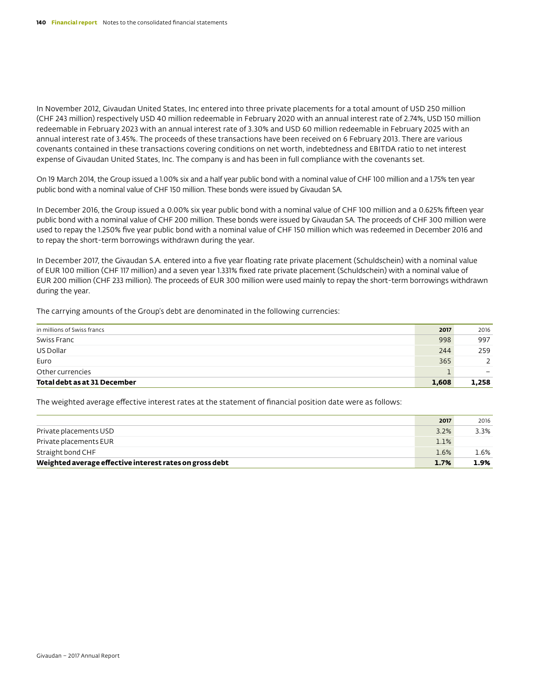In November 2012, Givaudan United States, Inc entered into three private placements for a total amount of USD 250 million (CHF 243 million) respectively USD 40 million redeemable in February 2020 with an annual interest rate of 2.74%, USD 150 million redeemable in February 2023 with an annual interest rate of 3.30% and USD 60 million redeemable in February 2025 with an annual interest rate of 3.45%. The proceeds of these transactions have been received on 6 February 2013. There are various covenants contained in these transactions covering conditions on net worth, indebtedness and EBITDA ratio to net interest expense of Givaudan United States, Inc. The company is and has been in full compliance with the covenants set.

On 19 March 2014, the Group issued a 1.00% six and a half year public bond with a nominal value of CHF 100 million and a 1.75% ten year public bond with a nominal value of CHF 150 million. These bonds were issued by Givaudan SA.

In December 2016, the Group issued a 0.00% six year public bond with a nominal value of CHF 100 million and a 0.625% fifteen year public bond with a nominal value of CHF 200 million. These bonds were issued by Givaudan SA. The proceeds of CHF 300 million were used to repay the 1.250% five year public bond with a nominal value of CHF 150 million which was redeemed in December 2016 and to repay the short-term borrowings withdrawn during the year.

In December 2017, the Givaudan S.A. entered into a five year floating rate private placement (Schuldschein) with a nominal value of EUR 100 million (CHF 117 million) and a seven year 1.331% fixed rate private placement (Schuldschein) with a nominal value of EUR 200 million (CHF 233 million). The proceeds of EUR 300 million were used mainly to repay the short-term borrowings withdrawn during the year.

The carrying amounts of the Group's debt are denominated in the following currencies:

| Total debt as at 31 December | 1,608 | 1,258                    |
|------------------------------|-------|--------------------------|
| Other currencies             |       | $\overline{\phantom{0}}$ |
| Euro                         | 365   |                          |
| US Dollar                    | 244   | 259                      |
| Swiss Franc                  | 998   | 997                      |
| in millions of Swiss francs  | 2017  | 2016                     |

The weighted average effective interest rates at the statement of financial position date were as follows:

|                                                         | 2017 | 2016    |
|---------------------------------------------------------|------|---------|
| Private placements USD                                  | 3.2% | 3.3%    |
| Private placements EUR                                  | 1.1% |         |
| Straight bond CHF                                       | 1.6% | $1.6\%$ |
| Weighted average effective interest rates on gross debt | 1.7% | 1.9%    |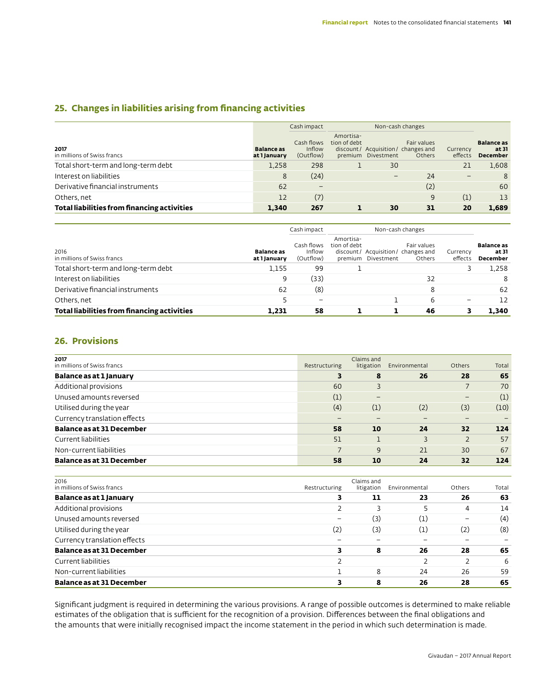# **25. Changes in liabilities arising from financing activities**

|                                             |                                   | Cash impact                       | Non-cash changes          |                    |                                                                    |                     |                                               |
|---------------------------------------------|-----------------------------------|-----------------------------------|---------------------------|--------------------|--------------------------------------------------------------------|---------------------|-----------------------------------------------|
| 2017<br>in millions of Swiss francs         | <b>Balance</b> as<br>at 1 January | Cash flows<br>Inflow<br>(Outflow) | Amortisa-<br>tion of debt | premium Divestment | Fair values<br>discount/ Acquisition/ changes and<br><b>Others</b> | Currency<br>effects | <b>Balance</b> as<br>at 31<br><b>December</b> |
| Total short-term and long-term debt         | 1.258                             | 298                               |                           | 30                 |                                                                    | 21                  | 1,608                                         |
| Interest on liabilities                     | 8                                 | (24)                              |                           |                    | 24                                                                 | $\qquad \qquad -$   | 8                                             |
| Derivative financial instruments            | 62                                |                                   |                           |                    | (2)                                                                |                     | 60                                            |
| Others, net                                 | 12                                | (7)                               |                           |                    | 9                                                                  | (1)                 | 13                                            |
| Total liabilities from financing activities | 1.340                             | 267                               |                           | 30                 | 31                                                                 | 20                  | 1.689                                         |

|                                             |                                   | Cash impact                       |                           | Non-cash changes   |                                                             |                     |                                        |
|---------------------------------------------|-----------------------------------|-----------------------------------|---------------------------|--------------------|-------------------------------------------------------------|---------------------|----------------------------------------|
| 2016<br>in millions of Swiss francs         | <b>Balance</b> as<br>at 1 January | Cash flows<br>Inflow<br>(Outflow) | Amortisa-<br>tion of debt | premium Divestment | Fair values<br>discount/ Acquisition/ changes and<br>Others | Currency<br>effects | <b>Balance</b> as<br>at 31<br>December |
| Total short-term and long-term debt         | 1,155                             | 99                                |                           |                    |                                                             |                     | 1.258                                  |
| Interest on liabilities                     | 9                                 | (33)                              |                           |                    | 32                                                          |                     | 8                                      |
| Derivative financial instruments            | 62                                | (8)                               |                           |                    | 8                                                           |                     | 62                                     |
| Others, net                                 |                                   |                                   |                           |                    | 6                                                           |                     | 12                                     |
| Total liabilities from financing activities | 1.231                             | 58                                |                           |                    | 46                                                          |                     | 1.340                                  |

# **26. Provisions**

| 2017<br>in millions of Swiss francs | Restructuring | Claims and<br>litigation | Environmental | Others                   | Total |
|-------------------------------------|---------------|--------------------------|---------------|--------------------------|-------|
| Balance as at 1 January             | 3             | 8                        | 26            | 28                       | 65    |
| Additional provisions               | 60            | 3                        |               |                          | 70    |
| Unused amounts reversed             | (1)           | -                        |               | $\overline{\phantom{0}}$ | (1)   |
| Utilised during the year            | (4)           | (1)                      | (2)           | (3)                      | (10)  |
| Currency translation effects        |               |                          |               | -                        |       |
| <b>Balance as at 31 December</b>    | 58            | 10                       | 24            | 32                       | 124   |
| Current liabilities                 | 51            |                          | 3             | $\overline{2}$           | 57    |
| Non-current liabilities             |               | 9                        | 21            | 30                       | 67    |
| <b>Balance as at 31 December</b>    | 58            | 10                       | 24            | 32                       | 124   |

| 2016<br>in millions of Swiss francs | Restructuring | Claims and<br>litigation | Environmental    | Others | Total |
|-------------------------------------|---------------|--------------------------|------------------|--------|-------|
| Balance as at 1 January             | 3             | 11                       | 23               | 26     | 63    |
| Additional provisions               |               |                          |                  | 4      | 14    |
| Unused amounts reversed             |               | (3)                      | $\left(1\right)$ | -      | (4)   |
| Utilised during the year            | (2)           | (3)                      | $\left(1\right)$ | (2)    | (8)   |
| Currency translation effects        |               |                          |                  |        |       |
| <b>Balance as at 31 December</b>    | 3             | 8                        | 26               | 28     | 65    |
| Current liabilities                 |               |                          |                  |        | 6     |
| Non-current liabilities             |               | 8                        | 24               | 26     | 59    |
| <b>Balance as at 31 December</b>    |               | 8                        | 26               | 28     | 65    |

Significant judgment is required in determining the various provisions. A range of possible outcomes is determined to make reliable estimates of the obligation that is sufficient for the recognition of a provision. Differences between the final obligations and the amounts that were initially recognised impact the income statement in the period in which such determination is made.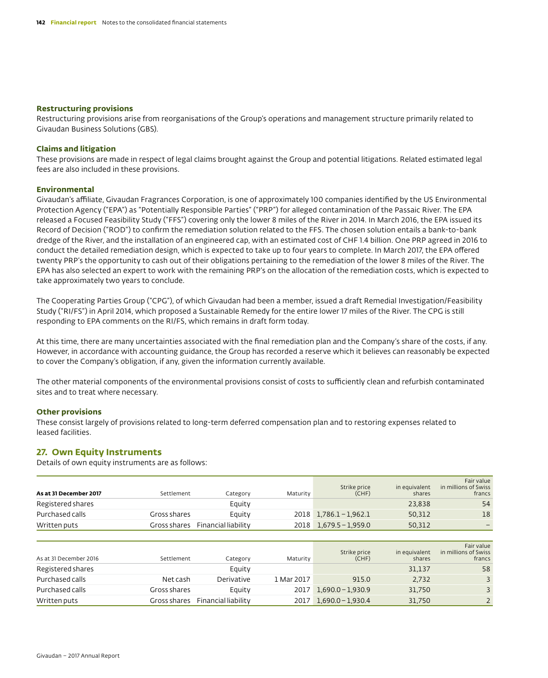### **Restructuring provisions**

Restructuring provisions arise from reorganisations of the Group's operations and management structure primarily related to Givaudan Business Solutions (GBS).

### **Claims and litigation**

These provisions are made in respect of legal claims brought against the Group and potential litigations. Related estimated legal fees are also included in these provisions.

### **Environmental**

Givaudan's affiliate, Givaudan Fragrances Corporation, is one of approximately 100 companies identified by the US Environmental Protection Agency ("EPA") as "Potentially Responsible Parties" ("PRP") for alleged contamination of the Passaic River. The EPA released a Focused Feasibility Study ("FFS") covering only the lower 8 miles of the River in 2014. In March 2016, the EPA issued its Record of Decision ("ROD") to confirm the remediation solution related to the FFS. The chosen solution entails a bank-to-bank dredge of the River, and the installation of an engineered cap, with an estimated cost of CHF 1.4 billion. One PRP agreed in 2016 to conduct the detailed remediation design, which is expected to take up to four years to complete. In March 2017, the EPA offered twenty PRP's the opportunity to cash out of their obligations pertaining to the remediation of the lower 8 miles of the River. The EPA has also selected an expert to work with the remaining PRP's on the allocation of the remediation costs, which is expected to take approximately two years to conclude.

The Cooperating Parties Group ("CPG"), of which Givaudan had been a member, issued a draft Remedial Investigation/Feasibility Study ("RI/FS") in April 2014, which proposed a Sustainable Remedy for the entire lower 17 miles of the River. The CPG is still responding to EPA comments on the RI/FS, which remains in draft form today.

At this time, there are many uncertainties associated with the final remediation plan and the Company's share of the costs, if any. However, in accordance with accounting guidance, the Group has recorded a reserve which it believes can reasonably be expected to cover the Company's obligation, if any, given the information currently available.

The other material components of the environmental provisions consist of costs to sufficiently clean and refurbish contaminated sites and to treat where necessary.

### **Other provisions**

These consist largely of provisions related to long-term deferred compensation plan and to restoring expenses related to leased facilities.

# **27. Own Equity Instruments**

Details of own equity instruments are as follows:

| As at 31 December 2017 | Settlement   | Category            | Maturity   | Strike price<br>(CHF) | in equivalent<br>shares | Fair value<br>in millions of Swiss<br>francs |
|------------------------|--------------|---------------------|------------|-----------------------|-------------------------|----------------------------------------------|
| Registered shares      |              | Equity              |            |                       | 23,838                  | 54                                           |
| Purchased calls        | Gross shares | Equity              | 2018       | $1,786.1 - 1,962.1$   | 50,312                  | 18                                           |
| Written puts           | Gross shares | Financial liability | 2018       | $1.679.5 - 1.959.0$   | 50,312                  |                                              |
|                        |              |                     |            |                       |                         |                                              |
| As at 31 December 2016 | Settlement   | Category            | Maturity   | Strike price<br>(CHF) | in equivalent<br>shares | Fair value<br>in millions of Swiss<br>francs |
| Registered shares      |              | Equity              |            |                       | 31.137                  | 58                                           |
| Purchased calls        | Net cash     | Derivative          | 1 Mar 2017 | 915.0                 | 2,732                   | 3                                            |
| Purchased calls        | Gross shares | Equity              | 2017       | $1,690.0 - 1,930.9$   | 31.750                  | 3                                            |
| Written puts           | Gross shares | Financial liability | 2017       | $1.690.0 - 1.930.4$   | 31.750                  | $\overline{2}$                               |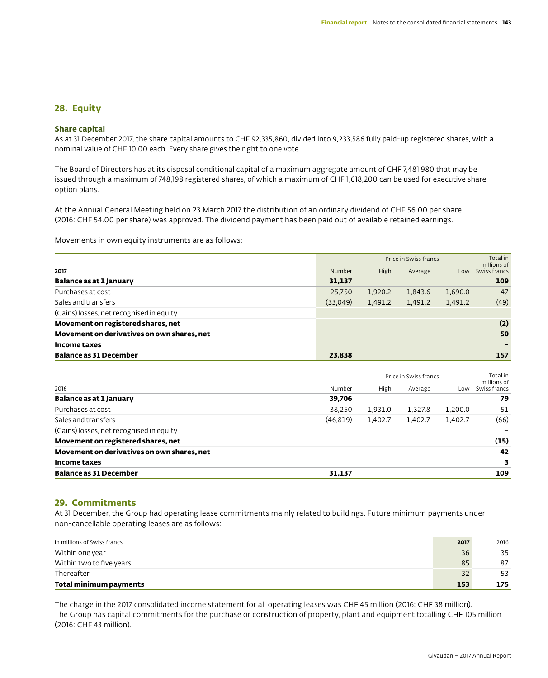# **28. Equity**

### **Share capital**

As at 31 December 2017, the share capital amounts to CHF 92,335,860, divided into 9,233,586 fully paid-up registered shares, with a nominal value of CHF 10.00 each. Every share gives the right to one vote.

The Board of Directors has at its disposal conditional capital of a maximum aggregate amount of CHF 7,481,980 that may be issued through a maximum of 748,198 registered shares, of which a maximum of CHF 1,618,200 can be used for executive share option plans.

At the Annual General Meeting held on 23 March 2017 the distribution of an ordinary dividend of CHF 56.00 per share (2016: CHF 54.00 per share) was approved. The dividend payment has been paid out of available retained earnings.

Movements in own equity instruments are as follows:

|                                            |          | Price in Swiss francs |         |         | Total in<br>millions of |  |
|--------------------------------------------|----------|-----------------------|---------|---------|-------------------------|--|
| 2017                                       | Number   | High                  | Average | Low     | Swiss francs            |  |
| Balance as at 1 January                    | 31,137   |                       |         |         | 109                     |  |
| Purchases at cost                          | 25,750   | 1,920.2               | 1.843.6 | 1,690.0 | 47                      |  |
| Sales and transfers                        | (33,049) | 1,491.2               | 1,491.2 | 1,491.2 | (49)                    |  |
| (Gains) losses, net recognised in equity   |          |                       |         |         |                         |  |
| Movement on registered shares, net         |          |                       |         |         | (2)                     |  |
| Movement on derivatives on own shares, net |          |                       |         |         | 50                      |  |
| Income taxes                               |          |                       |         |         |                         |  |
| <b>Balance as 31 December</b>              | 23,838   |                       |         |         | 157                     |  |

|                                            |           |         | Price in Swiss francs |         | Total in<br>millions of |
|--------------------------------------------|-----------|---------|-----------------------|---------|-------------------------|
| 2016                                       | Number    | High    | Average               | Low     | Swiss francs            |
| Balance as at 1 January                    | 39.706    |         |                       |         | 79                      |
| Purchases at cost                          | 38,250    | 1.931.0 | 1.327.8               | 1,200.0 | 51                      |
| Sales and transfers                        | (46, 819) | 1,402.7 | 1,402.7               | 1.402.7 | (66)                    |
| (Gains) losses, net recognised in equity   |           |         |                       |         |                         |
| Movement on registered shares, net         |           |         |                       |         | (15)                    |
| Movement on derivatives on own shares, net |           |         |                       |         | 42                      |
| Income taxes                               |           |         |                       |         | 3                       |
| <b>Balance as 31 December</b>              | 31.137    |         |                       |         | 109                     |

# **29. Commitments**

At 31 December, the Group had operating lease commitments mainly related to buildings. Future minimum payments under non-cancellable operating leases are as follows:

| in millions of Swiss francs | 2017 | 2016 |
|-----------------------------|------|------|
| Within one year             | 36   | 35   |
| Within two to five years    | 85   | 87   |
| Thereafter                  | 32   | 53   |
| Total minimum payments      | 153  | 175  |

The charge in the 2017 consolidated income statement for all operating leases was CHF 45 million (2016: CHF 38 million). The Group has capital commitments for the purchase or construction of property, plant and equipment totalling CHF 105 million (2016: CHF 43 million).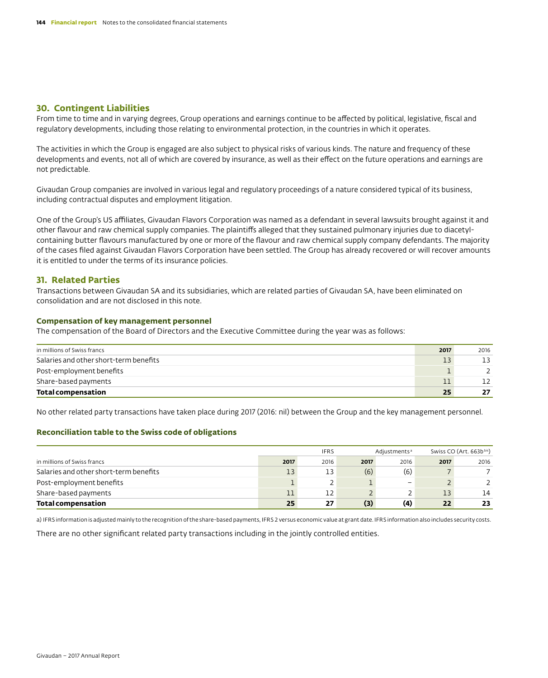# **30. Contingent Liabilities**

From time to time and in varying degrees, Group operations and earnings continue to be affected by political, legislative, fiscal and regulatory developments, including those relating to environmental protection, in the countries in which it operates.

The activities in which the Group is engaged are also subject to physical risks of various kinds. The nature and frequency of these developments and events, not all of which are covered by insurance, as well as their effect on the future operations and earnings are not predictable.

Givaudan Group companies are involved in various legal and regulatory proceedings of a nature considered typical of its business, including contractual disputes and employment litigation.

One of the Group's US affiliates, Givaudan Flavors Corporation was named as a defendant in several lawsuits brought against it and other flavour and raw chemical supply companies. The plaintiffs alleged that they sustained pulmonary injuries due to diacetylcontaining butter flavours manufactured by one or more of the flavour and raw chemical supply company defendants. The majority of the cases filed against Givaudan Flavors Corporation have been settled. The Group has already recovered or will recover amounts it is entitled to under the terms of its insurance policies.

# **31. Related Parties**

Transactions between Givaudan SA and its subsidiaries, which are related parties of Givaudan SA, have been eliminated on consolidation and are not disclosed in this note.

### **Compensation of key management personnel**

The compensation of the Board of Directors and the Executive Committee during the year was as follows:

| in millions of Swiss francs            | 2017 | 2016 |
|----------------------------------------|------|------|
| Salaries and other short-term benefits |      | 13   |
| Post-employment benefits               |      |      |
| Share-based payments                   |      | 12   |
| <b>Total compensation</b>              | 25   | 27   |

No other related party transactions have taken place during 2017 (2016: nil) between the Group and the key management personnel.

### **Reconciliation table to the Swiss code of obligations**

|                                        |      | <b>IFRS</b><br>Adjustments <sup>a</sup> |      |                          | Swiss CO (Art. 663b bis) |      |
|----------------------------------------|------|-----------------------------------------|------|--------------------------|--------------------------|------|
| in millions of Swiss francs            | 2017 | 2016                                    | 2017 | 2016                     | 2017                     | 2016 |
| Salaries and other short-term benefits | 13   | 13                                      | (6)  | (6)                      |                          |      |
| Post-employment benefits               |      |                                         |      | $\overline{\phantom{a}}$ |                          |      |
| Share-based payments                   |      | 12                                      |      |                          | 13                       | 14   |
| <b>Total compensation</b>              | 25   | 27                                      | (3)  | (4)                      | 22                       | 23   |

a) IFRS information is adjusted mainly to the recognition of the share-based payments, IFRS 2 versus economic value at grant date. IFRS information also includes security costs.

There are no other significant related party transactions including in the jointly controlled entities.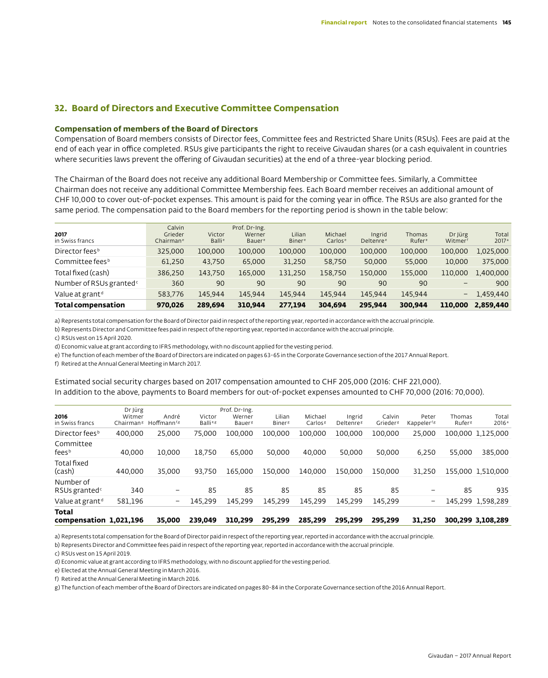## **32. Board of Directors and Executive Committee Compensation**

### **Compensation of members of the Board of Directors**

Compensation of Board members consists of Director fees, Committee fees and Restricted Share Units (RSUs). Fees are paid at the end of each year in office completed. RSUs give participants the right to receive Givaudan shares (or a cash equivalent in countries where securities laws prevent the offering of Givaudan securities) at the end of a three-year blocking period.

The Chairman of the Board does not receive any additional Board Membership or Committee fees. Similarly, a Committee Chairman does not receive any additional Committee Membership fees. Each Board member receives an additional amount of CHF 10,000 to cover out-of-pocket expenses. This amount is paid for the coming year in office. The RSUs are also granted for the same period. The compensation paid to the Board members for the reporting period is shown in the table below:

| 2017<br>in Swiss francs             | Calvin<br>Grieder<br>Chairman <sup>e</sup> | Victor<br><b>Balli<sup>e</sup></b> | Prof. Dr-Ing.<br>Werner<br><b>Bauer</b> <sup>e</sup> | Lilian<br><b>Biner</b> <sup>e</sup> | Michael<br>Carlos <sup>e</sup> | Ingrid<br>Deltenre <sup>e</sup> | Thomas<br>Rufer <sup>e</sup> | Dr Jürg<br>Witmer | Total<br>2017 <sup>a</sup> |
|-------------------------------------|--------------------------------------------|------------------------------------|------------------------------------------------------|-------------------------------------|--------------------------------|---------------------------------|------------------------------|-------------------|----------------------------|
| Director fees <sup>b</sup>          | 325.000                                    | 100.000                            | 100,000                                              | 100.000                             | 100.000                        | 100,000                         | 100.000                      | 100.000           | 1,025,000                  |
| Committee fees <sup>b</sup>         | 61,250                                     | 43.750                             | 65,000                                               | 31,250                              | 58.750                         | 50,000                          | 55,000                       | 10.000            | 375,000                    |
| Total fixed (cash)                  | 386,250                                    | 143,750                            | 165,000                                              | 131.250                             | 158,750                        | 150,000                         | 155.000                      | 110,000           | 1,400,000                  |
| Number of RSUs granted <sup>c</sup> | 360                                        | 90                                 | 90                                                   | 90                                  | 90                             | 90                              | 90                           | -                 | 900                        |
| Value at grant <sup>d</sup>         | 583,776                                    | 145,944                            | 145.944                                              | 145.944                             | 145,944                        | 145.944                         | 145.944                      | -                 | 1.459.440                  |
| Total compensation                  | 970.026                                    | 289.694                            | 310.944                                              | 277.194                             | 304.694                        | 295.944                         | 300.944                      | 110,000           | 2.859.440                  |

a) Represents total compensation for the Board of Director paid in respect of the reporting year, reported in accordance with the accrual principle.

b) Represents Director and Committee fees paid in respect of the reporting year, reported in accordance with the accrual principle.

c) RSUs vest on 15 April 2020.

d) Economic value at grant according to IFRS methodology, with no discount applied for the vesting period.

e) The function of each member of the Board of Directors are indicated on pages 63-65 in the Corporate Governance section of the 2017 Annual Report.

f) Retired at the Annual General Meeting in March 2017.

Estimated social security charges based on 2017 compensation amounted to CHF 205,000 (2016: CHF 221,000). In addition to the above, payments to Board members for out-of-pocket expenses amounted to CHF 70,000 (2016: 70,000).

| Total<br>compensation 1,021.196        |                                            | 35.000                           | 239.049                        | 310,299                                       | 295.299                             | 285.299                        | 295.299                         | 295.299                        | 31.250                           |                              | 300.299 3.108.289          |
|----------------------------------------|--------------------------------------------|----------------------------------|--------------------------------|-----------------------------------------------|-------------------------------------|--------------------------------|---------------------------------|--------------------------------|----------------------------------|------------------------------|----------------------------|
| Value at grant <sup>d</sup>            | 581,196                                    | -                                | 145,299                        | 145,299                                       | 145.299                             | 145.299                        | 145.299                         | 145,299                        | -                                |                              | 145,299 1,598,289          |
| Number of<br>RSUs granted <sup>c</sup> | 340                                        | -                                | 85                             | 85                                            | 85                                  | 85                             | 85                              | 85                             | $\overline{\phantom{0}}$         | 85                           | 935                        |
| Total fixed<br>(cash)                  | 440,000                                    | 35,000                           | 93.750                         | 165.000                                       | 150.000                             | 140.000                        | 150.000                         | 150.000                        | 31.250                           |                              | 155,000 1.510,000          |
| Committee<br>fees <sup>b</sup>         | 40.000                                     | 10.000                           | 18.750                         | 65.000                                        | 50.000                              | 40.000                         | 50.000                          | 50.000                         | 6,250                            | 55,000                       | 385,000                    |
| Director fees <sup>b</sup>             | 400,000                                    | 25.000                           | 75,000                         | 100.000                                       | 100.000                             | 100.000                        | 100.000                         | 100.000                        | 25,000                           |                              | 100.000 1.125.000          |
| 2016<br>in Swiss francs                | Dr Jürg<br>Witmer<br>Chairman <sup>g</sup> | André<br>Hoffmann <sup>f,g</sup> | Victor<br>Balli <sup>e,g</sup> | Prof. Dr-Ing.<br>Werner<br>Bauer <sup>g</sup> | Lilian<br><b>Biner</b> <sup>g</sup> | Michael<br>Carlos <sup>g</sup> | Ingrid<br>Deltenre <sup>g</sup> | Calvin<br>Grieder <sup>g</sup> | Peter<br>Kappeler <sup>f,g</sup> | Thomas<br>Rufer <sup>g</sup> | Total<br>2016 <sup>a</sup> |

a) Represents total compensation for the Board of Director paid in respect of the reporting year, reported in accordance with the accrual principle.

b) Represents Director and Committee fees paid in respect of the reporting year, reported in accordance with the accrual principle.

c) RSUs vest on 15 April 2019.

d) Economic value at grant according to IFRS methodology, with no discount applied for the vesting period.

e) Elected at the Annual General Meeting in March 2016.

f) Retired at the Annual General Meeting in March 2016.

g) The function of each member of the Board of Directors are indicated on pages 80-84 in the Corporate Governance section of the 2016 Annual Report.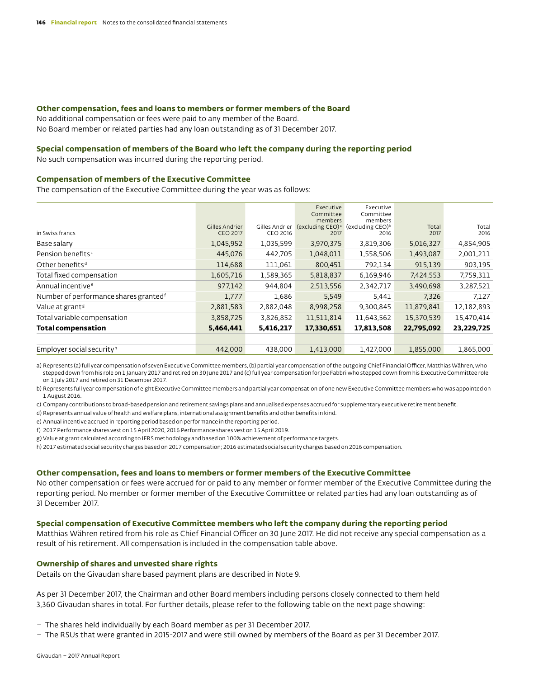#### **Other compensation, fees and loans to members or former members of the Board**

No additional compensation or fees were paid to any member of the Board. No Board member or related parties had any loan outstanding as of 31 December 2017.

### **Special compensation of members of the Board who left the company during the reporting period**

No such compensation was incurred during the reporting period.

### **Compensation of members of the Executive Committee**

The compensation of the Executive Committee during the year was as follows:

|                                                   |                                   |                            | Executive<br>Committee                          | Executive<br>Committee                          |               |               |
|---------------------------------------------------|-----------------------------------|----------------------------|-------------------------------------------------|-------------------------------------------------|---------------|---------------|
| in Swiss francs                                   | Gilles Andrier<br><b>CEO 2017</b> | Gilles Andrier<br>CEO 2016 | members<br>(excluding CEO) <sup>a</sup><br>2017 | members<br>(excluding CEO) <sup>b</sup><br>2016 | Total<br>2017 | Total<br>2016 |
| Base salary                                       | 1,045,952                         | 1,035,599                  | 3,970,375                                       | 3,819,306                                       | 5,016,327     | 4,854,905     |
| Pension benefits <sup>c</sup>                     | 445,076                           | 442,705                    | 1,048,011                                       | 1,558,506                                       | 1,493,087     | 2,001,211     |
| Other benefits <sup>d</sup>                       | 114,688                           | 111,061                    | 800,451                                         | 792,134                                         | 915,139       | 903,195       |
| Total fixed compensation                          | 1,605,716                         | 1,589,365                  | 5,818,837                                       | 6,169,946                                       | 7,424,553     | 7,759,311     |
| Annual incentive <sup>e</sup>                     | 977,142                           | 944,804                    | 2,513,556                                       | 2,342,717                                       | 3,490,698     | 3,287,521     |
| Number of performance shares granted <sup>f</sup> | 1,777                             | 1,686                      | 5,549                                           | 5,441                                           | 7,326         | 7,127         |
| Value at grant <sup>g</sup>                       | 2,881,583                         | 2,882,048                  | 8,998,258                                       | 9,300,845                                       | 11,879,841    | 12,182,893    |
| Total variable compensation                       | 3,858,725                         | 3,826,852                  | 11,511,814                                      | 11,643,562                                      | 15,370,539    | 15,470,414    |
| <b>Total compensation</b>                         | 5,464,441                         | 5,416,217                  | 17,330,651                                      | 17,813,508                                      | 22,795,092    | 23,229,725    |
|                                                   |                                   |                            |                                                 |                                                 |               |               |
| Employer social security <sup>h</sup>             | 442,000                           | 438.000                    | 1,413,000                                       | 1,427,000                                       | 1,855,000     | 1,865,000     |

a) Represents (a) full year compensation of seven Executive Committee members, (b) partial year compensation of the outgoing Chief Financial Officer, Matthias Währen, who stepped down from his role on 1 January 2017 and retired on 30 June 2017 and (c) full year compensation for Joe Fabbri who stepped down from his Executive Committee role on 1 July 2017 and retired on 31 December 2017.

b) Represents full year compensation of eight Executive Committee members and partial year compensation of one new Executive Committee members who was appointed on 1 August 2016.

c) Company contributions to broad-based pension and retirement savings plans and annualised expenses accrued for supplementary executive retirement benefit.

d) Represents annual value of health and welfare plans, international assignment benefits and other benefits in kind.

e) Annual incentive accrued in reporting period based on performance in the reporting period.

f) 2017 Performance shares vest on 15 April 2020, 2016 Performance shares vest on 15 April 2019.

g) Value at grant calculated according to IFRS methodology and based on 100% achievement of performance targets.

h) 2017 estimated social security charges based on 2017 compensation; 2016 estimated social security charges based on 2016 compensation.

#### **Other compensation, fees and loans to members or former members of the Executive Committee**

No other compensation or fees were accrued for or paid to any member or former member of the Executive Committee during the reporting period. No member or former member of the Executive Committee or related parties had any loan outstanding as of 31 December 2017.

#### **Special compensation of Executive Committee members who left the company during the reporting period**

Matthias Währen retired from his role as Chief Financial Officer on 30 June 2017. He did not receive any special compensation as a result of his retirement. All compensation is included in the compensation table above.

### **Ownership of shares and unvested share rights**

Details on the Givaudan share based payment plans are described in Note 9.

As per 31 December 2017, the Chairman and other Board members including persons closely connected to them held 3,360 Givaudan shares in total. For further details, please refer to the following table on the next page showing:

- The shares held individually by each Board member as per 31 December 2017.
- The RSUs that were granted in 2015-2017 and were still owned by members of the Board as per 31 December 2017.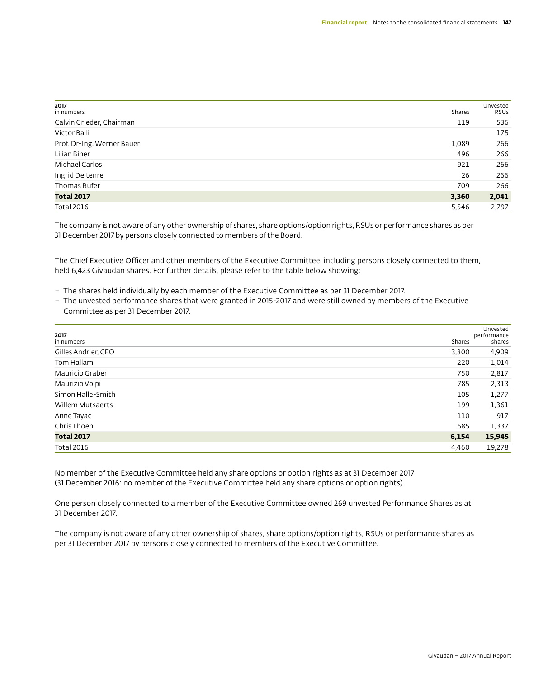| 2017<br>in numbers         | Shares | Unvested<br><b>RSUS</b> |
|----------------------------|--------|-------------------------|
| Calvin Grieder, Chairman   | 119    | 536                     |
| Victor Balli               |        | 175                     |
| Prof. Dr-Ing. Werner Bauer | 1,089  | 266                     |
| Lilian Biner               | 496    | 266                     |
| Michael Carlos             | 921    | 266                     |
| Ingrid Deltenre            | 26     | 266                     |
| Thomas Rufer               | 709    | 266                     |
| <b>Total 2017</b>          | 3,360  | 2,041                   |
| <b>Total 2016</b>          | 5,546  | 2,797                   |

The company is not aware of any other ownership of shares, share options/option rights, RSUs or performance shares as per 31 December 2017 by persons closely connected to members of the Board.

The Chief Executive Officer and other members of the Executive Committee, including persons closely connected to them, held 6,423 Givaudan shares. For further details, please refer to the table below showing:

- The shares held individually by each member of the Executive Committee as per 31 December 2017.
- The unvested performance shares that were granted in 2015-2017 and were still owned by members of the Executive Committee as per 31 December 2017.

| 2017<br>in numbers  | Shares | Unvested<br>performance<br>shares |
|---------------------|--------|-----------------------------------|
| Gilles Andrier, CEO | 3,300  | 4,909                             |
| Tom Hallam          | 220    | 1,014                             |
| Mauricio Graber     | 750    | 2,817                             |
| Maurizio Volpi      | 785    | 2,313                             |
| Simon Halle-Smith   | 105    | 1,277                             |
| Willem Mutsaerts    | 199    | 1,361                             |
| Anne Tayac          | 110    | 917                               |
| Chris Thoen         | 685    | 1,337                             |
| <b>Total 2017</b>   | 6,154  | 15,945                            |
| <b>Total 2016</b>   | 4,460  | 19,278                            |

No member of the Executive Committee held any share options or option rights as at 31 December 2017 (31 December 2016: no member of the Executive Committee held any share options or option rights).

One person closely connected to a member of the Executive Committee owned 269 unvested Performance Shares as at 31 December 2017.

The company is not aware of any other ownership of shares, share options/option rights, RSUs or performance shares as per 31 December 2017 by persons closely connected to members of the Executive Committee.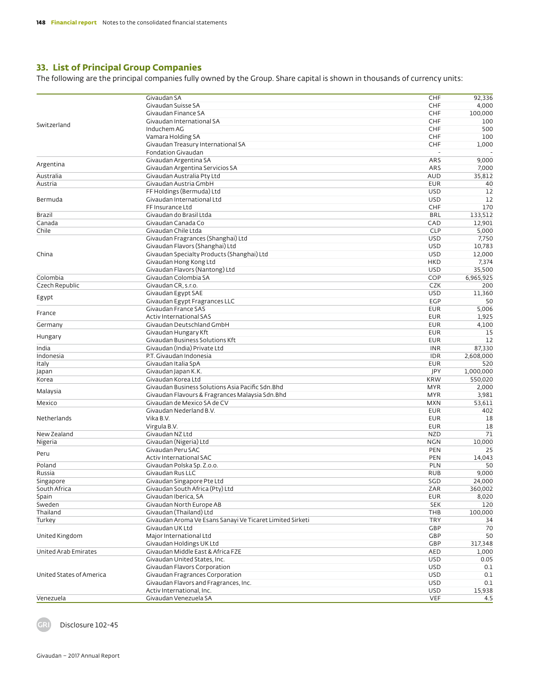# **33. List of Principal Group Companies**

The following are the principal companies fully owned by the Group. Share capital is shown in thousands of currency units:

|                          | Givaudan SA                                               | CHF        | 92,336    |
|--------------------------|-----------------------------------------------------------|------------|-----------|
|                          | Givaudan Suisse SA                                        | CHF        | 4,000     |
|                          | Givaudan Finance SA                                       | CHF        | 100,000   |
|                          | Givaudan International SA                                 | CHF        | 100       |
| Switzerland              | Induchem AG                                               | CHF        | 500       |
|                          | Vamara Holding SA                                         | CHF        | 100       |
|                          | Givaudan Treasury International SA                        | CHF        | 1,000     |
|                          | Fondation Givaudan                                        |            |           |
|                          | Givaudan Argentina SA                                     | ARS        | 9,000     |
| Argentina                | Givaudan Argentina Servicios SA                           | ARS        | 7,000     |
| Australia                | Givaudan Australia Pty Ltd                                | <b>AUD</b> | 35,812    |
| Austria                  | Givaudan Austria GmbH                                     | <b>EUR</b> | 40        |
|                          | FF Holdings (Bermuda) Ltd                                 | <b>USD</b> | 12        |
|                          | Givaudan International Ltd                                | <b>USD</b> |           |
| Bermuda                  | FF Insurance Ltd                                          |            | 12        |
|                          |                                                           | CHF        | 170       |
| Brazil                   | Givaudan do Brasil Ltda                                   | <b>BRL</b> | 133,512   |
| Canada                   | Givaudan Canada Co                                        | CAD        | 12,901    |
| Chile                    | Givaudan Chile Ltda                                       | <b>CLP</b> | 5,000     |
|                          | Givaudan Fragrances (Shanghai) Ltd                        | <b>USD</b> | 7,750     |
|                          | Givaudan Flavors (Shanghai) Ltd                           | <b>USD</b> | 10,783    |
| China                    | Givaudan Specialty Products (Shanghai) Ltd                | <b>USD</b> | 12,000    |
|                          | Givaudan Hong Kong Ltd                                    | <b>HKD</b> | 7,374     |
|                          | Givaudan Flavors (Nantong) Ltd                            | <b>USD</b> | 35,500    |
| Colombia                 | Givaudan Colombia SA                                      | COP        | 6,965,925 |
| Czech Republic           | Givaudan CR, s.r.o.                                       | <b>CZK</b> | 200       |
|                          | Givaudan Egypt SAE                                        | <b>USD</b> | 11,360    |
| Egypt                    | Givaudan Egypt Fragrances LLC                             | EGP        | 50        |
|                          | Givaudan France SAS                                       | <b>EUR</b> | 5,006     |
| France                   | <b>Activ International SAS</b>                            | <b>EUR</b> | 1,925     |
|                          | Givaudan Deutschland GmbH                                 | <b>EUR</b> | 4,100     |
| Germany                  |                                                           |            |           |
| Hungary                  | Givaudan Hungary Kft                                      | <b>EUR</b> | 15        |
|                          | Givaudan Business Solutions Kft                           | <b>EUR</b> | 12        |
| India                    | Givaudan (India) Private Ltd                              | <b>INR</b> | 87,330    |
| Indonesia                | P.T. Givaudan Indonesia                                   | <b>IDR</b> | 2,608,000 |
| Italy                    | Givaudan Italia SpA                                       | <b>EUR</b> | 520       |
| Japan                    | Givaudan Japan K.K.                                       | JPY        | 1,000,000 |
| Korea                    | Givaudan Korea Ltd                                        | <b>KRW</b> | 550,020   |
|                          | Givaudan Business Solutions Asia Pacific Sdn.Bhd          | <b>MYR</b> | 2,000     |
| Malaysia                 | Givaudan Flavours & Fragrances Malaysia Sdn. Bhd          | <b>MYR</b> | 3,981     |
| Mexico                   | Givaudan de Mexico SA de CV                               | <b>MXN</b> | 53,611    |
|                          | Givaudan Nederland B.V.                                   | <b>EUR</b> | 402       |
| Netherlands              | Vika B.V.                                                 | <b>EUR</b> | 18        |
|                          | Virgula B.V.                                              | <b>EUR</b> | 18        |
| New Zealand              | Givaudan NZ Ltd                                           | <b>NZD</b> | 71        |
| Nigeria                  | Givaudan (Nigeria) Ltd                                    | <b>NGN</b> | 10,000    |
|                          | Givaudan Peru SAC                                         | PEN        | 25        |
| Peru                     | Activ International SAC                                   | PEN        |           |
|                          |                                                           |            | 14,043    |
| Poland                   | Givaudan Polska Sp. Z.o.o.                                | <b>PLN</b> | 50        |
| Russia                   | Givaudan Rus LLC                                          | <b>RUB</b> | 9,000     |
| Singapore                | Givaudan Singapore Pte Ltd                                | SGD        | 24,000    |
| South Africa             | Givaudan South Africa (Pty) Ltd                           | ZAR        | 360,002   |
| Spain                    | Givaudan Iberica, SA                                      | <b>EUR</b> | 8,020     |
| Sweden                   | Givaudan North Europe AB                                  | <b>SEK</b> | 120       |
| Thailand                 | Givaudan (Thailand) Ltd                                   | THB        | 100,000   |
| Turkey                   | Givaudan Aroma Ve Esans Sanayi Ve Ticaret Limited Sirketi | <b>TRY</b> | 34        |
|                          | Givaudan UK Ltd                                           | GBP        | 70        |
| United Kingdom           | Major International Ltd                                   | GBP        | 50        |
|                          | Givaudan Holdings UK Ltd                                  | GBP        | 317,348   |
| United Arab Emirates     | Givaudan Middle East & Africa FZE                         | AED        | 1,000     |
|                          | Givaudan United States, Inc.                              | <b>USD</b> | 0.05      |
|                          | Givaudan Flavors Corporation                              | <b>USD</b> | 0.1       |
| United States of America | Givaudan Fragrances Corporation                           | <b>USD</b> | 0.1       |
|                          |                                                           |            | 0.1       |
|                          | Givaudan Flavors and Fragrances, Inc.                     | <b>USD</b> |           |
|                          | Activ International, Inc.                                 | <b>USD</b> | 15,938    |
| Venezuela                | Givaudan Venezuela SA                                     | VEF        | 4.5       |

GRI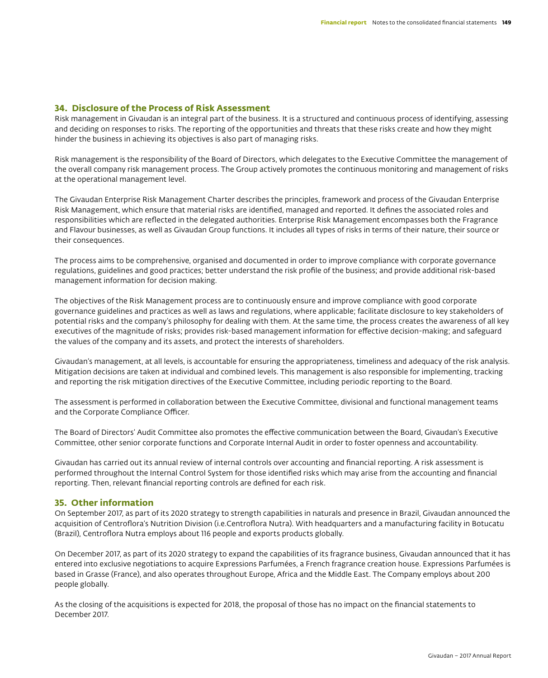# **34. Disclosure of the Process of Risk Assessment**

Risk management in Givaudan is an integral part of the business. It is a structured and continuous process of identifying, assessing and deciding on responses to risks. The reporting of the opportunities and threats that these risks create and how they might hinder the business in achieving its objectives is also part of managing risks.

Risk management is the responsibility of the Board of Directors, which delegates to the Executive Committee the management of the overall company risk management process. The Group actively promotes the continuous monitoring and management of risks at the operational management level.

The Givaudan Enterprise Risk Management Charter describes the principles, framework and process of the Givaudan Enterprise Risk Management, which ensure that material risks are identified, managed and reported. It defines the associated roles and responsibilities which are reflected in the delegated authorities. Enterprise Risk Management encompasses both the Fragrance and Flavour businesses, as well as Givaudan Group functions. It includes all types of risks in terms of their nature, their source or their consequences.

The process aims to be comprehensive, organised and documented in order to improve compliance with corporate governance regulations, guidelines and good practices; better understand the risk profile of the business; and provide additional risk-based management information for decision making.

The objectives of the Risk Management process are to continuously ensure and improve compliance with good corporate governance guidelines and practices as well as laws and regulations, where applicable; facilitate disclosure to key stakeholders of potential risks and the company's philosophy for dealing with them. At the same time, the process creates the awareness of all key executives of the magnitude of risks; provides risk-based management information for effective decision-making; and safeguard the values of the company and its assets, and protect the interests of shareholders.

Givaudan's management, at all levels, is accountable for ensuring the appropriateness, timeliness and adequacy of the risk analysis. Mitigation decisions are taken at individual and combined levels. This management is also responsible for implementing, tracking and reporting the risk mitigation directives of the Executive Committee, including periodic reporting to the Board.

The assessment is performed in collaboration between the Executive Committee, divisional and functional management teams and the Corporate Compliance Officer.

The Board of Directors' Audit Committee also promotes the effective communication between the Board, Givaudan's Executive Committee, other senior corporate functions and Corporate Internal Audit in order to foster openness and accountability.

Givaudan has carried out its annual review of internal controls over accounting and financial reporting. A risk assessment is performed throughout the Internal Control System for those identified risks which may arise from the accounting and financial reporting. Then, relevant financial reporting controls are defined for each risk.

# **35. Other information**

On September 2017, as part of its 2020 strategy to strength capabilities in naturals and presence in Brazil, Givaudan announced the acquisition of Centroflora's Nutrition Division (i.e.Centroflora Nutra). With headquarters and a manufacturing facility in Botucatu (Brazil), Centroflora Nutra employs about 116 people and exports products globally.

On December 2017, as part of its 2020 strategy to expand the capabilities of its fragrance business, Givaudan announced that it has entered into exclusive negotiations to acquire Expressions Parfumées, a French fragrance creation house. Expressions Parfumées is based in Grasse (France), and also operates throughout Europe, Africa and the Middle East. The Company employs about 200 people globally.

As the closing of the acquisitions is expected for 2018, the proposal of those has no impact on the financial statements to December 2017.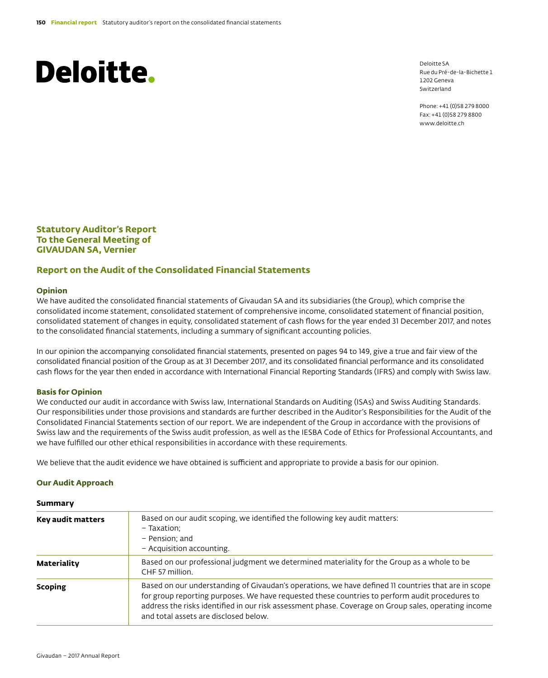Deloitte SA Rue du Pré-de-la-Bichette 1 1202 Geneva Switzerland

Phone: +41 (0)58 279 8000 Fax: +41 (0)58 279 8800 www.deloitte.ch

**Statutory Auditor's Report To the General Meeting of GIVAUDAN SA, Vernier**

# **Report on the Audit of the Consolidated Financial Statements**

### **Opinion**

We have audited the consolidated financial statements of Givaudan SA and its subsidiaries (the Group), which comprise the consolidated income statement, consolidated statement of comprehensive income, consolidated statement of financial position, consolidated statement of changes in equity, consolidated statement of cash flows for the year ended 31 December 2017, and notes to the consolidated financial statements, including a summary of significant accounting policies.

In our opinion the accompanying consolidated financial statements, presented on pages 94 to 149, give a true and fair view of the consolidated financial position of the Group as at 31 December 2017, and its consolidated financial performance and its consolidated cash flows for the year then ended in accordance with International Financial Reporting Standards (IFRS) and comply with Swiss law.

### **Basis for Opinion**

We conducted our audit in accordance with Swiss law, International Standards on Auditing (ISAs) and Swiss Auditing Standards. Our responsibilities under those provisions and standards are further described in the Auditor's Responsibilities for the Audit of the Consolidated Financial Statements section of our report. We are independent of the Group in accordance with the provisions of Swiss law and the requirements of the Swiss audit profession, as well as the IESBA Code of Ethics for Professional Accountants, and we have fulfilled our other ethical responsibilities in accordance with these requirements.

We believe that the audit evidence we have obtained is sufficient and appropriate to provide a basis for our opinion.

### **Our Audit Approach**

#### **Summary**

| Key audit matters | Based on our audit scoping, we identified the following key audit matters:<br>- Taxation;<br>- Pension; and<br>- Acquisition accounting.                                                                                                                                                                                                               |
|-------------------|--------------------------------------------------------------------------------------------------------------------------------------------------------------------------------------------------------------------------------------------------------------------------------------------------------------------------------------------------------|
| Materiality       | Based on our professional judgment we determined materiality for the Group as a whole to be<br>CHF 57 million.                                                                                                                                                                                                                                         |
| <b>Scoping</b>    | Based on our understanding of Givaudan's operations, we have defined 11 countries that are in scope<br>for group reporting purposes. We have requested these countries to perform audit procedures to<br>address the risks identified in our risk assessment phase. Coverage on Group sales, operating income<br>and total assets are disclosed below. |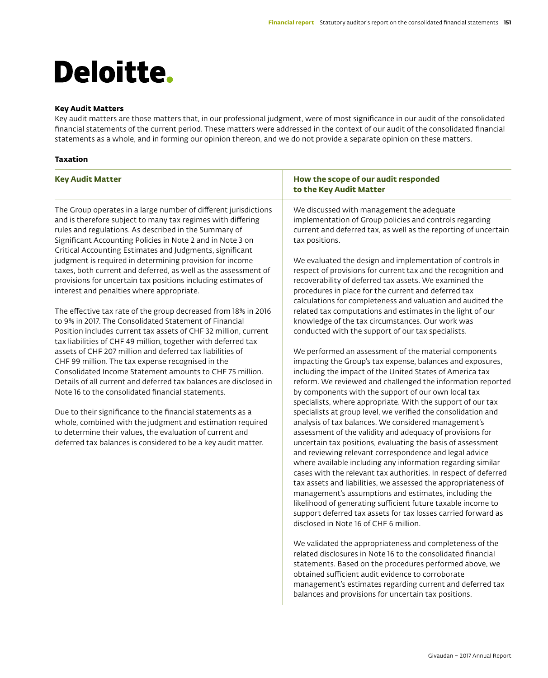## **Key Audit Matters**

Key audit matters are those matters that, in our professional judgment, were of most significance in our audit of the consolidated financial statements of the current period. These matters were addressed in the context of our audit of the consolidated financial statements as a whole, and in forming our opinion thereon, and we do not provide a separate opinion on these matters.

## **Taxation**

| <b>Key Audit Matter</b>                                                                                                                                                                                                                                                                                                                                                                                                                                                                                                                                                                                                                                                                                                                                                                                                                                                                                                                                                                                                                                                                                                                                                                                                                                                                                                                                                                       | How the scope of our audit responded<br>to the Key Audit Matter                                                                                                                                                                                                                                                                                                                                                                                                                                                                                                                                                                                                                                                                                                                                                                                                                                                                                                                                                                                                                                                                                                                                                                                                                                                                                                                                                                                                                                                                                                                                                                                                                                                                                                                                                                                                                                                                                                                                                                                                                                                          |
|-----------------------------------------------------------------------------------------------------------------------------------------------------------------------------------------------------------------------------------------------------------------------------------------------------------------------------------------------------------------------------------------------------------------------------------------------------------------------------------------------------------------------------------------------------------------------------------------------------------------------------------------------------------------------------------------------------------------------------------------------------------------------------------------------------------------------------------------------------------------------------------------------------------------------------------------------------------------------------------------------------------------------------------------------------------------------------------------------------------------------------------------------------------------------------------------------------------------------------------------------------------------------------------------------------------------------------------------------------------------------------------------------|--------------------------------------------------------------------------------------------------------------------------------------------------------------------------------------------------------------------------------------------------------------------------------------------------------------------------------------------------------------------------------------------------------------------------------------------------------------------------------------------------------------------------------------------------------------------------------------------------------------------------------------------------------------------------------------------------------------------------------------------------------------------------------------------------------------------------------------------------------------------------------------------------------------------------------------------------------------------------------------------------------------------------------------------------------------------------------------------------------------------------------------------------------------------------------------------------------------------------------------------------------------------------------------------------------------------------------------------------------------------------------------------------------------------------------------------------------------------------------------------------------------------------------------------------------------------------------------------------------------------------------------------------------------------------------------------------------------------------------------------------------------------------------------------------------------------------------------------------------------------------------------------------------------------------------------------------------------------------------------------------------------------------------------------------------------------------------------------------------------------------|
| The Group operates in a large number of different jurisdictions<br>and is therefore subject to many tax regimes with differing<br>rules and regulations. As described in the Summary of<br>Significant Accounting Policies in Note 2 and in Note 3 on<br>Critical Accounting Estimates and Judgments, significant<br>judgment is required in determining provision for income<br>taxes, both current and deferred, as well as the assessment of<br>provisions for uncertain tax positions including estimates of<br>interest and penalties where appropriate.<br>The effective tax rate of the group decreased from 18% in 2016<br>to 9% in 2017. The Consolidated Statement of Financial<br>Position includes current tax assets of CHF 32 million, current<br>tax liabilities of CHF 49 million, together with deferred tax<br>assets of CHF 207 million and deferred tax liabilities of<br>CHF 99 million. The tax expense recognised in the<br>Consolidated Income Statement amounts to CHF 75 million.<br>Details of all current and deferred tax balances are disclosed in<br>Note 16 to the consolidated financial statements.<br>Due to their significance to the financial statements as a<br>whole, combined with the judgment and estimation required<br>to determine their values, the evaluation of current and<br>deferred tax balances is considered to be a key audit matter. | We discussed with management the adequate<br>implementation of Group policies and controls regarding<br>current and deferred tax, as well as the reporting of uncertain<br>tax positions.<br>We evaluated the design and implementation of controls in<br>respect of provisions for current tax and the recognition and<br>recoverability of deferred tax assets. We examined the<br>procedures in place for the current and deferred tax<br>calculations for completeness and valuation and audited the<br>related tax computations and estimates in the light of our<br>knowledge of the tax circumstances. Our work was<br>conducted with the support of our tax specialists.<br>We performed an assessment of the material components<br>impacting the Group's tax expense, balances and exposures,<br>including the impact of the United States of America tax<br>reform. We reviewed and challenged the information reported<br>by components with the support of our own local tax<br>specialists, where appropriate. With the support of our tax<br>specialists at group level, we verified the consolidation and<br>analysis of tax balances. We considered management's<br>assessment of the validity and adequacy of provisions for<br>uncertain tax positions, evaluating the basis of assessment<br>and reviewing relevant correspondence and legal advice<br>where available including any information regarding similar<br>cases with the relevant tax authorities. In respect of deferred<br>tax assets and liabilities, we assessed the appropriateness of<br>management's assumptions and estimates, including the<br>likelihood of generating sufficient future taxable income to<br>support deferred tax assets for tax losses carried forward as<br>disclosed in Note 16 of CHF 6 million.<br>We validated the appropriateness and completeness of the<br>related disclosures in Note 16 to the consolidated financial<br>statements. Based on the procedures performed above, we<br>obtained sufficient audit evidence to corroborate<br>management's estimates regarding current and deferred tax |

balances and provisions for uncertain tax positions.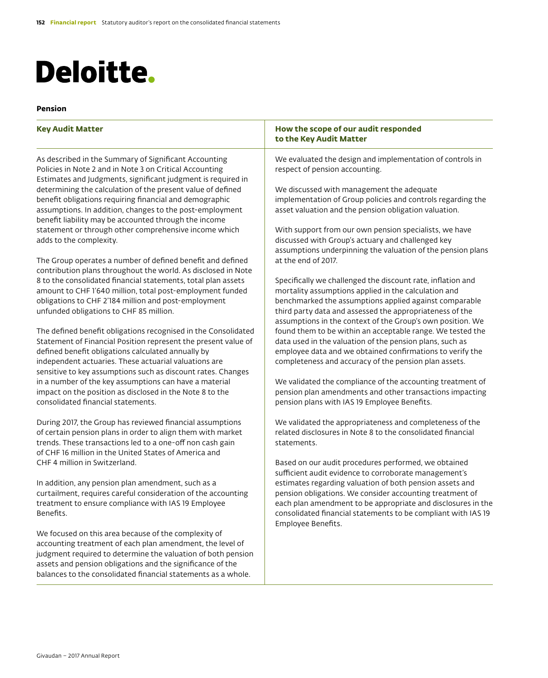## **Pension**

| <b>Key Audit Matter</b>                                                                                                                                                                                                                         | How the scope of our audit responded<br>to the Key Audit Matter                                                                                                                                                                                                                                         |
|-------------------------------------------------------------------------------------------------------------------------------------------------------------------------------------------------------------------------------------------------|---------------------------------------------------------------------------------------------------------------------------------------------------------------------------------------------------------------------------------------------------------------------------------------------------------|
| As described in the Summary of Significant Accounting<br>Policies in Note 2 and in Note 3 on Critical Accounting<br>Estimates and Judgments, significant judgment is required in                                                                | We evaluated the design and implementation of controls in<br>respect of pension accounting.                                                                                                                                                                                                             |
| determining the calculation of the present value of defined<br>benefit obligations requiring financial and demographic<br>assumptions. In addition, changes to the post-employment<br>benefit liability may be accounted through the income     | We discussed with management the adequate<br>implementation of Group policies and controls regarding the<br>asset valuation and the pension obligation valuation.                                                                                                                                       |
| statement or through other comprehensive income which<br>adds to the complexity.                                                                                                                                                                | With support from our own pension specialists, we have<br>discussed with Group's actuary and challenged key<br>assumptions underpinning the valuation of the pension plans                                                                                                                              |
| The Group operates a number of defined benefit and defined<br>contribution plans throughout the world. As disclosed in Note                                                                                                                     | at the end of 2017.                                                                                                                                                                                                                                                                                     |
| 8 to the consolidated financial statements, total plan assets<br>amount to CHF 1'640 million, total post-employment funded<br>obligations to CHF 2'184 million and post-employment<br>unfunded obligations to CHF 85 million.                   | Specifically we challenged the discount rate, inflation and<br>mortality assumptions applied in the calculation and<br>benchmarked the assumptions applied against comparable<br>third party data and assessed the appropriateness of the<br>assumptions in the context of the Group's own position. We |
| The defined benefit obligations recognised in the Consolidated<br>Statement of Financial Position represent the present value of<br>defined benefit obligations calculated annually by<br>independent actuaries. These actuarial valuations are | found them to be within an acceptable range. We tested the<br>data used in the valuation of the pension plans, such as<br>employee data and we obtained confirmations to verify the<br>completeness and accuracy of the pension plan assets.                                                            |
| sensitive to key assumptions such as discount rates. Changes<br>in a number of the key assumptions can have a material<br>impact on the position as disclosed in the Note 8 to the<br>consolidated financial statements.                        | We validated the compliance of the accounting treatment of<br>pension plan amendments and other transactions impacting<br>pension plans with IAS 19 Employee Benefits.                                                                                                                                  |
| During 2017, the Group has reviewed financial assumptions<br>of certain pension plans in order to align them with market<br>trends. These transactions led to a one-off non cash gain<br>of CHF 16 million in the United States of America and  | We validated the appropriateness and completeness of the<br>related disclosures in Note 8 to the consolidated financial<br>statements.                                                                                                                                                                  |
| CHF 4 million in Switzerland.                                                                                                                                                                                                                   | Based on our audit procedures performed, we obtained<br>sufficient audit evidence to corroborate management's                                                                                                                                                                                           |
| In addition, any pension plan amendment, such as a<br>curtailment, requires careful consideration of the accounting<br>treatment to ensure compliance with IAS 19 Employee<br>Benefits.                                                         | estimates regarding valuation of both pension assets and<br>pension obligations. We consider accounting treatment of<br>each plan amendment to be appropriate and disclosures in the<br>consolidated financial statements to be compliant with IAS 19<br>Employee Benefits.                             |
| We focused on this area because of the complexity of<br>accounting treatment of each plan amendment, the level of<br>judgment required to determine the valuation of both pension<br>assets and pension obligations and the significance of the |                                                                                                                                                                                                                                                                                                         |

balances to the consolidated financial statements as a whole.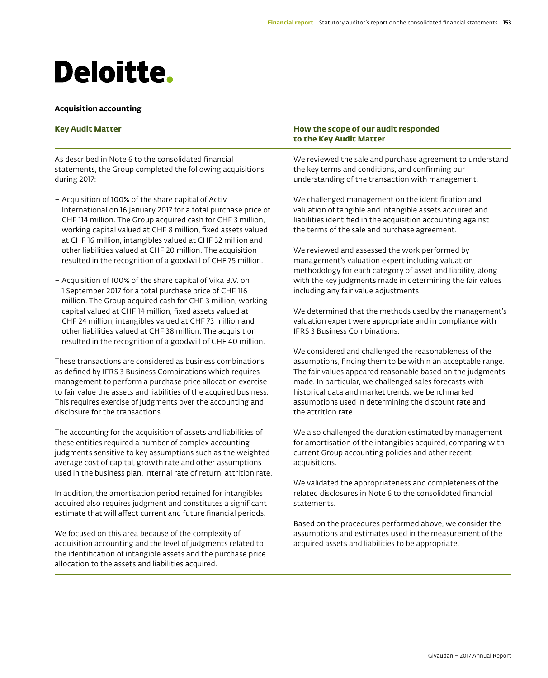# **Acquisition accounting**

| <b>Key Audit Matter</b>                                                                                                                                                                                                                                                                                                                                                                                                                            | How the scope of our audit responded<br>to the Key Audit Matter                                                                                                                                                                                                                                                                                                                     |
|----------------------------------------------------------------------------------------------------------------------------------------------------------------------------------------------------------------------------------------------------------------------------------------------------------------------------------------------------------------------------------------------------------------------------------------------------|-------------------------------------------------------------------------------------------------------------------------------------------------------------------------------------------------------------------------------------------------------------------------------------------------------------------------------------------------------------------------------------|
| As described in Note 6 to the consolidated financial<br>statements, the Group completed the following acquisitions<br>during 2017:                                                                                                                                                                                                                                                                                                                 | We reviewed the sale and purchase agreement to understand<br>the key terms and conditions, and confirming our<br>understanding of the transaction with management.                                                                                                                                                                                                                  |
| - Acquisition of 100% of the share capital of Activ<br>International on 16 January 2017 for a total purchase price of<br>CHF 114 million. The Group acquired cash for CHF 3 million,<br>working capital valued at CHF 8 million, fixed assets valued<br>at CHF 16 million, intangibles valued at CHF 32 million and<br>other liabilities valued at CHF 20 million. The acquisition<br>resulted in the recognition of a goodwill of CHF 75 million. | We challenged management on the identification and<br>valuation of tangible and intangible assets acquired and<br>liabilities identified in the acquisition accounting against<br>the terms of the sale and purchase agreement.<br>We reviewed and assessed the work performed by<br>management's valuation expert including valuation                                              |
| - Acquisition of 100% of the share capital of Vika B.V. on<br>1 September 2017 for a total purchase price of CHF 116<br>million. The Group acquired cash for CHF 3 million, working                                                                                                                                                                                                                                                                | methodology for each category of asset and liability, along<br>with the key judgments made in determining the fair values<br>including any fair value adjustments.                                                                                                                                                                                                                  |
| capital valued at CHF 14 million, fixed assets valued at<br>CHF 24 million, intangibles valued at CHF 73 million and<br>other liabilities valued at CHF 38 million. The acquisition<br>resulted in the recognition of a goodwill of CHF 40 million.                                                                                                                                                                                                | We determined that the methods used by the management's<br>valuation expert were appropriate and in compliance with<br><b>IFRS 3 Business Combinations.</b>                                                                                                                                                                                                                         |
| These transactions are considered as business combinations<br>as defined by IFRS 3 Business Combinations which requires<br>management to perform a purchase price allocation exercise<br>to fair value the assets and liabilities of the acquired business.<br>This requires exercise of judgments over the accounting and<br>disclosure for the transactions.                                                                                     | We considered and challenged the reasonableness of the<br>assumptions, finding them to be within an acceptable range.<br>The fair values appeared reasonable based on the judgments<br>made. In particular, we challenged sales forecasts with<br>historical data and market trends, we benchmarked<br>assumptions used in determining the discount rate and<br>the attrition rate. |
| The accounting for the acquisition of assets and liabilities of<br>these entities required a number of complex accounting<br>judgments sensitive to key assumptions such as the weighted<br>average cost of capital, growth rate and other assumptions<br>used in the business plan, internal rate of return, attrition rate.                                                                                                                      | We also challenged the duration estimated by management<br>for amortisation of the intangibles acquired, comparing with<br>current Group accounting policies and other recent<br>acquisitions.                                                                                                                                                                                      |
| In addition, the amortisation period retained for intangibles<br>acquired also requires judgment and constitutes a significant<br>estimate that will affect current and future financial periods.                                                                                                                                                                                                                                                  | We validated the appropriateness and completeness of the<br>related disclosures in Note 6 to the consolidated financial<br>statements.                                                                                                                                                                                                                                              |
| We focused on this area because of the complexity of<br>acquisition accounting and the level of judgments related to<br>the identification of intangible assets and the purchase price<br>allocation to the assets and liabilities acquired.                                                                                                                                                                                                       | Based on the procedures performed above, we consider the<br>assumptions and estimates used in the measurement of the<br>acquired assets and liabilities to be appropriate.                                                                                                                                                                                                          |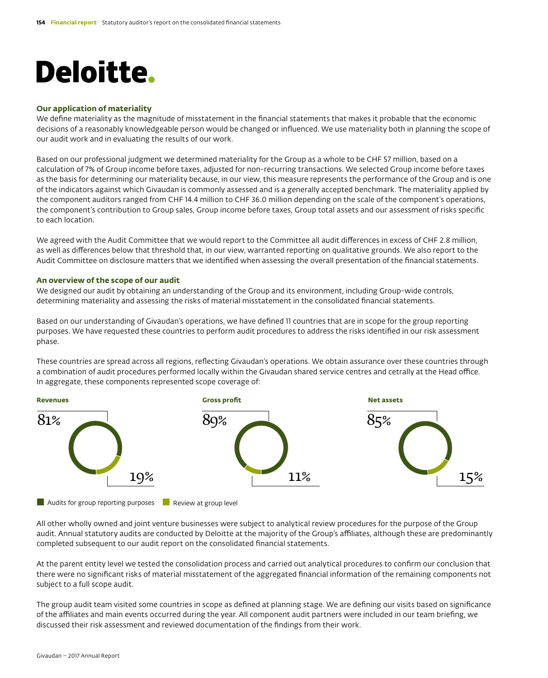### **Our application of materiality**

We define materiality as the magnitude of misstatement in the financial statements that makes it probable that the economic decisions of a reasonably knowledgeable person would be changed or influenced. We use materiality both in planning the scope of our audit work and in evaluating the results of our work.

Based on our professional judgment we determined materiality for the Group as a whole to be CHF 57 million, based on a calculation of 7% of Group income before taxes, adjusted for non-recurring transactions. We selected Group income before taxes as the basis for determining our materiality because, in our view, this measure represents the performance of the Group and is one of the indicators against which Givaudan is commonly assessed and is a generally accepted benchmark. The materiality applied by the component auditors ranged from CHF 14.4 million to CHF 36.0 million depending on the scale of the component's operations, the component's contribution to Group sales, Group income before taxes, Group total assets and our assessment of risks specific to each location.

We agreed with the Audit Committee that we would report to the Committee all audit differences in excess of CHF 2.8 million, as well as differences below that threshold that, in our view, warranted reporting on qualitative grounds. We also report to the Audit Committee on disclosure matters that we identified when assessing the overall presentation of the financial statements.

### **An overview of the scope of our audit**

We designed our audit by obtaining an understanding of the Group and its environment, including Group-wide controls, determining materiality and assessing the risks of material misstatement in the consolidated financial statements.

Based on our understanding of Givaudan's operations, we have defined 11 countries that are in scope for the group reporting purposes. We have requested these countries to perform audit procedures to address the risks identified in our risk assessment phase.

These countries are spread across all regions, reflecting Givaudan's operations. We obtain assurance over these countries through a combination of audit procedures performed locally within the Givaudan shared service centres and cetrally at the Head office. In aggregate, these components represented scope coverage of:



**Audits for group reporting purposes Review at group level** 

All other wholly owned and joint venture businesses were subject to analytical review procedures for the purpose of the Group audit. Annual statutory audits are conducted by Deloitte at the majority of the Group's affiliates, although these are predominantly completed subsequent to our audit report on the consolidated financial statements.

At the parent entity level we tested the consolidation process and carried out analytical procedures to confirm our conclusion that there were no significant risks of material misstatement of the aggregated financial information of the remaining components not subject to a full scope audit.

The group audit team visited some countries in scope as defined at planning stage. We are defining our visits based on significance of the affiliates and main events occurred during the year. All component audit partners were included in our team briefing, we discussed their risk assessment and reviewed documentation of the findings from their work.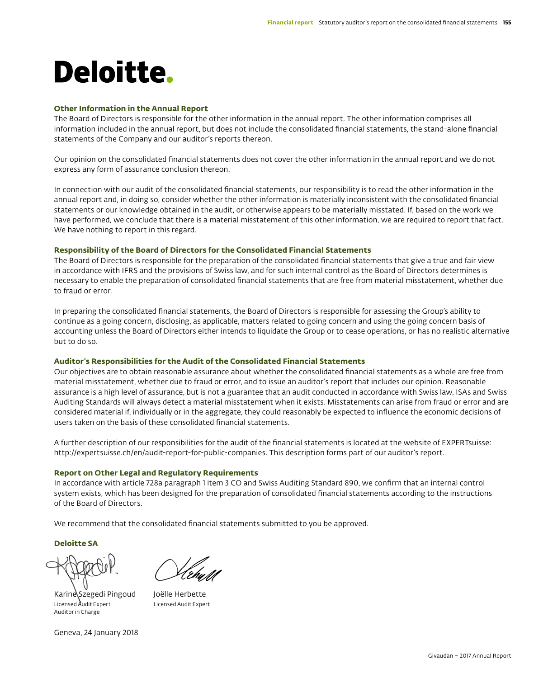### **Other Information in the Annual Report**

The Board of Directors is responsible for the other information in the annual report. The other information comprises all information included in the annual report, but does not include the consolidated financial statements, the stand-alone financial statements of the Company and our auditor's reports thereon.

Our opinion on the consolidated financial statements does not cover the other information in the annual report and we do not express any form of assurance conclusion thereon.

In connection with our audit of the consolidated financial statements, our responsibility is to read the other information in the annual report and, in doing so, consider whether the other information is materially inconsistent with the consolidated financial statements or our knowledge obtained in the audit, or otherwise appears to be materially misstated. If, based on the work we have performed, we conclude that there is a material misstatement of this other information, we are required to report that fact. We have nothing to report in this regard.

### **Responsibility of the Board of Directors for the Consolidated Financial Statements**

The Board of Directors is responsible for the preparation of the consolidated financial statements that give a true and fair view in accordance with IFRS and the provisions of Swiss law, and for such internal control as the Board of Directors determines is necessary to enable the preparation of consolidated financial statements that are free from material misstatement, whether due to fraud or error.

In preparing the consolidated financial statements, the Board of Directors is responsible for assessing the Group's ability to continue as a going concern, disclosing, as applicable, matters related to going concern and using the going concern basis of accounting unless the Board of Directors either intends to liquidate the Group or to cease operations, or has no realistic alternative but to do so.

### **Auditor's Responsibilities for the Audit of the Consolidated Financial Statements**

Our objectives are to obtain reasonable assurance about whether the consolidated financial statements as a whole are free from material misstatement, whether due to fraud or error, and to issue an auditor's report that includes our opinion. Reasonable assurance is a high level of assurance, but is not a guarantee that an audit conducted in accordance with Swiss law, ISAs and Swiss Auditing Standards will always detect a material misstatement when it exists. Misstatements can arise from fraud or error and are considered material if, individually or in the aggregate, they could reasonably be expected to influence the economic decisions of users taken on the basis of these consolidated financial statements.

A further description of our responsibilities for the audit of the financial statements is located at the website of EXPERTsuisse: http://expertsuisse.ch/en/audit-report-for-public-companies. This description forms part of our auditor's report.

### **Report on Other Legal and Regulatory Requirements**

In accordance with article 728a paragraph 1 item 3 CO and Swiss Auditing Standard 890, we confirm that an internal control system exists, which has been designed for the preparation of consolidated financial statements according to the instructions of the Board of Directors.

We recommend that the consolidated financial statements submitted to you be approved.

**Deloitte SA**

Karine Szegedi Pingoud Joëlle Herbette Licensed Audit Expert Licensed Audit Expert Auditor in Charge

Geneva, 24 January 2018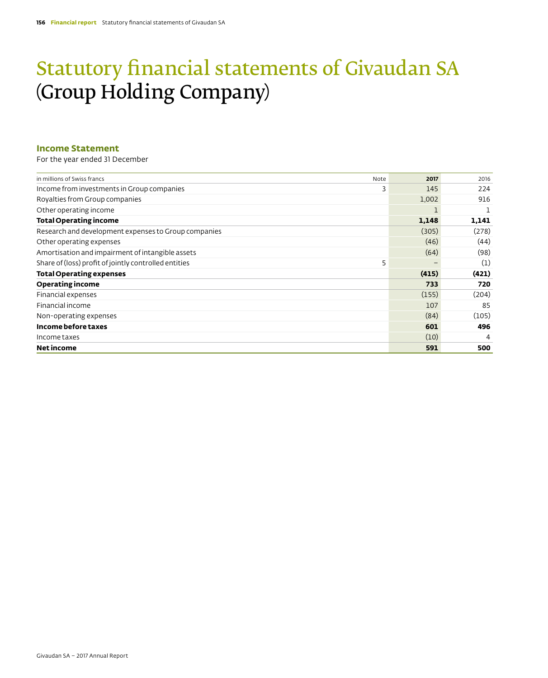# Statutory financial statements of Givaudan SA (Group Holding Company)

# **Income Statement**

For the year ended 31 December

| Note | 2017  | 2016  |
|------|-------|-------|
| 3    | 145   | 224   |
|      | 1,002 | 916   |
|      |       |       |
|      | 1,148 | 1,141 |
|      | (305) | (278) |
|      | (46)  | (44)  |
|      | (64)  | (98)  |
| 5    |       | (1)   |
|      | (415) | (421) |
|      | 733   | 720   |
|      | (155) | (204) |
|      | 107   | 85    |
|      | (84)  | (105) |
|      | 601   | 496   |
|      | (10)  | 4     |
|      | 591   | 500   |
|      |       |       |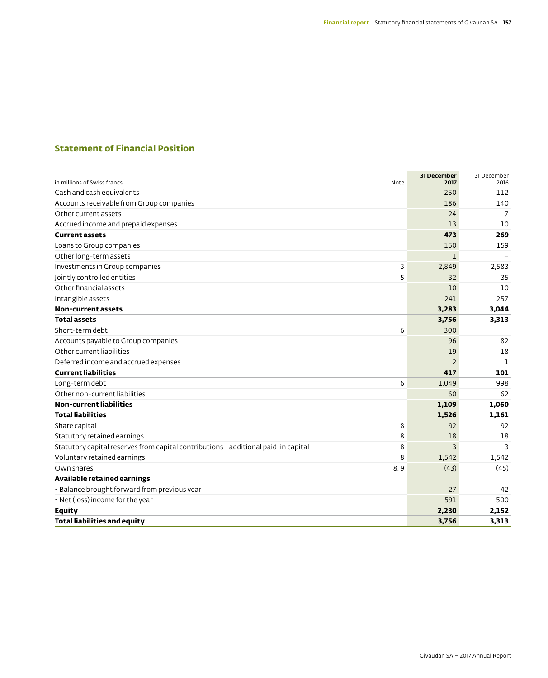# **Statement of Financial Position**

| in millions of Swiss francs                                                        | Note | 31 December<br>2017 | 31 December<br>2016 |
|------------------------------------------------------------------------------------|------|---------------------|---------------------|
| Cash and cash equivalents                                                          |      | 250                 | 112                 |
| Accounts receivable from Group companies                                           |      | 186                 | 140                 |
| Other current assets                                                               |      | 24                  | 7                   |
| Accrued income and prepaid expenses                                                |      | 13                  | 10                  |
| <b>Current assets</b>                                                              |      | 473                 | 269                 |
| Loans to Group companies                                                           |      | 150                 | 159                 |
| Other long-term assets                                                             |      | 1                   |                     |
| Investments in Group companies                                                     | 3    | 2,849               | 2,583               |
| Jointly controlled entities                                                        | 5    | 32                  | 35                  |
| Other financial assets                                                             |      | 10                  | 10                  |
| Intangible assets                                                                  |      | 241                 | 257                 |
| <b>Non-current assets</b>                                                          |      | 3,283               | 3,044               |
| <b>Total assets</b>                                                                |      | 3,756               | 3,313               |
| Short-term debt                                                                    | 6    | 300                 |                     |
| Accounts payable to Group companies                                                |      | 96                  | 82                  |
| Other current liabilities                                                          |      | 19                  | 18                  |
| Deferred income and accrued expenses                                               |      | $\overline{2}$      | 1                   |
| <b>Current liabilities</b>                                                         |      | 417                 | 101                 |
| Long-term debt                                                                     | 6    | 1.049               | 998                 |
| Other non-current liabilities                                                      |      | 60                  | 62                  |
| <b>Non-current liabilities</b>                                                     |      | 1,109               | 1,060               |
| <b>Total liabilities</b>                                                           |      | 1,526               | 1,161               |
| Share capital                                                                      | 8    | 92                  | 92                  |
| Statutory retained earnings                                                        | 8    | 18                  | 18                  |
| Statutory capital reserves from capital contributions - additional paid-in capital | 8    | $\overline{3}$      | 3                   |
| Voluntary retained earnings                                                        | 8    | 1,542               | 1,542               |
| Own shares                                                                         | 8,9  | (43)                | (45)                |
| Available retained earnings                                                        |      |                     |                     |
| - Balance brought forward from previous year                                       |      | 27                  | 42                  |
| - Net (loss) income for the year                                                   |      | 591                 | 500                 |
| <b>Equity</b>                                                                      |      | 2,230               | 2,152               |
| <b>Total liabilities and equity</b>                                                |      | 3,756               | 3,313               |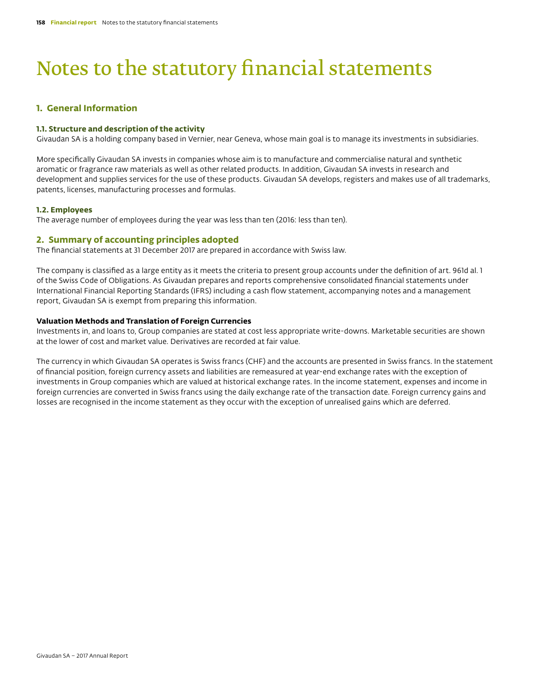# Notes to the statutory financial statements

# **1. General Information**

### **1.1. Structure and description of the activity**

Givaudan SA is a holding company based in Vernier, near Geneva, whose main goal is to manage its investments in subsidiaries.

More specifically Givaudan SA invests in companies whose aim is to manufacture and commercialise natural and synthetic aromatic or fragrance raw materials as well as other related products. In addition, Givaudan SA invests in research and development and supplies services for the use of these products. Givaudan SA develops, registers and makes use of all trademarks, patents, licenses, manufacturing processes and formulas.

### **1.2. Employees**

The average number of employees during the year was less than ten (2016: less than ten).

### **2. Summary of accounting principles adopted**

The financial statements at 31 December 2017 are prepared in accordance with Swiss law.

The company is classified as a large entity as it meets the criteria to present group accounts under the definition of art. 961d al. 1 of the Swiss Code of Obligations. As Givaudan prepares and reports comprehensive consolidated financial statements under International Financial Reporting Standards (IFRS) including a cash flow statement, accompanying notes and a management report, Givaudan SA is exempt from preparing this information.

### **Valuation Methods and Translation of Foreign Currencies**

Investments in, and loans to, Group companies are stated at cost less appropriate write-downs. Marketable securities are shown at the lower of cost and market value. Derivatives are recorded at fair value.

The currency in which Givaudan SA operates is Swiss francs (CHF) and the accounts are presented in Swiss francs. In the statement of financial position, foreign currency assets and liabilities are remeasured at year-end exchange rates with the exception of investments in Group companies which are valued at historical exchange rates. In the income statement, expenses and income in foreign currencies are converted in Swiss francs using the daily exchange rate of the transaction date. Foreign currency gains and losses are recognised in the income statement as they occur with the exception of unrealised gains which are deferred.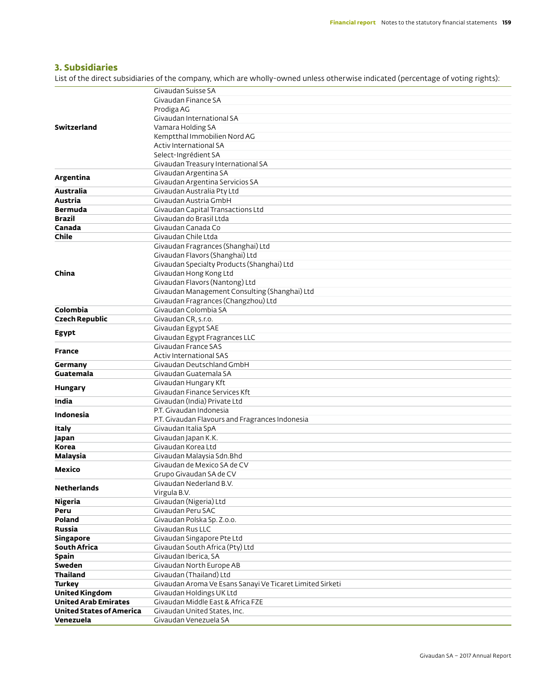# **3. Subsidiaries**

List of the direct subsidiaries of the company, which are wholly-owned unless otherwise indicated (percentage of voting rights):

|                                 | Givaudan Suisse SA                                        |
|---------------------------------|-----------------------------------------------------------|
|                                 | Givaudan Finance SA                                       |
|                                 | Prodiga AG                                                |
|                                 | Givaudan International SA                                 |
| Switzerland                     | Vamara Holding SA                                         |
|                                 | Kemptthal Immobilien Nord AG                              |
|                                 | Activ International SA                                    |
|                                 | Select-Ingrédient SA                                      |
|                                 | Givaudan Treasury International SA                        |
|                                 | Givaudan Argentina SA                                     |
| Argentina                       | Givaudan Argentina Servicios SA                           |
| Australia                       | Givaudan Australia Pty Ltd                                |
| Austria                         | Givaudan Austria GmbH                                     |
| <b>Bermuda</b>                  | Givaudan Capital Transactions Ltd                         |
| <b>Brazil</b>                   | Givaudan do Brasil Ltda                                   |
| Canada                          | Givaudan Canada Co                                        |
| Chile                           | Givaudan Chile Ltda                                       |
|                                 | Givaudan Fragrances (Shanghai) Ltd                        |
|                                 | Givaudan Flavors (Shanghai) Ltd                           |
|                                 | Givaudan Specialty Products (Shanghai) Ltd                |
| China                           | Givaudan Hong Kong Ltd                                    |
|                                 | Givaudan Flavors (Nantong) Ltd                            |
|                                 | Givaudan Management Consulting (Shanghai) Ltd             |
|                                 | Givaudan Fragrances (Changzhou) Ltd                       |
| Colombia                        | Givaudan Colombia SA                                      |
| <b>Czech Republic</b>           | Givaudan CR, s.r.o.                                       |
|                                 | Givaudan Egypt SAE                                        |
| Egypt                           | Givaudan Egypt Fragrances LLC                             |
|                                 | Givaudan France SAS                                       |
| <b>France</b>                   | <b>Activ International SAS</b>                            |
| Germany                         | Givaudan Deutschland GmbH                                 |
| Guatemala                       | Givaudan Guatemala SA                                     |
|                                 | Givaudan Hungary Kft                                      |
| <b>Hungary</b>                  | Givaudan Finance Services Kft                             |
| India                           | Givaudan (India) Private Ltd                              |
|                                 | P.T. Givaudan Indonesia                                   |
| Indonesia                       | P.T. Givaudan Flavours and Fragrances Indonesia           |
| Italy                           | Givaudan Italia SpA                                       |
| Japan                           | Givaudan Japan K.K.                                       |
| Korea                           | Givaudan Korea Ltd                                        |
| Malaysia                        | Givaudan Malaysia Sdn.Bhd                                 |
|                                 | Givaudan de Mexico SA de CV                               |
| Mexico                          | Grupo Givaudan SA de CV                                   |
|                                 | Givaudan Nederland B.V.                                   |
| <b>Netherlands</b>              | Virgula B.V.                                              |
| Nigeria                         | Givaudan (Nigeria) Ltd                                    |
| Peru                            | Givaudan Peru SAC                                         |
| Poland                          | Givaudan Polska Sp. Z.o.o.                                |
| Russia                          | Givaudan Rus LLC                                          |
| Singapore                       | Givaudan Singapore Pte Ltd                                |
| South Africa                    | Givaudan South Africa (Pty) Ltd                           |
| Spain                           | Givaudan Iberica, SA                                      |
| Sweden                          | Givaudan North Europe AB                                  |
| <b>Thailand</b>                 | Givaudan (Thailand) Ltd                                   |
| <b>Turkey</b>                   | Givaudan Aroma Ve Esans Sanayi Ve Ticaret Limited Sirketi |
|                                 | Givaudan Holdings UK Ltd                                  |
| <b>United Kingdom</b>           |                                                           |
| <b>United Arab Emirates</b>     | Givaudan Middle East & Africa FZE                         |
| <b>United States of America</b> | Givaudan United States, Inc.                              |
| Venezuela                       | Givaudan Venezuela SA                                     |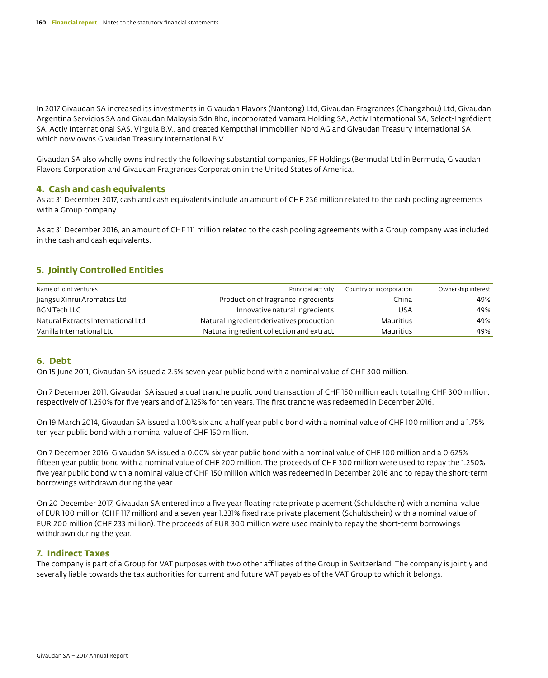In 2017 Givaudan SA increased its investments in Givaudan Flavors (Nantong) Ltd, Givaudan Fragrances (Changzhou) Ltd, Givaudan Argentina Servicios SA and Givaudan Malaysia Sdn.Bhd, incorporated Vamara Holding SA, Activ International SA, Select-Ingrédient SA, Activ International SAS, Virgula B.V., and created Kemptthal Immobilien Nord AG and Givaudan Treasury International SA which now owns Givaudan Treasury International B.V.

Givaudan SA also wholly owns indirectly the following substantial companies, FF Holdings (Bermuda) Ltd in Bermuda, Givaudan Flavors Corporation and Givaudan Fragrances Corporation in the United States of America.

## **4. Cash and cash equivalents**

As at 31 December 2017, cash and cash equivalents include an amount of CHF 236 million related to the cash pooling agreements with a Group company.

As at 31 December 2016, an amount of CHF 111 million related to the cash pooling agreements with a Group company was included in the cash and cash equivalents.

# **5. Jointly Controlled Entities**

| Name of joint ventures             | Principal activity                        | Country of incorporation | Ownership interest |
|------------------------------------|-------------------------------------------|--------------------------|--------------------|
| Jiangsu Xinrui Aromatics Ltd       | Production of fragrance ingredients       | China                    | 49%                |
| <b>BGN Tech LLC</b>                | Innovative natural ingredients            | USA                      | 49%                |
| Natural Extracts International Ltd | Natural ingredient derivatives production | Mauritius                | 49%                |
| Vanilla International Ltd          | Natural ingredient collection and extract | Mauritius                | 49%                |

# **6. Debt**

On 15 June 2011, Givaudan SA issued a 2.5% seven year public bond with a nominal value of CHF 300 million.

On 7 December 2011, Givaudan SA issued a dual tranche public bond transaction of CHF 150 million each, totalling CHF 300 million, respectively of 1.250% for five years and of 2.125% for ten years. The first tranche was redeemed in December 2016.

On 19 March 2014, Givaudan SA issued a 1.00% six and a half year public bond with a nominal value of CHF 100 million and a 1.75% ten year public bond with a nominal value of CHF 150 million.

On 7 December 2016, Givaudan SA issued a 0.00% six year public bond with a nominal value of CHF 100 million and a 0.625% fifteen year public bond with a nominal value of CHF 200 million. The proceeds of CHF 300 million were used to repay the 1.250% five year public bond with a nominal value of CHF 150 million which was redeemed in December 2016 and to repay the short-term borrowings withdrawn during the year.

On 20 December 2017, Givaudan SA entered into a five year floating rate private placement (Schuldschein) with a nominal value of EUR 100 million (CHF 117 million) and a seven year 1.331% fixed rate private placement (Schuldschein) with a nominal value of EUR 200 million (CHF 233 million). The proceeds of EUR 300 million were used mainly to repay the short-term borrowings withdrawn during the year.

# **7. Indirect Taxes**

The company is part of a Group for VAT purposes with two other affiliates of the Group in Switzerland. The company is jointly and severally liable towards the tax authorities for current and future VAT payables of the VAT Group to which it belongs.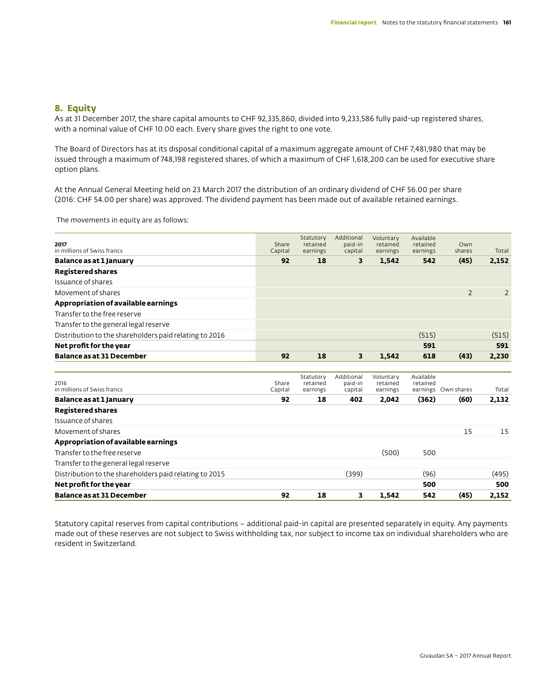# **8. Equity**

As at 31 December 2017, the share capital amounts to CHF 92,335,860, divided into 9,233,586 fully paid-up registered shares, with a nominal value of CHF 10.00 each. Every share gives the right to one vote.

The Board of Directors has at its disposal conditional capital of a maximum aggregate amount of CHF 7,481,980 that may be issued through a maximum of 748,198 registered shares, of which a maximum of CHF 1,618,200 can be used for executive share option plans.

At the Annual General Meeting held on 23 March 2017 the distribution of an ordinary dividend of CHF 56.00 per share (2016: CHF 54.00 per share) was approved. The dividend payment has been made out of available retained earnings.

The movements in equity are as follows:

| 2017<br>in millions of Swiss francs                    | Share<br>Capital | Statutory<br>retained<br>earnings | Additional<br>paid-in<br>capital | Voluntary<br>retained<br>earnings | Available<br>retained<br>earnings | Own<br>shares       | Total          |
|--------------------------------------------------------|------------------|-----------------------------------|----------------------------------|-----------------------------------|-----------------------------------|---------------------|----------------|
| Balance as at 1 January                                | 92               | 18                                | 3                                | 1,542                             | 542                               | (45)                | 2,152          |
| <b>Registered shares</b>                               |                  |                                   |                                  |                                   |                                   |                     |                |
| Issuance of shares                                     |                  |                                   |                                  |                                   |                                   |                     |                |
| Movement of shares                                     |                  |                                   |                                  |                                   |                                   | $\overline{2}$      | $\overline{2}$ |
| Appropriation of available earnings                    |                  |                                   |                                  |                                   |                                   |                     |                |
| Transfer to the free reserve                           |                  |                                   |                                  |                                   |                                   |                     |                |
| Transfer to the general legal reserve                  |                  |                                   |                                  |                                   |                                   |                     |                |
| Distribution to the shareholders paid relating to 2016 |                  |                                   |                                  |                                   | (515)                             |                     | (515)          |
| Net profit for the year                                |                  |                                   |                                  |                                   | 591                               |                     | 591            |
| <b>Balance as at 31 December</b>                       | 92               | 18                                | 3                                | 1.542                             | 618                               | (43)                | 2,230          |
|                                                        |                  |                                   |                                  |                                   |                                   |                     |                |
| 2016<br>in millions of Swiss francs                    | Share<br>Capital | Statutory<br>retained<br>earnings | Additional<br>paid-in<br>capital | Voluntary<br>retained<br>earnings | Available<br>retained             | earnings Own shares | Total          |
| Balance as at 1 January                                | 92               | 18                                | 402                              | 2,042                             | (362)                             | (60)                | 2,132          |
| <b>Registered shares</b>                               |                  |                                   |                                  |                                   |                                   |                     |                |
| Issuance of shares                                     |                  |                                   |                                  |                                   |                                   |                     |                |
| Movement of shares                                     |                  |                                   |                                  |                                   |                                   | 15                  | 15             |
| Appropriation of available earnings                    |                  |                                   |                                  |                                   |                                   |                     |                |
| Transfer to the free reserve                           |                  |                                   |                                  | (500)                             | 500                               |                     |                |
| Transfer to the general legal reserve                  |                  |                                   |                                  |                                   |                                   |                     |                |
| Distribution to the shareholders paid relating to 2015 |                  |                                   | (399)                            |                                   | (96)                              |                     | (495)          |
| Net profit for the year                                |                  |                                   |                                  |                                   | 500                               |                     | 500            |
| <b>Balance as at 31 December</b>                       | 92               | 18                                | 3                                | 1,542                             | 542                               | (45)                | 2,152          |

Statutory capital reserves from capital contributions – additional paid-in capital are presented separately in equity. Any payments made out of these reserves are not subject to Swiss withholding tax, nor subject to income tax on individual shareholders who are resident in Switzerland.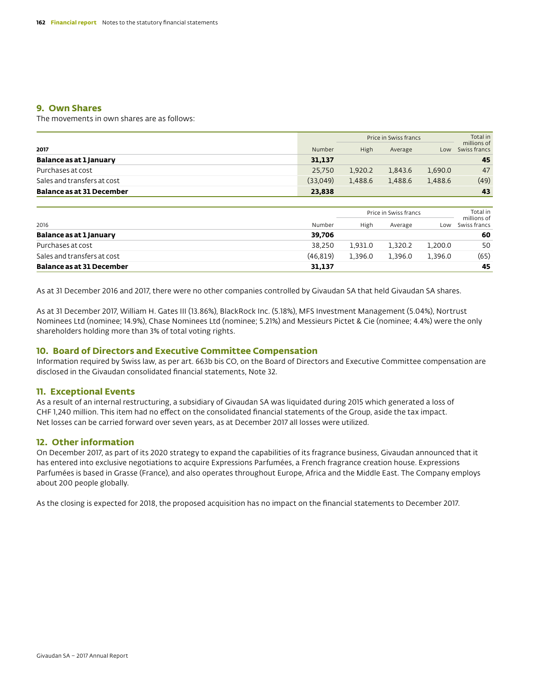# **9. Own Shares**

The movements in own shares are as follows:

|                             |          | Price in Swiss francs |         |         | Total in<br>millions of |  |
|-----------------------------|----------|-----------------------|---------|---------|-------------------------|--|
| 2017                        | Number   | High                  | Average | Low     | Swiss francs            |  |
| Balance as at 1 January     | 31.137   |                       |         |         | 45                      |  |
| Purchases at cost           | 25.750   | 1.920.2               | 1.843.6 | 1,690.0 | 47                      |  |
| Sales and transfers at cost | (33,049) | 1.488.6               | 1.488.6 | 1.488.6 | (49)                    |  |
| Balance as at 31 December   | 23.838   |                       |         |         | 43                      |  |

|                                  |          | Price in Swiss francs |         |         | Total in<br>millions of |
|----------------------------------|----------|-----------------------|---------|---------|-------------------------|
| 2016                             | Number   | High                  | Average | Low     | Swiss francs            |
| Balance as at 1 January          | 39.706   |                       |         |         | 60                      |
| Purchases at cost                | 38.250   | 1.931.0               | 1.320.2 | 1.200.0 | 50                      |
| Sales and transfers at cost      | (46.819) | 1.396.0               | 1.396.0 | 1.396.0 | (65)                    |
| <b>Balance as at 31 December</b> | 31.137   |                       |         |         | 45                      |

As at 31 December 2016 and 2017, there were no other companies controlled by Givaudan SA that held Givaudan SA shares.

As at 31 December 2017, William H. Gates III (13.86%), BlackRock Inc. (5.18%), MFS Investment Management (5.04%), Nortrust Nominees Ltd (nominee; 14.9%), Chase Nominees Ltd (nominee; 5.21%) and Messieurs Pictet & Cie (nominee; 4.4%) were the only shareholders holding more than 3% of total voting rights.

## **10. Board of Directors and Executive Committee Compensation**

Information required by Swiss law, as per art. 663b bis CO, on the Board of Directors and Executive Committee compensation are disclosed in the Givaudan consolidated financial statements, Note 32.

## **11. Exceptional Events**

As a result of an internal restructuring, a subsidiary of Givaudan SA was liquidated during 2015 which generated a loss of CHF 1,240 million. This item had no effect on the consolidated financial statements of the Group, aside the tax impact. Net losses can be carried forward over seven years, as at December 2017 all losses were utilized.

# **12. Other information**

On December 2017, as part of its 2020 strategy to expand the capabilities of its fragrance business, Givaudan announced that it has entered into exclusive negotiations to acquire Expressions Parfumées, a French fragrance creation house. Expressions Parfumées is based in Grasse (France), and also operates throughout Europe, Africa and the Middle East. The Company employs about 200 people globally.

As the closing is expected for 2018, the proposed acquisition has no impact on the financial statements to December 2017.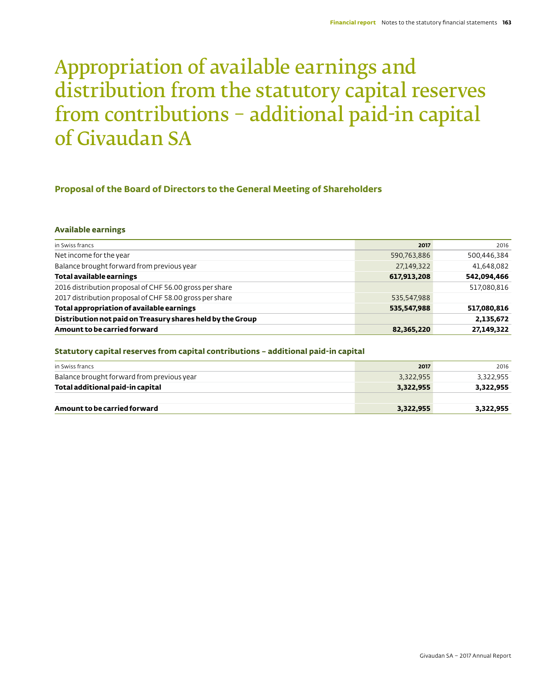# Appropriation of available earnings and distribution from the statutory capital reserves from contributions – additional paid-in capital of Givaudan SA

# **Proposal of the Board of Directors to the General Meeting of Shareholders**

### **Available earnings**

| in Swiss francs                                            | 2017        | 2016        |
|------------------------------------------------------------|-------------|-------------|
| Net income for the year                                    | 590,763,886 | 500,446,384 |
| Balance brought forward from previous year                 | 27,149,322  | 41,648,082  |
| Total available earnings                                   | 617,913,208 | 542,094,466 |
| 2016 distribution proposal of CHF 56.00 gross per share    |             | 517,080,816 |
| 2017 distribution proposal of CHF 58.00 gross per share    | 535,547,988 |             |
| Total appropriation of available earnings                  | 535,547,988 | 517,080,816 |
| Distribution not paid on Treasury shares held by the Group |             | 2,135,672   |
| Amount to be carried forward                               | 82,365,220  | 27,149,322  |

### **Statutory capital reserves from capital contributions – additional paid-in capital**

| in Swiss francs                            | 2017      | 2016      |
|--------------------------------------------|-----------|-----------|
| Balance brought forward from previous year | 3,322,955 | 3,322,955 |
| Total additional paid-in capital           | 3,322,955 | 3,322,955 |
|                                            |           |           |
| Amount to be carried forward               | 3,322,955 | 3,322,955 |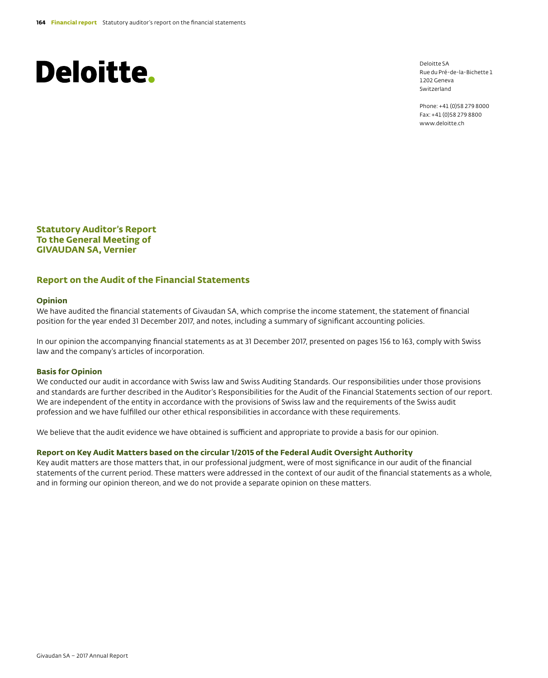# **Deloitte.**

Deloitte SA Rue du Pré-de-la-Bichette 1 1202 Geneva Switzerland

Phone: +41 (0)58 279 8000 Fax: +41 (0)58 279 8800 www.deloitte.ch

**Statutory Auditor's Report To the General Meeting of GIVAUDAN SA, Vernier**

## **Report on the Audit of the Financial Statements**

## **Opinion**

We have audited the financial statements of Givaudan SA, which comprise the income statement, the statement of financial position for the year ended 31 December 2017, and notes, including a summary of significant accounting policies.

In our opinion the accompanying financial statements as at 31 December 2017, presented on pages 156 to 163, comply with Swiss law and the company's articles of incorporation.

### **Basis for Opinion**

We conducted our audit in accordance with Swiss law and Swiss Auditing Standards. Our responsibilities under those provisions and standards are further described in the Auditor's Responsibilities for the Audit of the Financial Statements section of our report. We are independent of the entity in accordance with the provisions of Swiss law and the requirements of the Swiss audit profession and we have fulfilled our other ethical responsibilities in accordance with these requirements.

We believe that the audit evidence we have obtained is sufficient and appropriate to provide a basis for our opinion.

## **Report on Key Audit Matters based on the circular 1/2015 of the Federal Audit Oversight Authority**

Key audit matters are those matters that, in our professional judgment, were of most significance in our audit of the financial statements of the current period. These matters were addressed in the context of our audit of the financial statements as a whole, and in forming our opinion thereon, and we do not provide a separate opinion on these matters.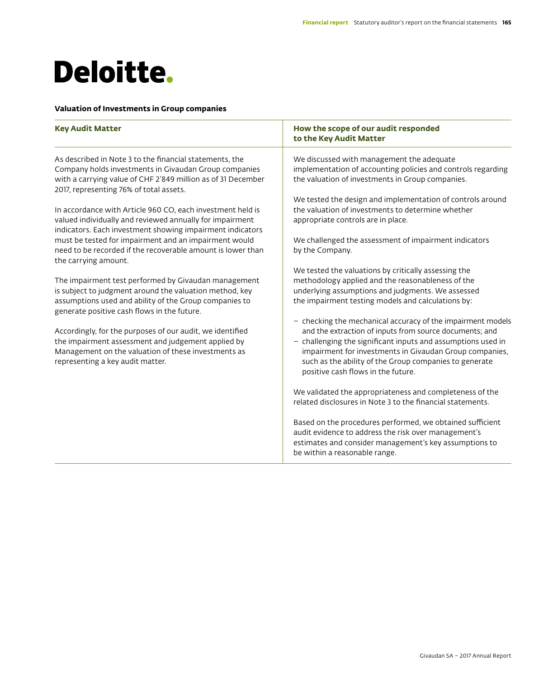# **Deloitte.**

## **Valuation of Investments in Group companies**

| <b>Key Audit Matter</b>                                                                                                                                                                                                                                                                   | How the scope of our audit responded<br>to the Key Audit Matter                                                                                                                                                                                                                                                                                   |
|-------------------------------------------------------------------------------------------------------------------------------------------------------------------------------------------------------------------------------------------------------------------------------------------|---------------------------------------------------------------------------------------------------------------------------------------------------------------------------------------------------------------------------------------------------------------------------------------------------------------------------------------------------|
| As described in Note 3 to the financial statements, the<br>Company holds investments in Givaudan Group companies<br>with a carrying value of CHF 2'849 million as of 31 December<br>2017, representing 76% of total assets.<br>In accordance with Article 960 CO, each investment held is | We discussed with management the adequate<br>implementation of accounting policies and controls regarding<br>the valuation of investments in Group companies.<br>We tested the design and implementation of controls around<br>the valuation of investments to determine whether                                                                  |
| valued individually and reviewed annually for impairment<br>indicators. Each investment showing impairment indicators<br>must be tested for impairment and an impairment would<br>need to be recorded if the recoverable amount is lower than<br>the carrying amount.                     | appropriate controls are in place.<br>We challenged the assessment of impairment indicators<br>by the Company.                                                                                                                                                                                                                                    |
| The impairment test performed by Givaudan management<br>is subject to judgment around the valuation method, key<br>assumptions used and ability of the Group companies to<br>generate positive cash flows in the future.                                                                  | We tested the valuations by critically assessing the<br>methodology applied and the reasonableness of the<br>underlying assumptions and judgments. We assessed<br>the impairment testing models and calculations by:                                                                                                                              |
| Accordingly, for the purposes of our audit, we identified<br>the impairment assessment and judgement applied by<br>Management on the valuation of these investments as<br>representing a key audit matter.                                                                                | - checking the mechanical accuracy of the impairment models<br>and the extraction of inputs from source documents; and<br>- challenging the significant inputs and assumptions used in<br>impairment for investments in Givaudan Group companies,<br>such as the ability of the Group companies to generate<br>positive cash flows in the future. |
|                                                                                                                                                                                                                                                                                           | We validated the appropriateness and completeness of the<br>related disclosures in Note 3 to the financial statements.                                                                                                                                                                                                                            |
|                                                                                                                                                                                                                                                                                           | Based on the procedures performed, we obtained sufficient<br>audit evidence to address the risk over management's<br>estimates and consider management's key assumptions to<br>be within a reasonable range.                                                                                                                                      |